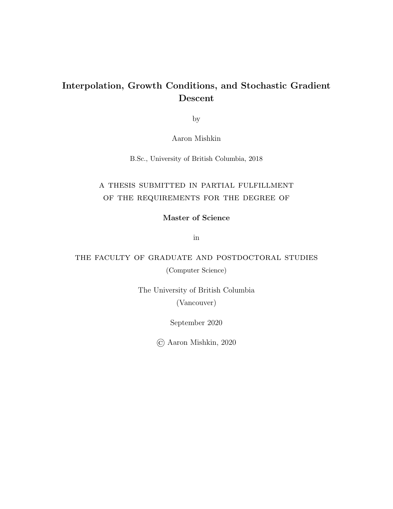### Interpolation, Growth Conditions, and Stochastic Gradient Descent

by

Aaron Mishkin

B.Sc., University of British Columbia, 2018

### a thesis submitted in partial fulfillment of the requirements for the degree of

Master of Science

in

### the faculty of graduate and postdoctoral studies

(Computer Science)

The University of British Columbia

(Vancouver)

September 2020

© Aaron Mishkin, 2020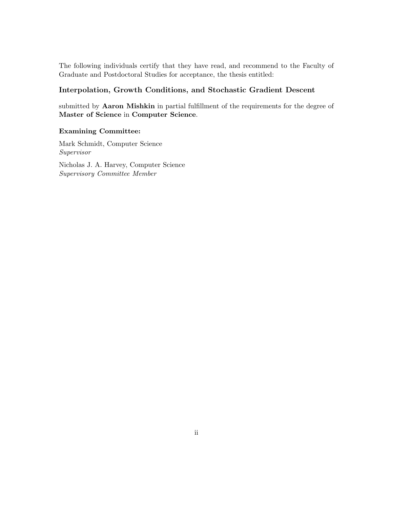The following individuals certify that they have read, and recommend to the Faculty of Graduate and Postdoctoral Studies for acceptance, the thesis entitled:

#### Interpolation, Growth Conditions, and Stochastic Gradient Descent

submitted by Aaron Mishkin in partial fulfillment of the requirements for the degree of Master of Science in Computer Science.

#### Examining Committee:

Mark Schmidt, Computer Science Supervisor

Nicholas J. A. Harvey, Computer Science Supervisory Committee Member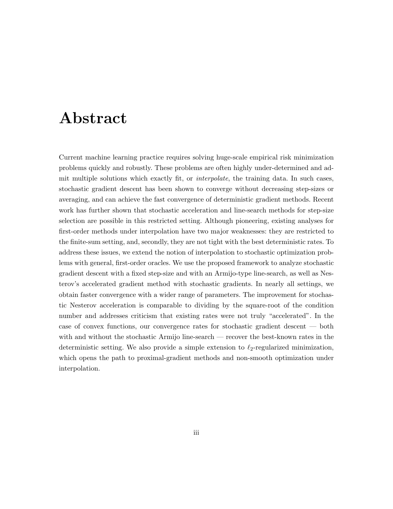## <span id="page-2-0"></span>Abstract

Current machine learning practice requires solving huge-scale empirical risk minimization problems quickly and robustly. These problems are often highly under-determined and admit multiple solutions which exactly fit, or interpolate, the training data. In such cases, stochastic gradient descent has been shown to converge without decreasing step-sizes or averaging, and can achieve the fast convergence of deterministic gradient methods. Recent work has further shown that stochastic acceleration and line-search methods for step-size selection are possible in this restricted setting. Although pioneering, existing analyses for first-order methods under interpolation have two major weaknesses: they are restricted to the finite-sum setting, and, secondly, they are not tight with the best deterministic rates. To address these issues, we extend the notion of interpolation to stochastic optimization problems with general, first-order oracles. We use the proposed framework to analyze stochastic gradient descent with a fixed step-size and with an Armijo-type line-search, as well as Nesterov's accelerated gradient method with stochastic gradients. In nearly all settings, we obtain faster convergence with a wider range of parameters. The improvement for stochastic Nesterov acceleration is comparable to dividing by the square-root of the condition number and addresses criticism that existing rates were not truly "accelerated". In the case of convex functions, our convergence rates for stochastic gradient descent — both with and without the stochastic Armijo line-search — recover the best-known rates in the deterministic setting. We also provide a simple extension to  $\ell_2$ -regularized minimization, which opens the path to proximal-gradient methods and non-smooth optimization under interpolation.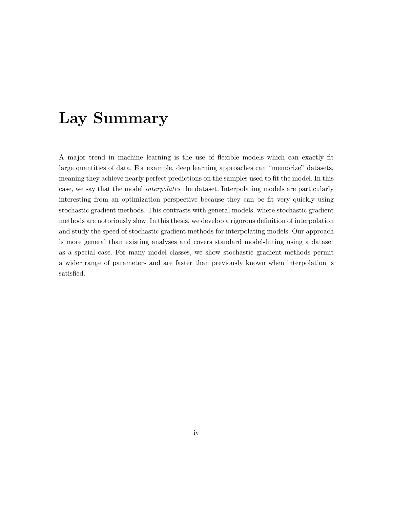## <span id="page-3-0"></span>Lay Summary

A major trend in machine learning is the use of flexible models which can exactly fit large quantities of data. For example, deep learning approaches can "memorize" datasets, meaning they achieve nearly perfect predictions on the samples used to fit the model. In this case, we say that the model interpolates the dataset. Interpolating models are particularly interesting from an optimization perspective because they can be fit very quickly using stochastic gradient methods. This contrasts with general models, where stochastic gradient methods are notoriously slow. In this thesis, we develop a rigorous definition of interpolation and study the speed of stochastic gradient methods for interpolating models. Our approach is more general than existing analyses and covers standard model-fitting using a dataset as a special case. For many model classes, we show stochastic gradient methods permit a wider range of parameters and are faster than previously known when interpolation is satisfied.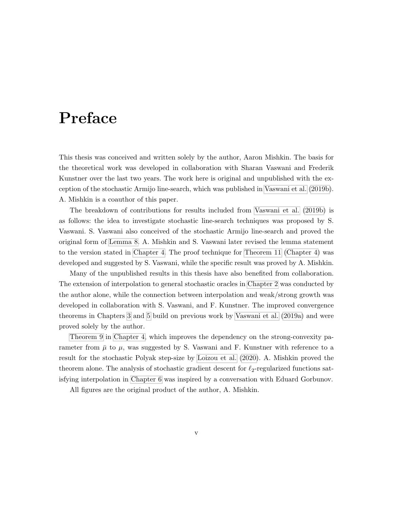## <span id="page-4-0"></span>Preface

This thesis was conceived and written solely by the author, Aaron Mishkin. The basis for the theoretical work was developed in collaboration with Sharan Vaswani and Frederik Kunstner over the last two years. The work here is original and unpublished with the exception of the stochastic Armijo line-search, which was published in [Vaswani et al.](#page-78-0) [\(2019b\)](#page-78-0). A. Mishkin is a coauthor of this paper.

The breakdown of contributions for results included from [Vaswani et al.](#page-78-0) [\(2019b\)](#page-78-0) is as follows: the idea to investigate stochastic line-search techniques was proposed by S. Vaswani. S. Vaswani also conceived of the stochastic Armijo line-search and proved the original form of [Lemma 8.](#page-48-0) A. Mishkin and S. Vaswani later revised the lemma statement to the version stated in [Chapter 4.](#page-43-0) The proof technique for [Theorem 11](#page-51-0) [\(Chapter 4\)](#page-43-0) was developed and suggested by S. Vaswani, while the specific result was proved by A. Mishkin.

Many of the unpublished results in this thesis have also benefited from collaboration. The extension of interpolation to general stochastic oracles in [Chapter 2](#page-21-0) was conducted by the author alone, while the connection between interpolation and weak/strong growth was developed in collaboration with S. Vaswani, and F. Kunstner. The improved convergence theorems in Chapters [3](#page-33-0) and [5](#page-54-0) build on previous work by [Vaswani et al.](#page-78-1) [\(2019a\)](#page-78-1) and were proved solely by the author.

[Theorem 9](#page-48-1) in [Chapter 4,](#page-43-0) which improves the dependency on the strong-convexity parameter from  $\bar{\mu}$  to  $\mu$ , was suggested by S. Vaswani and F. Kunstner with reference to a result for the stochastic Polyak step-size by [Loizou et al.](#page-75-0) [\(2020\)](#page-75-0). A. Mishkin proved the theorem alone. The analysis of stochastic gradient descent for  $\ell_2$ -regularized functions satisfying interpolation in [Chapter 6](#page-64-0) was inspired by a conversation with Eduard Gorbunov.

All figures are the original product of the author, A. Mishkin.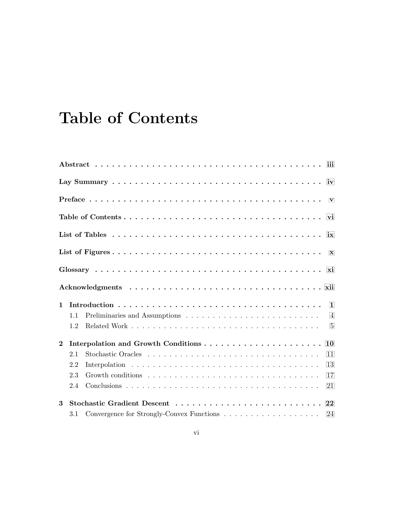# <span id="page-5-0"></span>Table of Contents

| ix               |     |                                                                                                               |  |  |  |
|------------------|-----|---------------------------------------------------------------------------------------------------------------|--|--|--|
|                  |     |                                                                                                               |  |  |  |
|                  |     |                                                                                                               |  |  |  |
|                  |     |                                                                                                               |  |  |  |
| $\mathbf{1}$     |     |                                                                                                               |  |  |  |
|                  | 1.1 |                                                                                                               |  |  |  |
|                  | 1.2 |                                                                                                               |  |  |  |
| $\boldsymbol{2}$ |     | 10                                                                                                            |  |  |  |
|                  | 2.1 | 11                                                                                                            |  |  |  |
|                  | 2.2 | 13                                                                                                            |  |  |  |
|                  | 2.3 | Growth conditions $\ldots \ldots \ldots \ldots \ldots \ldots \ldots \ldots \ldots \ldots \ldots \ldots$<br>17 |  |  |  |
|                  | 2.4 | 21                                                                                                            |  |  |  |
|                  |     |                                                                                                               |  |  |  |
| 3                |     |                                                                                                               |  |  |  |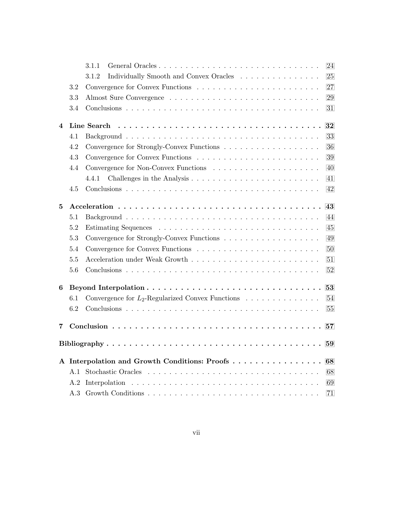|                         |     | 3.1.1                                               | 24 |
|-------------------------|-----|-----------------------------------------------------|----|
|                         |     | 3.1.2<br>Individually Smooth and Convex Oracles     | 25 |
|                         | 3.2 |                                                     | 27 |
|                         | 3.3 |                                                     | 29 |
|                         | 3.4 |                                                     | 31 |
| $\overline{\mathbf{4}}$ |     | Line Search                                         | 32 |
|                         | 4.1 |                                                     | 33 |
|                         | 4.2 |                                                     | 36 |
|                         | 4.3 |                                                     | 39 |
|                         | 4.4 |                                                     | 40 |
|                         |     | 4.4.1                                               | 41 |
|                         | 4.5 |                                                     | 42 |
| 5                       |     |                                                     |    |
|                         | 5.1 |                                                     | 44 |
|                         | 5.2 |                                                     | 45 |
|                         | 5.3 |                                                     | 49 |
|                         | 5.4 |                                                     | 50 |
|                         | 5.5 |                                                     | 51 |
|                         | 5.6 |                                                     | 52 |
| 6                       |     |                                                     | 53 |
|                         | 6.1 | Convergence for $L_2$ -Regularized Convex Functions | 54 |
|                         | 6.2 |                                                     | 55 |
| 7                       |     |                                                     | 57 |
|                         |     |                                                     | 59 |
|                         |     |                                                     |    |
|                         |     | A Interpolation and Growth Conditions: Proofs       | 68 |
|                         | A.1 |                                                     | 68 |
|                         | A.2 |                                                     | 69 |
|                         | A.3 |                                                     | 71 |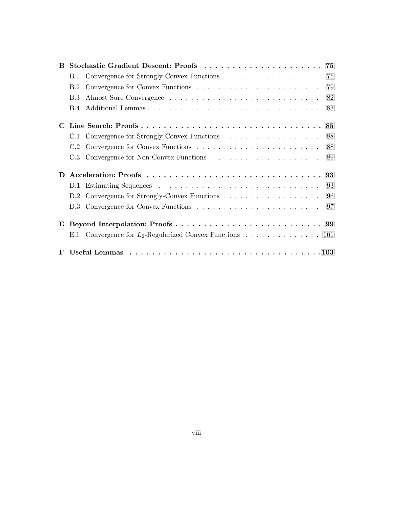| B. |     |                                                             |    |
|----|-----|-------------------------------------------------------------|----|
|    |     |                                                             | 75 |
|    |     |                                                             | 79 |
|    | B.3 |                                                             | 82 |
|    |     |                                                             | 83 |
| C  |     |                                                             |    |
|    |     | C.1 Convergence for Strongly-Convex Functions 88            |    |
|    |     |                                                             |    |
|    |     |                                                             |    |
| D  |     |                                                             |    |
|    |     |                                                             | 93 |
|    |     | D.2 Convergence for Strongly-Convex Functions 96            |    |
|    |     |                                                             |    |
| E  |     |                                                             |    |
|    |     | E.1 Convergence for $L_2$ -Regularized Convex Functions 101 |    |
| F  |     |                                                             |    |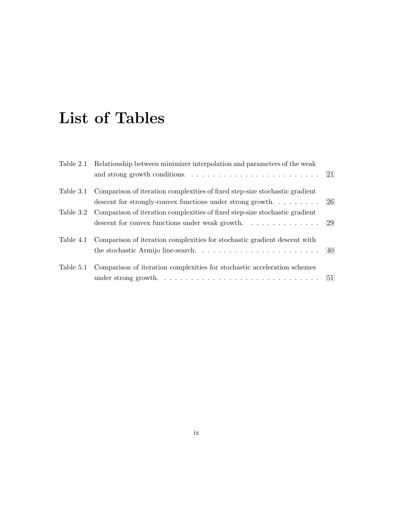## <span id="page-8-0"></span>List of Tables

| Table 2.1 Relationship between minimizer interpolation and parameters of the weak     |  |
|---------------------------------------------------------------------------------------|--|
|                                                                                       |  |
| Table 3.1 Comparison of iteration complexities of fixed step-size stochastic gradient |  |
| descent for strongly-convex functions under strong growth 26                          |  |
| Table 3.2 Comparison of iteration complexities of fixed step-size stochastic gradient |  |
|                                                                                       |  |
| Table 4.1 Comparison of iteration complexities for stochastic gradient descent with   |  |
|                                                                                       |  |
| Table 5.1 Comparison of iteration complexities for stochastic acceleration schemes    |  |
|                                                                                       |  |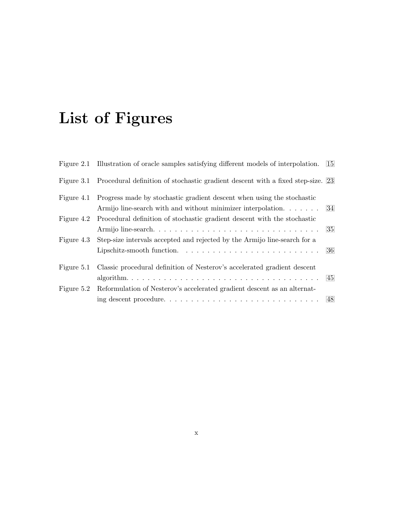# <span id="page-9-0"></span>List of Figures

|            | Figure 2.1 Illustration of oracle samples satisfying different models of interpolation.                                                                                     | -15 |
|------------|-----------------------------------------------------------------------------------------------------------------------------------------------------------------------------|-----|
|            | Figure 3.1 Procedural definition of stochastic gradient descent with a fixed step-size. 23                                                                                  |     |
|            | Figure 4.1 Progress made by stochastic gradient descent when using the stochastic<br>Armijo line-search with and without minimizer interpolation 34                         |     |
| Figure 4.2 | Procedural definition of stochastic gradient descent with the stochastic                                                                                                    | -35 |
| Figure 4.3 | Step-size intervals accepted and rejected by the Armijo line-search for a<br>Lipschitz-smooth function. $\ldots \ldots \ldots \ldots \ldots \ldots \ldots \ldots \ldots 36$ |     |
|            | Figure 5.1 Classic procedural definition of Nesterov's accelerated gradient descent                                                                                         |     |
|            | Figure 5.2 Reformulation of Nesterov's accelerated gradient descent as an alternat-                                                                                         |     |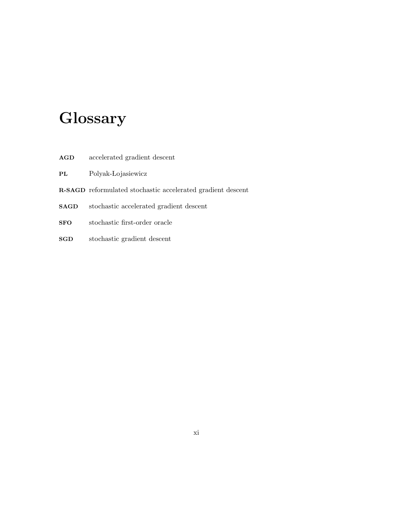# <span id="page-10-0"></span>**Glossary**

- AGD accelerated gradient descent
- PL Polyak-Lojasiewicz
- R-SAGD reformulated stochastic accelerated gradient descent
- SAGD stochastic accelerated gradient descent
- SFO stochastic first-order oracle
- SGD stochastic gradient descent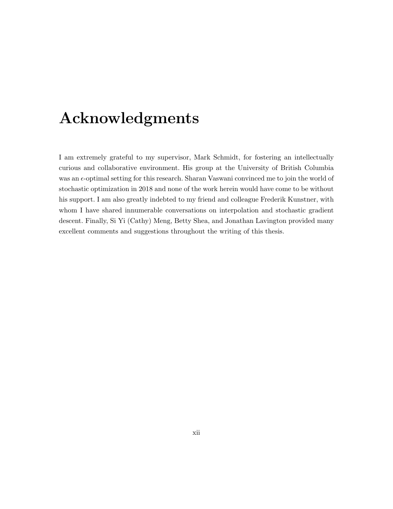## <span id="page-11-0"></span>Acknowledgments

I am extremely grateful to my supervisor, Mark Schmidt, for fostering an intellectually curious and collaborative environment. His group at the University of British Columbia was an  $\epsilon$ -optimal setting for this research. Sharan Vaswani convinced me to join the world of stochastic optimization in 2018 and none of the work herein would have come to be without his support. I am also greatly indebted to my friend and colleague Frederik Kunstner, with whom I have shared innumerable conversations on interpolation and stochastic gradient descent. Finally, Si Yi (Cathy) Meng, Betty Shea, and Jonathan Lavington provided many excellent comments and suggestions throughout the writing of this thesis.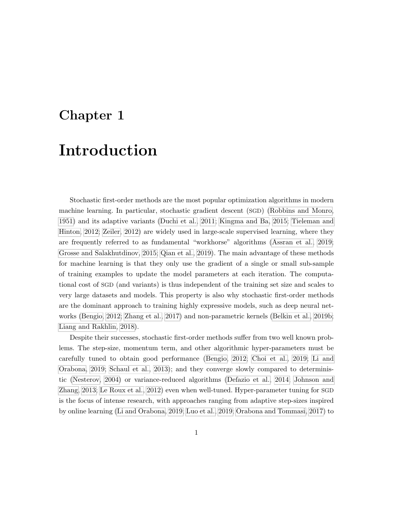### <span id="page-12-0"></span>Chapter 1

## Introduction

Stochastic first-order methods are the most popular optimization algorithms in modern machine learning. In particular, stochastic gradient descent (SGD) [\(Robbins and Monro,](#page-76-0) [1951\)](#page-76-0) and its adaptive variants [\(Duchi et al., 2011;](#page-73-0) [Kingma and Ba, 2015;](#page-74-0) [Tieleman and](#page-78-2) [Hinton, 2012;](#page-78-2) [Zeiler, 2012\)](#page-78-3) are widely used in large-scale supervised learning, where they are frequently referred to as fundamental "workhorse" algorithms [\(Assran et al., 2019;](#page-71-0) [Grosse and Salakhutdinov, 2015;](#page-73-1) [Qian et al., 2019\)](#page-76-1). The main advantage of these methods for machine learning is that they only use the gradient of a single or small sub-sample of training examples to update the model parameters at each iteration. The computational cost of SGD (and variants) is thus independent of the training set size and scales to very large datasets and models. This property is also why stochastic first-order methods are the dominant approach to training highly expressive models, such as deep neural networks [\(Bengio, 2012;](#page-71-1) [Zhang et al., 2017\)](#page-78-4) and non-parametric kernels [\(Belkin et al., 2019b;](#page-71-2) [Liang and Rakhlin, 2018\)](#page-75-1).

Despite their successes, stochastic first-order methods suffer from two well known problems. The step-size, momentum term, and other algorithmic hyper-parameters must be carefully tuned to obtain good performance [\(Bengio, 2012;](#page-71-1) [Choi et al., 2019;](#page-72-0) [Li and](#page-74-1) [Orabona, 2019;](#page-74-1) [Schaul et al., 2013\)](#page-77-0); and they converge slowly compared to deterministic [\(Nesterov, 2004\)](#page-75-2) or variance-reduced algorithms [\(Defazio et al., 2014;](#page-72-1) [Johnson and](#page-74-2) [Zhang, 2013;](#page-74-2) [Le Roux et al., 2012\)](#page-74-3) even when well-tuned. Hyper-parameter tuning for SGD is the focus of intense research, with approaches ranging from adaptive step-sizes inspired by online learning [\(Li and Orabona, 2019;](#page-74-1) [Luo et al., 2019;](#page-75-3) [Orabona and Tommasi, 2017\)](#page-76-2) to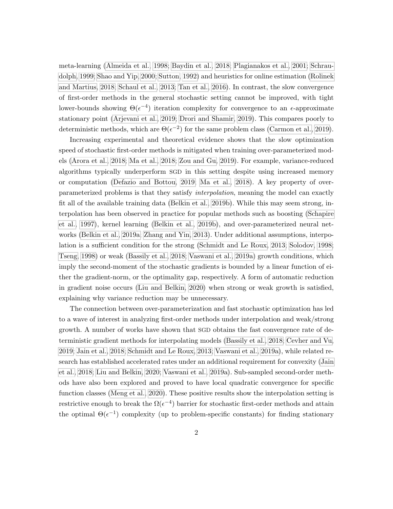meta-learning [\(Almeida et al., 1998;](#page-70-1) [Baydin et al., 2018;](#page-71-3) [Plagianakos et al., 2001;](#page-76-3) [Schrau](#page-77-1)[dolph, 1999;](#page-77-1) [Shao and Yip, 2000;](#page-77-2) [Sutton, 1992\)](#page-77-3) and heuristics for online estimation [\(Rolinek](#page-76-4) [and Martius, 2018;](#page-76-4) [Schaul et al., 2013;](#page-77-0) [Tan et al., 2016\)](#page-77-4). In contrast, the slow convergence of first-order methods in the general stochastic setting cannot be improved, with tight lower-bounds showing  $\Theta(\epsilon^{-4})$  iteration complexity for convergence to an  $\epsilon$ -approximate stationary point [\(Arjevani et al., 2019;](#page-70-2) [Drori and Shamir, 2019\)](#page-73-2). This compares poorly to deterministic methods, which are  $\Theta(\epsilon^{-2})$  for the same problem class [\(Carmon et al., 2019\)](#page-72-2).

Increasing experimental and theoretical evidence shows that the slow optimization speed of stochastic first-order methods is mitigated when training over-parameterized models [\(Arora et al., 2018;](#page-70-3) [Ma et al., 2018;](#page-75-4) [Zou and Gu, 2019\)](#page-78-5). For example, variance-reduced algorithms typically underperform SGD in this setting despite using increased memory or computation [\(Defazio and Bottou, 2019;](#page-72-3) [Ma et al., 2018\)](#page-75-4). A key property of overparameterized problems is that they satisfy interpolation, meaning the model can exactly fit all of the available training data [\(Belkin et al., 2019b\)](#page-71-2). While this may seem strong, interpolation has been observed in practice for popular methods such as boosting [\(Schapire](#page-76-5) [et al., 1997\)](#page-76-5), kernel learning [\(Belkin et al., 2019b\)](#page-71-2), and over-parameterized neural networks [\(Belkin et al., 2019a;](#page-71-4) [Zhang and Yin, 2013\)](#page-78-6). Under additional assumptions, interpolation is a sufficient condition for the strong [\(Schmidt and Le Roux, 2013;](#page-77-5) [Solodov, 1998;](#page-77-6) [Tseng, 1998\)](#page-78-7) or weak [\(Bassily et al., 2018;](#page-71-5) [Vaswani et al., 2019a\)](#page-78-1) growth conditions, which imply the second-moment of the stochastic gradients is bounded by a linear function of either the gradient-norm, or the optimality gap, respectively. A form of automatic reduction in gradient noise occurs [\(Liu and Belkin, 2020\)](#page-75-5) when strong or weak growth is satisfied, explaining why variance reduction may be unnecessary.

The connection between over-parameterization and fast stochastic optimization has led to a wave of interest in analyzing first-order methods under interpolation and weak/strong growth. A number of works have shown that SGD obtains the fast convergence rate of deterministic gradient methods for interpolating models [\(Bassily et al., 2018;](#page-71-5) [Cevher and Vu,](#page-72-4) [2019;](#page-72-4) [Jain et al., 2018;](#page-74-4) [Schmidt and Le Roux, 2013;](#page-77-5) [Vaswani et al., 2019a\)](#page-78-1), while related research has established accelerated rates under an additional requirement for convexity [\(Jain](#page-74-4) [et al., 2018;](#page-74-4) [Liu and Belkin, 2020;](#page-75-5) [Vaswani et al., 2019a\)](#page-78-1). Sub-sampled second-order methods have also been explored and proved to have local quadratic convergence for specific function classes [\(Meng et al., 2020\)](#page-75-6). These positive results show the interpolation setting is restrictive enough to break the  $\Omega(\epsilon^{-4})$  barrier for stochastic first-order methods and attain the optimal  $\Theta(\epsilon^{-1})$  complexity (up to problem-specific constants) for finding stationary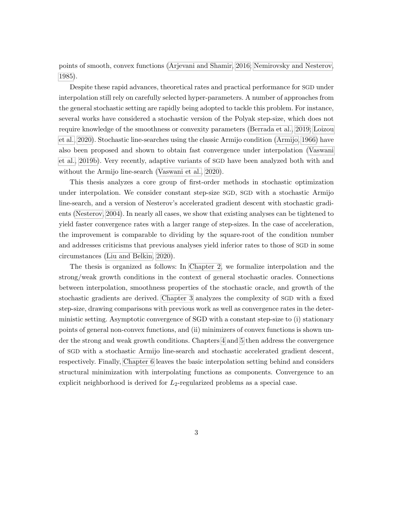points of smooth, convex functions [\(Arjevani and Shamir, 2016;](#page-70-4) [Nemirovsky and Nesterov,](#page-75-7) [1985\)](#page-75-7).

Despite these rapid advances, theoretical rates and practical performance for SGD under interpolation still rely on carefully selected hyper-parameters. A number of approaches from the general stochastic setting are rapidly being adopted to tackle this problem. For instance, several works have considered a stochastic version of the Polyak step-size, which does not require knowledge of the smoothness or convexity parameters [\(Berrada et al., 2019;](#page-71-6) [Loizou](#page-75-0) [et al., 2020\)](#page-75-0). Stochastic line-searches using the classic Armijo condition [\(Armijo, 1966\)](#page-70-5) have also been proposed and shown to obtain fast convergence under interpolation [\(Vaswani](#page-78-0) [et al., 2019b\)](#page-78-0). Very recently, adaptive variants of SGD have been analyzed both with and without the Armijo line-search [\(Vaswani et al., 2020\)](#page-78-8).

This thesis analyzes a core group of first-order methods in stochastic optimization under interpolation. We consider constant step-size SGD, SGD with a stochastic Armijo line-search, and a version of Nesterov's accelerated gradient descent with stochastic gradients [\(Nesterov, 2004\)](#page-75-2). In nearly all cases, we show that existing analyses can be tightened to yield faster convergence rates with a larger range of step-sizes. In the case of acceleration, the improvement is comparable to dividing by the square-root of the condition number and addresses criticisms that previous analyses yield inferior rates to those of SGD in some circumstances [\(Liu and Belkin, 2020\)](#page-75-5).

The thesis is organized as follows: In [Chapter 2,](#page-21-0) we formalize interpolation and the strong/weak growth conditions in the context of general stochastic oracles. Connections between interpolation, smoothness properties of the stochastic oracle, and growth of the stochastic gradients are derived. [Chapter 3](#page-33-0) analyzes the complexity of SGD with a fixed step-size, drawing comparisons with previous work as well as convergence rates in the deterministic setting. Asymptotic convergence of SGD with a constant step-size to (i) stationary points of general non-convex functions, and (ii) minimizers of convex functions is shown under the strong and weak growth conditions. Chapters [4](#page-43-0) and [5](#page-54-0) then address the convergence of SGD with a stochastic Armijo line-search and stochastic accelerated gradient descent, respectively. Finally, [Chapter 6](#page-64-0) leaves the basic interpolation setting behind and considers structural minimization with interpolating functions as components. Convergence to an explicit neighborhood is derived for  $L_2$ -regularized problems as a special case.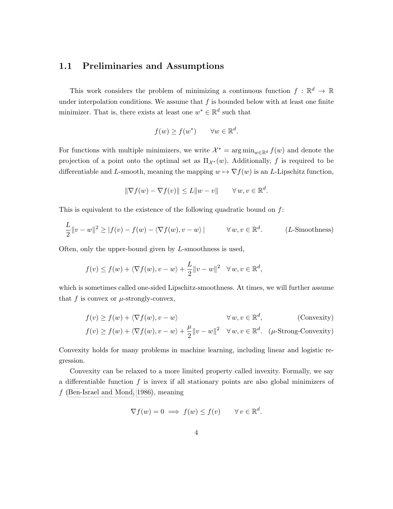#### <span id="page-15-0"></span>1.1 Preliminaries and Assumptions

This work considers the problem of minimizing a continuous function  $f : \mathbb{R}^d \to \mathbb{R}$ under interpolation conditions. We assume that  $f$  is bounded below with at least one finite minimizer. That is, there exists at least one  $w^* \in \mathbb{R}^d$  such that

$$
f(w) \ge f(w^*) \qquad \forall w \in \mathbb{R}^d.
$$

For functions with multiple minimizers, we write  $\mathcal{X}^* = \arg \min_{w \in \mathbb{R}^d} f(w)$  and denote the projection of a point onto the optimal set as  $\Pi_{\mathcal{X}^*}(w)$ . Additionally, f is required to be differentiable and L-smooth, meaning the mapping  $w \mapsto \nabla f(w)$  is an L-Lipschitz function,

$$
\|\nabla f(w) - \nabla f(v)\| \le L\|w - v\| \quad \forall w, v \in \mathbb{R}^d.
$$

This is equivalent to the existence of the following quadratic bound on  $f$ :

$$
\frac{L}{2}||v - w||^2 \ge |f(v) - f(w) - \langle \nabla f(w), v - w \rangle| \qquad \forall w, v \in \mathbb{R}^d.
$$
 (L-Smoothness)

Often, only the upper-bound given by L-smoothness is used,

$$
f(v) \le f(w) + \langle \nabla f(w), v - w \rangle + \frac{L}{2} ||v - w||^2 \quad \forall w, v \in \mathbb{R}^d,
$$

which is sometimes called one-sided Lipschitz-smoothness. At times, we will further assume that f is convex or  $\mu$ -strongly-convex,

$$
f(v) \ge f(w) + \langle \nabla f(w), v - w \rangle \qquad \forall w, v \in \mathbb{R}^d,
$$
 (Convexity)  

$$
f(v) \ge f(w) + \langle \nabla f(w), v - w \rangle + \frac{\mu}{2} ||v - w||^2 \quad \forall w, v \in \mathbb{R}^d.
$$
 ( $\mu$ -Strong-Convexity)

Convexity holds for many problems in machine learning, including linear and logistic regression.

Convexity can be relaxed to a more limited property called invexity. Formally, we say a differentiable function  $f$  is invex if all stationary points are also global minimizers of f [\(Ben-Israel and Mond, 1986\)](#page-71-7), meaning

$$
\nabla f(w) = 0 \implies f(w) \le f(v) \qquad \forall v \in \mathbb{R}^d.
$$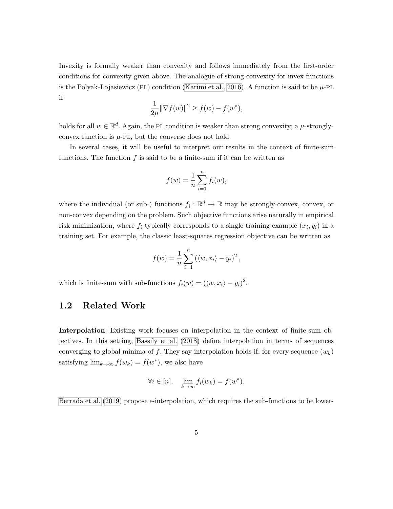Invexity is formally weaker than convexity and follows immediately from the first-order conditions for convexity given above. The analogue of strong-convexity for invex functions is the Polyak-Lojasiewicz (PL) condition [\(Karimi et al., 2016\)](#page-74-5). A function is said to be  $\mu$ -PL if

$$
\frac{1}{2\mu} \|\nabla f(w)\|^2 \ge f(w) - f(w^*),
$$

holds for all  $w \in \mathbb{R}^d$ . Again, the PL condition is weaker than strong convexity; a  $\mu$ -stronglyconvex function is  $\mu$ -PL, but the converse does not hold.

In several cases, it will be useful to interpret our results in the context of finite-sum functions. The function  $f$  is said to be a finite-sum if it can be written as

$$
f(w) = \frac{1}{n} \sum_{i=1}^{n} f_i(w),
$$

where the individual (or sub-) functions  $f_i : \mathbb{R}^d \to \mathbb{R}$  may be strongly-convex, convex, or non-convex depending on the problem. Such objective functions arise naturally in empirical risk minimization, where  $f_i$  typically corresponds to a single training example  $(x_i, y_i)$  in a training set. For example, the classic least-squares regression objective can be written as

$$
f(w) = \frac{1}{n} \sum_{i=1}^{n} (\langle w, x_i \rangle - y_i)^2,
$$

<span id="page-16-0"></span>which is finite-sum with sub-functions  $f_i(w) = (\langle w, x_i \rangle - y_i)^2$ .

#### 1.2 Related Work

Interpolation: Existing work focuses on interpolation in the context of finite-sum objectives. In this setting, [Bassily et al.](#page-71-5) [\(2018\)](#page-71-5) define interpolation in terms of sequences converging to global minima of f. They say interpolation holds if, for every sequence  $(w_k)$ satisfying  $\lim_{k\to\infty} f(w_k) = f(w^*)$ , we also have

$$
\forall i \in [n], \quad \lim_{k \to \infty} f_i(w_k) = f(w^*).
$$

[Berrada et al.](#page-71-6) [\(2019\)](#page-71-6) propose  $\epsilon$ -interpolation, which requires the sub-functions to be lower-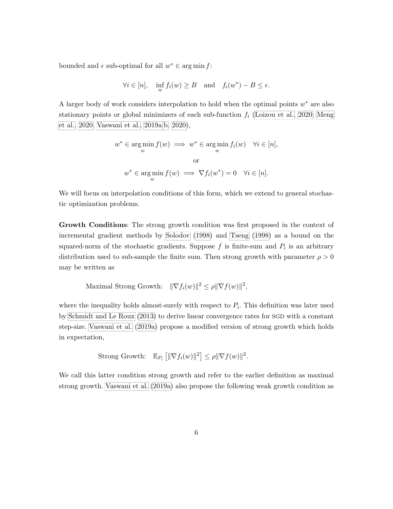bounded and  $\epsilon$  sub-optimal for all  $w^* \in \arg\min f$ :

$$
\forall i \in [n], \quad \inf_{w} f_i(w) \ge B \quad \text{and} \quad f_i(w^*) - B \le \epsilon.
$$

A larger body of work considers interpolation to hold when the optimal points  $w^*$  are also stationary points or global minimizers of each sub-function  $f_i$  [\(Loizou et al., 2020;](#page-75-0) [Meng](#page-75-6) [et al., 2020;](#page-75-6) [Vaswani et al., 2019a](#page-78-1)[,b,](#page-78-0) [2020\)](#page-78-8),

$$
w^* \in \underset{w}{\text{arg min}} f(w) \implies w^* \in \underset{w}{\text{arg min}} f_i(w) \quad \forall i \in [n],
$$
  
or  

$$
w^* \in \underset{w}{\text{arg min}} f(w) \implies \nabla f_i(w^*) = 0 \quad \forall i \in [n].
$$

We will focus on interpolation conditions of this form, which we extend to general stochastic optimization problems.

Growth Conditions: The strong growth condition was first proposed in the context of incremental gradient methods by [Solodov](#page-77-6) [\(1998\)](#page-77-6) and [Tseng](#page-78-7) [\(1998\)](#page-78-7) as a bound on the squared-norm of the stochastic gradients. Suppose  $f$  is finite-sum and  $P_i$  is an arbitrary distribution used to sub-sample the finite sum. Then strong growth with parameter  $\rho > 0$ may be written as

Maximal Strong Growth: 
$$
\|\nabla f_i(w)\|^2 \le \rho \|\nabla f(w)\|^2,
$$

where the inequality holds almost-surely with respect to  $P_i$ . This definition was later used by [Schmidt and Le Roux](#page-77-5) [\(2013\)](#page-77-5) to derive linear convergence rates for SGD with a constant step-size. [Vaswani et al.](#page-78-1) [\(2019a\)](#page-78-1) propose a modified version of strong growth which holds in expectation,

Strong Growth: 
$$
\mathbb{E}_{P_i} \left[ \|\nabla f_i(w)\|^2 \right] \leq \rho \|\nabla f(w)\|^2.
$$

We call this latter condition strong growth and refer to the earlier definition as maximal strong growth. [Vaswani et al.](#page-78-1) [\(2019a\)](#page-78-1) also propose the following weak growth condition as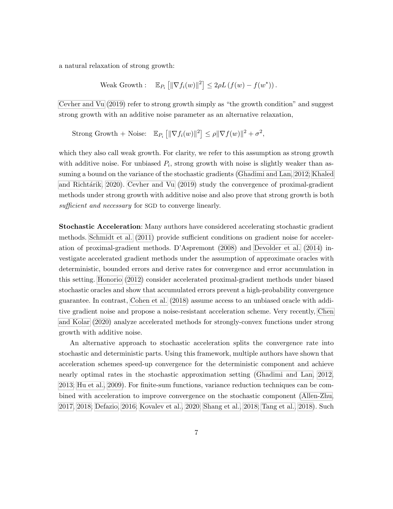a natural relaxation of strong growth:

Weak Growth: 
$$
\mathbb{E}_{P_i} [||\nabla f_i(w)||^2] \leq 2\rho L (f(w) - f(w^*))
$$
.

[Cevher and Vu](#page-72-4) [\(2019\)](#page-72-4) refer to strong growth simply as "the growth condition" and suggest strong growth with an additive noise parameter as an alternative relaxation,

Strong Growth + Noise: 
$$
\mathbb{E}_{P_i} [||\nabla f_i(w)||^2] \leq \rho ||\nabla f(w)||^2 + \sigma^2
$$
,

which they also call weak growth. For clarity, we refer to this assumption as strong growth with additive noise. For unbiased  $P_i$ , strong growth with noise is slightly weaker than assuming a bound on the variance of the stochastic gradients [\(Ghadimi and Lan, 2012;](#page-73-3) [Khaled](#page-74-6) and Richtárik, 2020). [Cevher and Vu](#page-72-4) [\(2019\)](#page-72-4) study the convergence of proximal-gradient methods under strong growth with additive noise and also prove that strong growth is both sufficient and necessary for SGD to converge linearly.

Stochastic Acceleration: Many authors have considered accelerating stochastic gradient methods. [Schmidt et al.](#page-77-7) [\(2011\)](#page-77-7) provide sufficient conditions on gradient noise for acceleration of proximal-gradient methods. D'Aspremont [\(2008\)](#page-72-5) and [Devolder et al.](#page-73-4) [\(2014\)](#page-73-4) investigate accelerated gradient methods under the assumption of approximate oracles with deterministic, bounded errors and derive rates for convergence and error accumulation in this setting. [Honorio](#page-73-5) [\(2012\)](#page-73-5) consider accelerated proximal-gradient methods under biased stochastic oracles and show that accumulated errors prevent a high-probability convergence guarantee. In contrast, [Cohen et al.](#page-72-6) [\(2018\)](#page-72-6) assume access to an unbiased oracle with additive gradient noise and propose a noise-resistant acceleration scheme. Very recently, [Chen](#page-72-7) [and Kolar](#page-72-7) [\(2020\)](#page-72-7) analyze accelerated methods for strongly-convex functions under strong growth with additive noise.

An alternative approach to stochastic acceleration splits the convergence rate into stochastic and deterministic parts. Using this framework, multiple authors have shown that acceleration schemes speed-up convergence for the deterministic component and achieve nearly optimal rates in the stochastic approximation setting [\(Ghadimi and Lan, 2012,](#page-73-3) [2013;](#page-73-6) [Hu et al., 2009\)](#page-73-7). For finite-sum functions, variance reduction techniques can be combined with acceleration to improve convergence on the stochastic component [\(Allen-Zhu,](#page-70-6) [2017,](#page-70-6) [2018;](#page-70-7) [Defazio, 2016;](#page-72-8) [Kovalev et al., 2020;](#page-74-7) [Shang et al., 2018;](#page-77-8) [Tang et al., 2018\)](#page-77-9). Such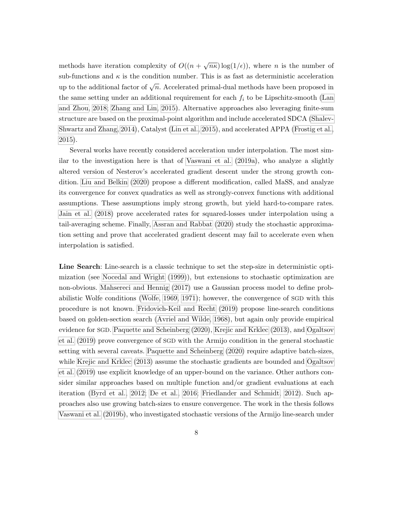methods have iteration complexity of  $O((n + \sqrt{n\kappa})\log(1/\epsilon))$ , where *n* is the number of sub-functions and  $\kappa$  is the condition number. This is as fast as deterministic acceleration up to the additional factor of  $\sqrt{n}$ . Accelerated primal-dual methods have been proposed in the same setting under an additional requirement for each  $f_i$  to be Lipschitz-smooth [\(Lan](#page-74-8) [and Zhou, 2018;](#page-74-8) [Zhang and Lin, 2015\)](#page-78-9). Alternative approaches also leveraging finite-sum structure are based on the proximal-point algorithm and include accelerated SDCA [\(Shalev-](#page-77-10)[Shwartz and Zhang, 2014\)](#page-77-10), Catalyst [\(Lin et al., 2015\)](#page-75-8), and accelerated APPA [\(Frostig et al.,](#page-73-8) [2015\)](#page-73-8).

Several works have recently considered acceleration under interpolation. The most similar to the investigation here is that of [Vaswani et al.](#page-78-1) [\(2019a\)](#page-78-1), who analyze a slightly altered version of Nesterov's accelerated gradient descent under the strong growth condition. [Liu and Belkin](#page-75-5) [\(2020\)](#page-75-5) propose a different modification, called MaSS, and analyze its convergence for convex quadratics as well as strongly-convex functions with additional assumptions. These assumptions imply strong growth, but yield hard-to-compare rates. [Jain et al.](#page-74-4) [\(2018\)](#page-74-4) prove accelerated rates for squared-losses under interpolation using a tail-averaging scheme. Finally, [Assran and Rabbat](#page-71-8) [\(2020\)](#page-71-8) study the stochastic approximation setting and prove that accelerated gradient descent may fail to accelerate even when interpolation is satisfied.

Line Search: Line-search is a classic technique to set the step-size in deterministic optimization (see [Nocedal and Wright](#page-76-6) [\(1999\)](#page-76-6)), but extensions to stochastic optimization are non-obvious. [Mahsereci and Hennig](#page-75-9) [\(2017\)](#page-75-9) use a Gaussian process model to define probabilistic Wolfe conditions [\(Wolfe, 1969,](#page-78-10) [1971\)](#page-78-11); however, the convergence of SGD with this procedure is not known. [Fridovich-Keil and Recht](#page-73-9) [\(2019\)](#page-73-9) propose line-search conditions based on golden-section search [\(Avriel and Wilde, 1968\)](#page-71-9), but again only provide empirical evidence for SGD. [Paquette and Scheinberg](#page-76-7) [\(2020\)](#page-76-7), [Krejic and Krklec](#page-74-9) [\(2013\)](#page-74-9), and [Ogaltsov](#page-76-8) [et al.](#page-76-8) [\(2019\)](#page-76-8) prove convergence of SGD with the Armijo condition in the general stochastic setting with several caveats. [Paquette and Scheinberg](#page-76-7) [\(2020\)](#page-76-7) require adaptive batch-sizes, while [Krejic and Krklec](#page-74-9) [\(2013\)](#page-74-9) assume the stochastic gradients are bounded and [Ogaltsov](#page-76-8) [et al.](#page-76-8) [\(2019\)](#page-76-8) use explicit knowledge of an upper-bound on the variance. Other authors consider similar approaches based on multiple function and/or gradient evaluations at each iteration [\(Byrd et al., 2012;](#page-72-9) [De et al., 2016;](#page-72-10) [Friedlander and Schmidt, 2012\)](#page-73-10). Such approaches also use growing batch-sizes to ensure convergence. The work in the thesis follows [Vaswani et al.](#page-78-0) [\(2019b\)](#page-78-0), who investigated stochastic versions of the Armijo line-search under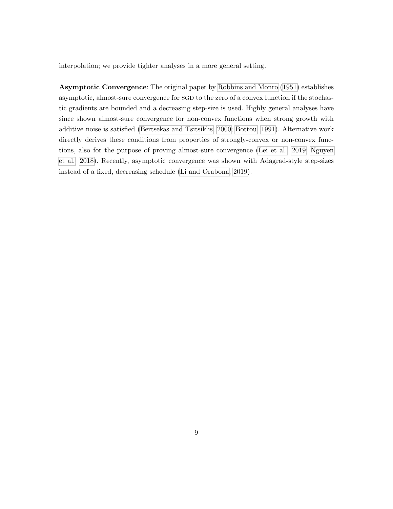interpolation; we provide tighter analyses in a more general setting.

Asymptotic Convergence: The original paper by [Robbins and Monro](#page-76-0) [\(1951\)](#page-76-0) establishes asymptotic, almost-sure convergence for SGD to the zero of a convex function if the stochastic gradients are bounded and a decreasing step-size is used. Highly general analyses have since shown almost-sure convergence for non-convex functions when strong growth with additive noise is satisfied [\(Bertsekas and Tsitsiklis, 2000;](#page-71-10) [Bottou, 1991\)](#page-72-11). Alternative work directly derives these conditions from properties of strongly-convex or non-convex functions, also for the purpose of proving almost-sure convergence [\(Lei et al., 2019;](#page-74-10) [Nguyen](#page-76-9) [et al., 2018\)](#page-76-9). Recently, asymptotic convergence was shown with Adagrad-style step-sizes instead of a fixed, decreasing schedule [\(Li and Orabona, 2019\)](#page-74-1).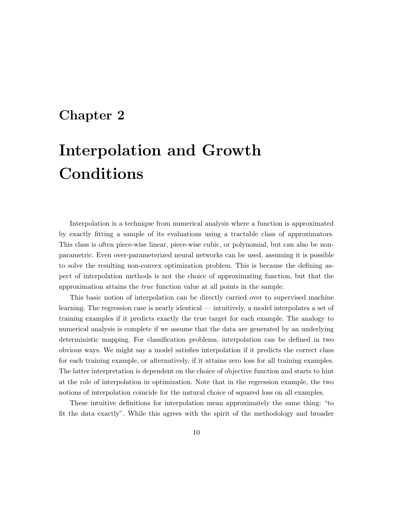### <span id="page-21-0"></span>Chapter 2

# Interpolation and Growth Conditions

Interpolation is a technique from numerical analysis where a function is approximated by exactly fitting a sample of its evaluations using a tractable class of approximators. This class is often piece-wise linear, piece-wise cubic, or polynomial, but can also be nonparametric. Even over-parameterized neural networks can be used, assuming it is possible to solve the resulting non-convex optimization problem. This is because the defining aspect of interpolation methods is not the choice of approximating function, but that the approximation attains the true function value at all points in the sample.

This basic notion of interpolation can be directly carried over to supervised machine learning. The regression case is nearly identical — intuitively, a model interpolates a set of training examples if it predicts exactly the true target for each example. The analogy to numerical analysis is complete if we assume that the data are generated by an underlying deterministic mapping. For classification problems, interpolation can be defined in two obvious ways. We might say a model satisfies interpolation if it predicts the correct class for each training example, or alternatively, if it attains zero loss for all training examples. The latter interpretation is dependent on the choice of objective function and starts to hint at the role of interpolation in optimization. Note that in the regression example, the two notions of interpolation coincide for the natural choice of squared loss on all examples.

These intuitive definitions for interpolation mean approximately the same thing: "to fit the data exactly". While this agrees with the spirit of the methodology and broader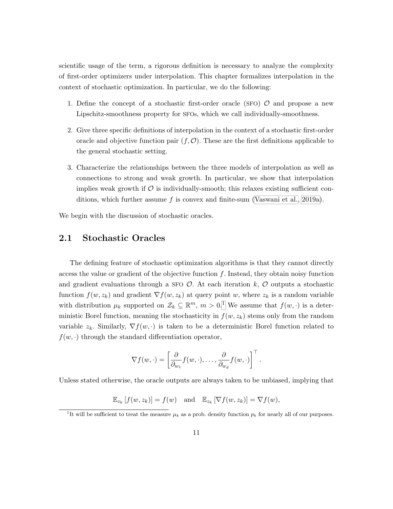scientific usage of the term, a rigorous definition is necessary to analyze the complexity of first-order optimizers under interpolation. This chapter formalizes interpolation in the context of stochastic optimization. In particular, we do the following:

- 1. Define the concept of a stochastic first-order oracle (SFO)  $\mathcal{O}$  and propose a new Lipschitz-smoothness property for SFOs, which we call individually-smoothness.
- 2. Give three specific definitions of interpolation in the context of a stochastic first-order oracle and objective function pair  $(f, \mathcal{O})$ . These are the first definitions applicable to the general stochastic setting.
- 3. Characterize the relationships between the three models of interpolation as well as connections to strong and weak growth. In particular, we show that interpolation implies weak growth if  $\mathcal O$  is individually-smooth; this relaxes existing sufficient con-ditions, which further assume f is convex and finite-sum [\(Vaswani et al., 2019a\)](#page-78-1).

<span id="page-22-0"></span>We begin with the discussion of stochastic oracles.

#### 2.1 Stochastic Oracles

The defining feature of stochastic optimization algorithms is that they cannot directly access the value or gradient of the objective function  $f$ . Instead, they obtain noisy function and gradient evaluations through a SFO  $\mathcal{O}$ . At each iteration k,  $\mathcal{O}$  outputs a stochastic function  $f(w, z_k)$  and gradient  $\nabla f(w, z_k)$  at query point w, where  $z_k$  is a random variable with distribution  $\mu_k$  supported on  $\mathcal{Z}_k \subseteq \mathbb{R}^m$ ,  $m > 0.1$  $m > 0.1$  We assume that  $f(w, \cdot)$  is a deterministic Borel function, meaning the stochasticity in  $f(w, z_k)$  stems only from the random variable  $z_k$ . Similarly,  $\nabla f(w, \cdot)$  is taken to be a deterministic Borel function related to  $f(w, \cdot)$  through the standard differentiation operator,

$$
\nabla f(w, \cdot) = \left[\frac{\partial}{\partial_{w_1}} f(w, \cdot), \dots, \frac{\partial}{\partial_{w_d}} f(w, \cdot)\right]^\top.
$$

Unless stated otherwise, the oracle outputs are always taken to be unbiased, implying that

 $\mathbb{E}_{z_k}[f(w, z_k)] = f(w)$  and  $\mathbb{E}_{z_k}[\nabla f(w, z_k)] = \nabla f(w)$ ,

<span id="page-22-1"></span><sup>&</sup>lt;sup>1</sup>It will be sufficient to treat the measure  $\mu_k$  as a prob. density function  $p_k$  for nearly all of our purposes.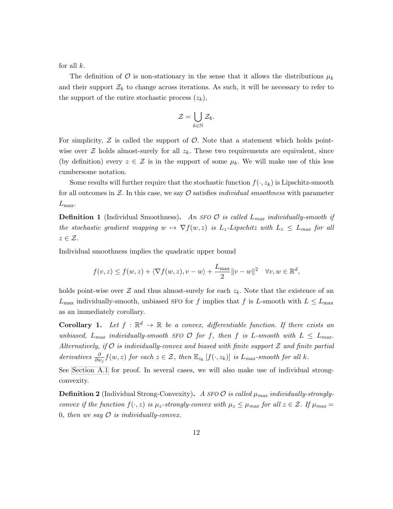for all  $k$ .

The definition of O is non-stationary in the sense that it allows the distributions  $\mu_k$ and their support  $\mathcal{Z}_k$  to change across iterations. As such, it will be necessary to refer to the support of the entire stochastic process  $(z_k)$ ,

$$
\mathcal{Z} = \bigcup_{k \in \mathbb{N}} \mathcal{Z}_k.
$$

For simplicity,  $\mathcal Z$  is called the support of  $\mathcal O$ . Note that a statement which holds pointwise over  $\mathcal Z$  holds almost-surely for all  $z_k$ . These two requirements are equivalent, since (by definition) every  $z \in \mathcal{Z}$  is in the support of some  $\mu_k$ . We will make use of this less cumbersome notation.

Some results will further require that the stochastic function  $f(\cdot, z_k)$  is Lipschitz-smooth for all outcomes in  $\mathcal{Z}$ . In this case, we say  $\mathcal{O}$  satisfies *individual smoothness* with parameter  $L_{\text{max}}$ .

**Definition 1** (Individual Smoothness). An SFO  $\mathcal{O}$  is called  $L_{max}$  individually-smooth if the stochastic gradient mapping  $w \mapsto \nabla f(w, z)$  is  $L_z$ -Lipschitz with  $L_z \leq L_{max}$  for all  $z \in \mathcal{Z}$ .

Individual smoothness implies the quadratic upper bound

$$
f(v, z) \le f(w, z) + \langle \nabla f(w, z), v - w \rangle + \frac{L_{\max}}{2} ||v - w||^2 \quad \forall v, w \in \mathbb{R}^d,
$$

holds point-wise over  $\mathcal Z$  and thus almost-surely for each  $z_k$ . Note that the existence of an  $L_{\text{max}}$  individually-smooth, unbiased SFO for f implies that f is L-smooth with  $L \le L_{\text{max}}$ as an immediately corollary.

**Corollary 1.** Let  $f : \mathbb{R}^d \to \mathbb{R}$  be a convex, differentiable function. If there exists an unbiased,  $L_{max}$  individually-smooth SFO  $\mathcal{O}$  for f, then f is L-smooth with  $L \leq L_{max}$ . Alternatively, if  $O$  is individually-convex and biased with finite support  $\mathcal Z$  and finite partial derivatives  $\frac{\partial}{\partial w_j} f(w, z)$  for each  $z \in \mathcal{Z}$ , then  $\mathbb{E}_{z_k} [f(\cdot, z_k)]$  is  $L_{max}$ -smooth for all k.

See [Section A.1](#page-79-1) for proof. In several cases, we will also make use of individual strongconvexity.

**Definition 2** (Individual Strong-Convexity). A SFO  $\mathcal{O}$  is called  $\mu_{max}$  individually-stronglyconvex if the function  $f(\cdot, z)$  is  $\mu_z$ -strongly-convex with  $\mu_z \leq \mu_{max}$  for all  $z \in \mathcal{Z}$ . If  $\mu_{max} =$ 0, then we say  $\mathcal O$  is individually-convex.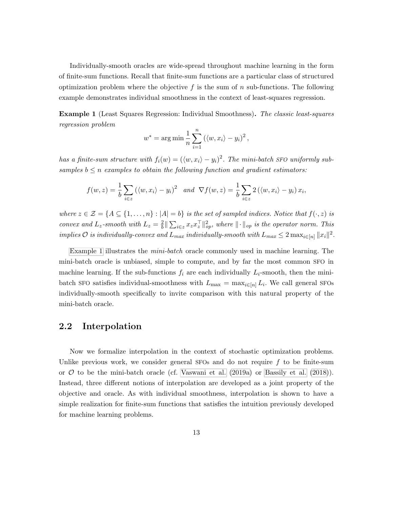Individually-smooth oracles are wide-spread throughout machine learning in the form of finite-sum functions. Recall that finite-sum functions are a particular class of structured optimization problem where the objective f is the sum of n sub-functions. The following example demonstrates individual smoothness in the context of least-squares regression.

<span id="page-24-1"></span>Example 1 (Least Squares Regression: Individual Smoothness). The classic least-squares regression problem

$$
w^* = \arg\min \frac{1}{n} \sum_{i=1}^n (\langle w, x_i \rangle - y_i)^2,
$$

has a finite-sum structure with  $f_i(w) = (\langle w, x_i \rangle - y_i)^2$ . The mini-batch SFO uniformly subsamples  $b \leq n$  examples to obtain the following function and gradient estimators:

$$
f(w, z) = \frac{1}{b} \sum_{i \in z} (\langle w, x_i \rangle - y_i)^2 \text{ and } \nabla f(w, z) = \frac{1}{b} \sum_{i \in z} 2 (\langle w, x_i \rangle - y_i) x_i,
$$

where  $z \in \mathcal{Z} = \{A \subseteq \{1, \ldots, n\} : |A| = b\}$  is the set of sampled indices. Notice that  $f(\cdot, z)$  is convex and  $L_z$ -smooth with  $L_z = \frac{2}{b}$  $\frac{2}{b} \|\sum_{i\in\mathcal{Z}} x_z x_z^{\top}\|_{op}^2$ , where  $\|\cdot\|_{op}$  is the operator norm. This implies  $\mathcal O$  is individually-convex and  $L_{max}$  individually-smooth with  $L_{max} \leq 2 \max_{i \in [n]} ||x_i||^2$ .

[Example 1](#page-24-1) illustrates the mini-batch oracle commonly used in machine learning. The mini-batch oracle is unbiased, simple to compute, and by far the most common SFO in machine learning. If the sub-functions  $f_i$  are each individually  $L_i$ -smooth, then the minibatch SFO satisfies individual-smoothness with  $L_{\text{max}} = \max_{i \in [n]} L_i$ . We call general SFOs individually-smooth specifically to invite comparison with this natural property of the mini-batch oracle.

#### <span id="page-24-0"></span>2.2 Interpolation

Now we formalize interpolation in the context of stochastic optimization problems. Unlike previous work, we consider general SFOs and do not require  $f$  to be finite-sum or  $\mathcal O$  to be the mini-batch oracle (cf. [Vaswani et al.](#page-78-1) [\(2019a\)](#page-78-1) or [Bassily et al.](#page-71-5) [\(2018\)](#page-71-5)). Instead, three different notions of interpolation are developed as a joint property of the objective and oracle. As with individual smoothness, interpolation is shown to have a simple realization for finite-sum functions that satisfies the intuition previously developed for machine learning problems.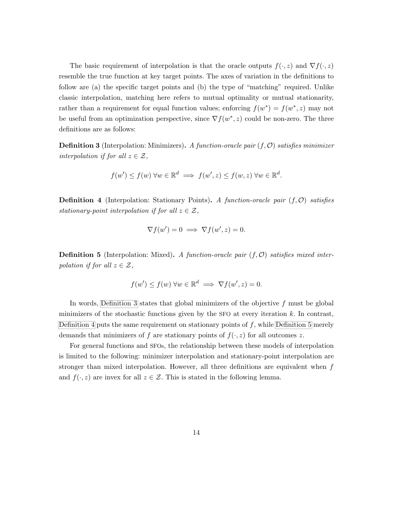The basic requirement of interpolation is that the oracle outputs  $f(\cdot, z)$  and  $\nabla f(\cdot, z)$ resemble the true function at key target points. The axes of variation in the definitions to follow are (a) the specific target points and (b) the type of "matching" required. Unlike classic interpolation, matching here refers to mutual optimality or mutual stationarity, rather than a requirement for equal function values; enforcing  $f(w^*) = f(w^*, z)$  may not be useful from an optimization perspective, since  $\nabla f(w^*, z)$  could be non-zero. The three definitions are as follows:

<span id="page-25-0"></span>**Definition 3** (Interpolation: Minimizers). A function-oracle pair  $(f, O)$  satisfies minimizer interpolation if for all  $z \in \mathcal{Z}$ ,

$$
f(w') \le f(w) \,\forall w \in \mathbb{R}^d \implies f(w', z) \le f(w, z) \,\forall w \in \mathbb{R}^d.
$$

<span id="page-25-1"></span>**Definition 4** (Interpolation: Stationary Points). A function-oracle pair  $(f, O)$  satisfies stationary-point interpolation if for all  $z \in \mathcal{Z}$ ,

$$
\nabla f(w') = 0 \implies \nabla f(w', z) = 0.
$$

<span id="page-25-2"></span>**Definition 5** (Interpolation: Mixed). A function-oracle pair  $(f, O)$  satisfies mixed interpolation if for all  $z \in \mathcal{Z}$ ,

$$
f(w') \le f(w) \,\forall w \in \mathbb{R}^d \implies \nabla f(w', z) = 0.
$$

In words, [Definition 3](#page-25-0) states that global minimizers of the objective  $f$  must be global minimizers of the stochastic functions given by the SFO at every iteration  $k$ . In contrast, [Definition 4](#page-25-1) puts the same requirement on stationary points of  $f$ , while [Definition 5](#page-25-2) merely demands that minimizers of f are stationary points of  $f(\cdot, z)$  for all outcomes z.

For general functions and SFOs, the relationship between these models of interpolation is limited to the following: minimizer interpolation and stationary-point interpolation are stronger than mixed interpolation. However, all three definitions are equivalent when  $f$ and  $f(\cdot, z)$  are invex for all  $z \in \mathcal{Z}$ . This is stated in the following lemma.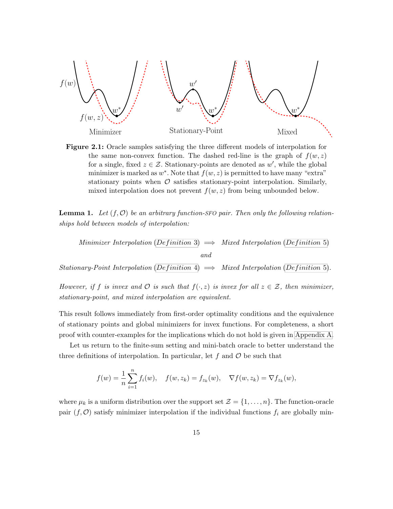<span id="page-26-0"></span>

Figure 2.1: Oracle samples satisfying the three different models of interpolation for the same non-convex function. The dashed red-line is the graph of  $f(w, z)$ for a single, fixed  $z \in \mathcal{Z}$ . Stationary-points are denoted as w', while the global minimizer is marked as  $w^*$ . Note that  $f(w, z)$  is permitted to have many "extra" stationary points when  $\mathcal O$  satisfies stationary-point interpolation. Similarly, mixed interpolation does not prevent  $f(w, z)$  from being unbounded below.

**Lemma 1.** Let  $(f, \mathcal{O})$  be an arbitrary function-SFO pair. Then only the following relationships hold between models of interpolation:

Minimizer Interpolation (Definition 3)  $\implies$  Mixed Interpolation (Definition 5) and

Stationary-Point Interpolation (Definition 4)  $\implies$  Mixed Interpolation (Definition 5).

However, if f is invex and  $\mathcal O$  is such that  $f(\cdot, z)$  is invex for all  $z \in \mathcal Z$ , then minimizer, stationary-point, and mixed interpolation are equivalent.

This result follows immediately from first-order optimality conditions and the equivalence of stationary points and global minimizers for invex functions. For completeness, a short proof with counter-examples for the implications which do not hold is given in [Appendix A.](#page-79-0)

Let us return to the finite-sum setting and mini-batch oracle to better understand the three definitions of interpolation. In particular, let  $f$  and  $\mathcal O$  be such that

$$
f(w) = \frac{1}{n} \sum_{i=1}^{n} f_i(w), \quad f(w, z_k) = f_{z_k}(w), \quad \nabla f(w, z_k) = \nabla f_{z_k}(w),
$$

where  $\mu_k$  is a uniform distribution over the support set  $\mathcal{Z} = \{1, \ldots, n\}$ . The function-oracle pair  $(f, \mathcal{O})$  satisfy minimizer interpolation if the individual functions  $f_i$  are globally min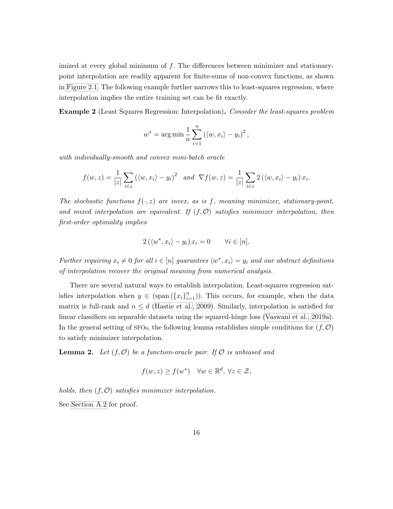imized at every global minimum of  $f$ . The differences between minimizer and stationarypoint interpolation are readily apparent for finite-sums of non-convex functions, as shown in [Figure 2.1.](#page-26-0) The following example further narrows this to least-squares regression, where interpolation implies the entire training set can be fit exactly.

Example 2 (Least Squares Regression: Interpolation). Consider the least-squares problem

$$
w^* = \arg\min \frac{1}{n} \sum_{i=1}^n (\langle w, x_i \rangle - y_i)^2,
$$

with individually-smooth and convex mini-batch oracle

$$
f(w, z) = \frac{1}{|z|} \sum_{i \in z} (\langle w, x_i \rangle - y_i)^2 \quad and \quad \nabla f(w, z) = \frac{1}{|z|} \sum_{i \in z} 2 (\langle w, x_i \rangle - y_i) x_i.
$$

The stochastic functions  $f(\cdot, z)$  are invex, as is f, meaning minimizer, stationary-point, and mixed interpolation are equivalent. If  $(f, O)$  satisfies minimizer interpolation, then first-order optimality implies

$$
2(\langle w^*, x_i \rangle - y_i) x_i = 0 \qquad \forall i \in [n].
$$

Further requiring  $x_i \neq 0$  for all  $i \in [n]$  guarantees  $\langle w^*, x_i \rangle = y_i$  and our abstract definitions of interpolation recover the original meaning from numerical analysis.

There are several natural ways to establish interpolation. Least-squares regression satisfies interpolation when  $y \in (\text{span}(\{x_i\}_{i=1}^n))$ . This occurs, for example, when the data matrix is full-rank and  $n \leq d$  [\(Hastie et al., 2009\)](#page-73-11). Similarly, interpolation is satisfied for linear classifiers on separable datasets using the squared-hinge loss [\(Vaswani et al., 2019a\)](#page-78-1). In the general setting of SFOs, the following lemma establishes simple conditions for  $(f, \mathcal{O})$ to satisfy minimizer interpolation.

<span id="page-27-0"></span>**Lemma 2.** Let  $(f, \mathcal{O})$  be a function-oracle pair. If  $\mathcal{O}$  is unbiased and

$$
f(w, z) \ge f(w^*) \quad \forall w \in \mathbb{R}^d, \ \forall z \in \mathcal{Z},
$$

holds, then  $(f, O)$  satisfies minimizer interpolation.

See [Section A.2](#page-80-0) for proof.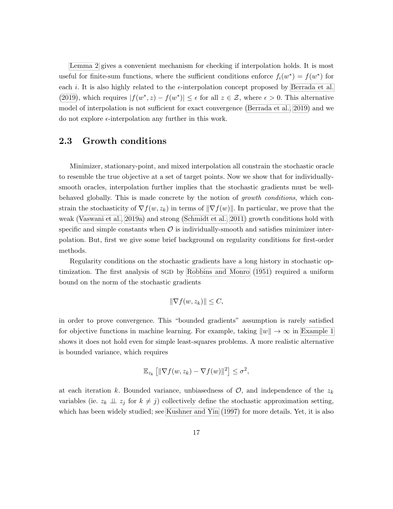[Lemma 2](#page-27-0) gives a convenient mechanism for checking if interpolation holds. It is most useful for finite-sum functions, where the sufficient conditions enforce  $f_i(w^*) = f(w^*)$  for each i. It is also highly related to the  $\epsilon$ -interpolation concept proposed by [Berrada et al.](#page-71-6) [\(2019\)](#page-71-6), which requires  $|f(w^*, z) - f(w^*)| \leq \epsilon$  for all  $z \in \mathcal{Z}$ , where  $\epsilon > 0$ . This alternative model of interpolation is not sufficient for exact convergence [\(Berrada et al., 2019\)](#page-71-6) and we do not explore  $\epsilon$ -interpolation any further in this work.

#### <span id="page-28-0"></span>2.3 Growth conditions

Minimizer, stationary-point, and mixed interpolation all constrain the stochastic oracle to resemble the true objective at a set of target points. Now we show that for individuallysmooth oracles, interpolation further implies that the stochastic gradients must be wellbehaved globally. This is made concrete by the notion of growth conditions, which constrain the stochasticity of  $\nabla f(w, z_k)$  in terms of  $\|\nabla f(w)\|$ . In particular, we prove that the weak [\(Vaswani et al., 2019a\)](#page-78-1) and strong [\(Schmidt et al., 2011\)](#page-77-7) growth conditions hold with specific and simple constants when  $\mathcal O$  is individually-smooth and satisfies minimizer interpolation. But, first we give some brief background on regularity conditions for first-order methods.

Regularity conditions on the stochastic gradients have a long history in stochastic optimization. The first analysis of SGD by [Robbins and Monro](#page-76-0) [\(1951\)](#page-76-0) required a uniform bound on the norm of the stochastic gradients

$$
\|\nabla f(w, z_k)\| \le C,
$$

in order to prove convergence. This "bounded gradients" assumption is rarely satisfied for objective functions in machine learning. For example, taking  $\|w\| \to \infty$  in [Example 1](#page-24-1) shows it does not hold even for simple least-squares problems. A more realistic alternative is bounded variance, which requires

$$
\mathbb{E}_{z_k} \left[ \|\nabla f(w, z_k) - \nabla f(w)\|^2 \right] \leq \sigma^2,
$$

at each iteration k. Bounded variance, unbiasedness of  $\mathcal{O}$ , and independence of the  $z_k$ variables (ie.  $z_k \perp z_j$  for  $k \neq j$ ) collectively define the stochastic approximation setting, which has been widely studied; see [Kushner and Yin](#page-74-11) [\(1997\)](#page-74-11) for more details. Yet, it is also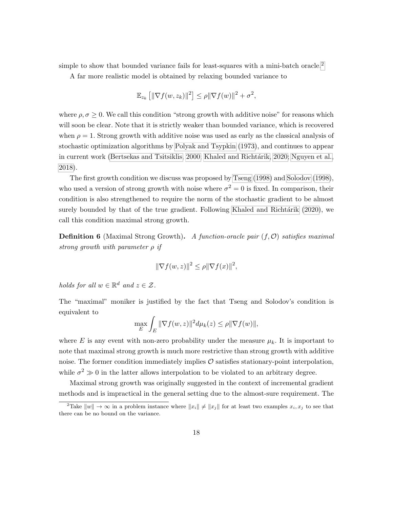simple to show that bounded variance fails for least-squares with a mini-batch oracle.<sup>[2](#page-29-0)</sup>

A far more realistic model is obtained by relaxing bounded variance to

$$
\mathbb{E}_{z_k} \left[ \|\nabla f(w, z_k)\|^2 \right] \le \rho \|\nabla f(w)\|^2 + \sigma^2,
$$

where  $\rho, \sigma \geq 0$ . We call this condition "strong growth with additive noise" for reasons which will soon be clear. Note that it is strictly weaker than bounded variance, which is recovered when  $\rho = 1$ . Strong growth with additive noise was used as early as the classical analysis of stochastic optimization algorithms by [Polyak and Tsypkin](#page-76-10) [\(1973\)](#page-76-10), and continues to appear in current work [\(Bertsekas and Tsitsiklis, 2000;](#page-71-10) Khaled and Richtárik, 2020; [Nguyen et al.,](#page-76-9) [2018\)](#page-76-9).

The first growth condition we discuss was proposed by [Tseng](#page-78-7) [\(1998\)](#page-78-7) and [Solodov](#page-77-6) [\(1998\)](#page-77-6), who used a version of strong growth with noise where  $\sigma^2 = 0$  is fixed. In comparison, their condition is also strengthened to require the norm of the stochastic gradient to be almost surely bounded by that of the true gradient. Following Khaled and Richtárik [\(2020\)](#page-74-6), we call this condition maximal strong growth.

**Definition 6** (Maximal Strong Growth). A function-oracle pair  $(f, O)$  satisfies maximal strong growth with parameter  $\rho$  if

$$
\|\nabla f(w, z)\|^2 \le \rho \|\nabla f(x)\|^2,
$$

holds for all  $w \in \mathbb{R}^d$  and  $z \in \mathcal{Z}$ .

The "maximal" moniker is justified by the fact that Tseng and Solodov's condition is equivalent to

$$
\max_{E} \int_{E} \|\nabla f(w, z)\|^2 d\mu_k(z) \le \rho \|\nabla f(w)\|,
$$

where E is any event with non-zero probability under the measure  $\mu_k$ . It is important to note that maximal strong growth is much more restrictive than strong growth with additive noise. The former condition immediately implies  $\mathcal O$  satisfies stationary-point interpolation, while  $\sigma^2 \gg 0$  in the latter allows interpolation to be violated to an arbitrary degree.

Maximal strong growth was originally suggested in the context of incremental gradient methods and is impractical in the general setting due to the almost-sure requirement. The

<span id="page-29-0"></span><sup>&</sup>lt;sup>2</sup>Take  $||w|| \to \infty$  in a problem instance where  $||x_i|| \neq ||x_j||$  for at least two examples  $x_i, x_j$  to see that there can be no bound on the variance.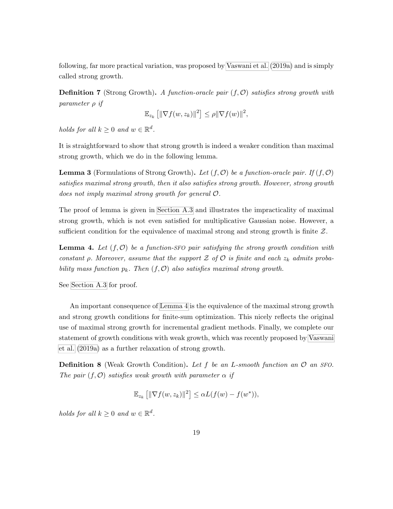following, far more practical variation, was proposed by [Vaswani et al.](#page-78-1) [\(2019a\)](#page-78-1) and is simply called strong growth.

**Definition 7** (Strong Growth). A function-oracle pair  $(f, \mathcal{O})$  satisfies strong growth with parameter ρ if

$$
\mathbb{E}_{z_k} \left[ \|\nabla f(w, z_k)\|^2 \right] \le \rho \|\nabla f(w)\|^2,
$$

holds for all  $k \geq 0$  and  $w \in \mathbb{R}^d$ .

It is straightforward to show that strong growth is indeed a weaker condition than maximal strong growth, which we do in the following lemma.

**Lemma 3** (Formulations of Strong Growth). Let  $(f, \mathcal{O})$  be a function-oracle pair. If  $(f, \mathcal{O})$ satisfies maximal strong growth, then it also satisfies strong growth. However, strong growth does not imply maximal strong growth for general O.

The proof of lemma is given in [Section A.3](#page-82-0) and illustrates the impracticality of maximal strong growth, which is not even satisfied for multiplicative Gaussian noise. However, a sufficient condition for the equivalence of maximal strong and strong growth is finite  $\mathcal{Z}$ .

<span id="page-30-0"></span>**Lemma 4.** Let  $(f, \mathcal{O})$  be a function-SFO pair satisfying the strong growth condition with constant  $\rho$ . Moreover, assume that the support  $\mathcal Z$  of  $\mathcal O$  is finite and each  $z_k$  admits probability mass function  $p_k$ . Then  $(f, O)$  also satisfies maximal strong growth.

See [Section A.3](#page-82-0) for proof.

An important consequence of [Lemma 4](#page-30-0) is the equivalence of the maximal strong growth and strong growth conditions for finite-sum optimization. This nicely reflects the original use of maximal strong growth for incremental gradient methods. Finally, we complete our statement of growth conditions with weak growth, which was recently proposed by [Vaswani](#page-78-1) [et al.](#page-78-1) [\(2019a\)](#page-78-1) as a further relaxation of strong growth.

**Definition 8** (Weak Growth Condition). Let f be an L-smooth function an  $\mathcal{O}$  an SFO. The pair  $(f, \mathcal{O})$  satisfies weak growth with parameter  $\alpha$  if

$$
\mathbb{E}_{z_k}\left[\|\nabla f(w,z_k)\|^2\right] \leq \alpha L(f(w) - f(w^*)),
$$

holds for all  $k \geq 0$  and  $w \in \mathbb{R}^d$ .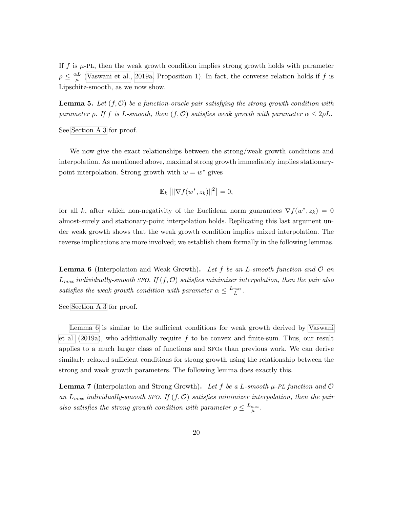If f is  $\mu$ -PL, then the weak growth condition implies strong growth holds with parameter  $\rho \leq \frac{\alpha L}{\mu}$  $\frac{\partial L}{\partial \mu}$  [\(Vaswani et al., 2019a,](#page-78-1) Proposition 1). In fact, the converse relation holds if f is Lipschitz-smooth, as we now show.

**Lemma 5.** Let  $(f, \mathcal{O})$  be a function-oracle pair satisfying the strong growth condition with parameter  $\rho$ . If f is L-smooth, then  $(f, O)$  satisfies weak growth with parameter  $\alpha \leq 2\rho L$ .

See [Section A.3](#page-82-0) for proof.

We now give the exact relationships between the strong/weak growth conditions and interpolation. As mentioned above, maximal strong growth immediately implies stationarypoint interpolation. Strong growth with  $w = w^*$  gives

$$
\mathbb{E}_k \left[ \|\nabla f(w^*, z_k)\|^2 \right] = 0,
$$

for all k, after which non-negativity of the Euclidean norm guarantees  $\nabla f(w^*, z_k) = 0$ almost-surely and stationary-point interpolation holds. Replicating this last argument under weak growth shows that the weak growth condition implies mixed interpolation. The reverse implications are more involved; we establish them formally in the following lemmas.

<span id="page-31-0"></span>**Lemma 6** (Interpolation and Weak Growth). Let f be an L-smooth function and  $\mathcal{O}$  an  $L_{max}$  individually-smooth SFO. If  $(f, \mathcal{O})$  satisfies minimizer interpolation, then the pair also satisfies the weak growth condition with parameter  $\alpha \leq \frac{L_{max}}{L}$ .

See [Section A.3](#page-82-0) for proof.

[Lemma 6](#page-31-0) is similar to the sufficient conditions for weak growth derived by [Vaswani](#page-78-1) [et al.](#page-78-1)  $(2019a)$ , who additionally require f to be convex and finite-sum. Thus, our result applies to a much larger class of functions and SFOs than previous work. We can derive similarly relaxed sufficient conditions for strong growth using the relationship between the strong and weak growth parameters. The following lemma does exactly this.

<span id="page-31-1"></span>**Lemma 7** (Interpolation and Strong Growth). Let f be a L-smooth  $\mu$ -PL function and  $\mathcal{O}$ an  $L_{max}$  individually-smooth SFO. If  $(f, O)$  satisfies minimizer interpolation, then the pair also satisfies the strong growth condition with parameter  $\rho \leq \frac{L_{max}}{\mu}$ .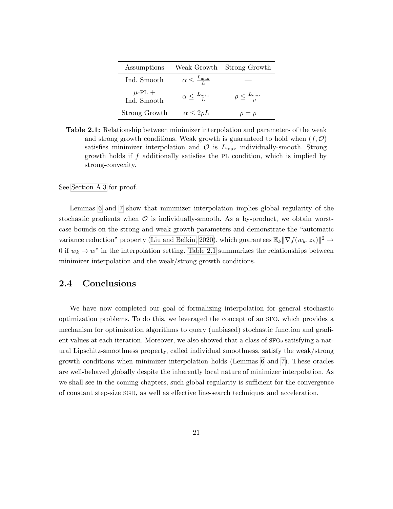<span id="page-32-1"></span>

| Assumptions                |                                  | Weak Growth Strong Growth              |
|----------------------------|----------------------------------|----------------------------------------|
| Ind. Smooth                | $\alpha \leq \frac{L_{\max}}{L}$ |                                        |
| $\mu$ -PL +<br>Ind. Smooth | $\alpha \leq \frac{L_{\max}}{L}$ | $\rho \leq \frac{L_{\text{max}}}{\mu}$ |
| Strong Growth              | $\alpha \leq 2\rho L$            | $\rho = \rho$                          |

Table 2.1: Relationship between minimizer interpolation and parameters of the weak and strong growth conditions. Weak growth is guaranteed to hold when  $(f, \mathcal{O})$ satisfies minimizer interpolation and  $\mathcal{O}$  is  $L_{\text{max}}$  individually-smooth. Strong growth holds if f additionally satisfies the PL condition, which is implied by strong-convexity.

See [Section A.3](#page-82-0) for proof.

Lemmas [6](#page-31-0) and [7](#page-31-1) show that minimizer interpolation implies global regularity of the stochastic gradients when  $\mathcal O$  is individually-smooth. As a by-product, we obtain worstcase bounds on the strong and weak growth parameters and demonstrate the "automatic variance reduction" property [\(Liu and Belkin, 2020\)](#page-75-5), which guarantees  $\mathbb{E}_k ||\nabla f(w_k, z_k)||^2 \to$ 0 if  $w_k \to w^*$  in the interpolation setting. [Table 2.1](#page-32-1) summarizes the relationships between minimizer interpolation and the weak/strong growth conditions.

#### <span id="page-32-0"></span>2.4 Conclusions

We have now completed our goal of formalizing interpolation for general stochastic optimization problems. To do this, we leveraged the concept of an SFO, which provides a mechanism for optimization algorithms to query (unbiased) stochastic function and gradient values at each iteration. Moreover, we also showed that a class of SFOs satisfying a natural Lipschitz-smoothness property, called individual smoothness, satisfy the weak/strong growth conditions when minimizer interpolation holds (Lemmas [6](#page-31-0) and [7\)](#page-31-1). These oracles are well-behaved globally despite the inherently local nature of minimizer interpolation. As we shall see in the coming chapters, such global regularity is sufficient for the convergence of constant step-size SGD, as well as effective line-search techniques and acceleration.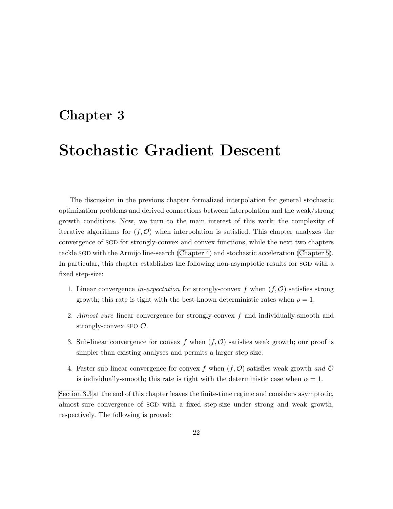### <span id="page-33-0"></span>Chapter 3

## Stochastic Gradient Descent

The discussion in the previous chapter formalized interpolation for general stochastic optimization problems and derived connections between interpolation and the weak/strong growth conditions. Now, we turn to the main interest of this work: the complexity of iterative algorithms for  $(f, \mathcal{O})$  when interpolation is satisfied. This chapter analyzes the convergence of SGD for strongly-convex and convex functions, while the next two chapters tackle SGD with the Armijo line-search [\(Chapter 4\)](#page-43-0) and stochastic acceleration [\(Chapter 5\)](#page-54-0). In particular, this chapter establishes the following non-asymptotic results for SGD with a fixed step-size:

- 1. Linear convergence in-expectation for strongly-convex f when  $(f, \mathcal{O})$  satisfies strong growth; this rate is tight with the best-known deterministic rates when  $\rho = 1$ .
- 2. Almost sure linear convergence for strongly-convex f and individually-smooth and strongly-convex SFO  $\mathcal{O}.$
- 3. Sub-linear convergence for convex f when  $(f, \mathcal{O})$  satisfies weak growth; our proof is simpler than existing analyses and permits a larger step-size.
- 4. Faster sub-linear convergence for convex f when  $(f, \mathcal{O})$  satisfies weak growth and  $\mathcal O$ is individually-smooth; this rate is tight with the deterministic case when  $\alpha = 1$ .

[Section 3.3](#page-40-0) at the end of this chapter leaves the finite-time regime and considers asymptotic, almost-sure convergence of SGD with a fixed step-size under strong and weak growth, respectively. The following is proved: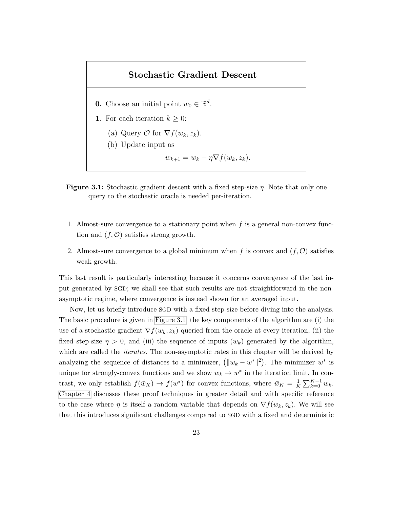#### Stochastic Gradient Descent

- <span id="page-34-0"></span>**0.** Choose an initial point  $w_0 \in \mathbb{R}^d$ .
- 1. For each iteration  $k \geq 0$ :
	- (a) Query  $\mathcal{O}$  for  $\nabla f(w_k, z_k)$ .
	- (b) Update input as
		- $w_{k+1} = w_k \eta \nabla f(w_k, z_k).$
- **Figure 3.1:** Stochastic gradient descent with a fixed step-size  $\eta$ . Note that only one query to the stochastic oracle is needed per-iteration.
- 1. Almost-sure convergence to a stationary point when  $f$  is a general non-convex function and  $(f, \mathcal{O})$  satisfies strong growth.
- 2. Almost-sure convergence to a global minimum when f is convex and  $(f, \mathcal{O})$  satisfies weak growth.

This last result is particularly interesting because it concerns convergence of the last input generated by SGD; we shall see that such results are not straightforward in the nonasymptotic regime, where convergence is instead shown for an averaged input.

Now, let us briefly introduce SGD with a fixed step-size before diving into the analysis. The basic procedure is given in [Figure 3.1;](#page-34-0) the key components of the algorithm are (i) the use of a stochastic gradient  $\nabla f(w_k, z_k)$  queried from the oracle at every iteration, (ii) the fixed step-size  $\eta > 0$ , and (iii) the sequence of inputs  $(w_k)$  generated by the algorithm, which are called the *iterates*. The non-asymptotic rates in this chapter will be derived by analyzing the sequence of distances to a minimizer,  $(||w_k - w^*||^2)$ . The minimizer w<sup>\*</sup> is unique for strongly-convex functions and we show  $w_k \to w^*$  in the iteration limit. In contrast, we only establish  $f(\bar{w}_K) \to f(w^*)$  for convex functions, where  $\bar{w}_K = \frac{1}{K}$  $\frac{1}{K} \sum_{k=0}^{K-1} w_k.$ [Chapter 4](#page-43-0) discusses these proof techniques in greater detail and with specific reference to the case where  $\eta$  is itself a random variable that depends on  $\nabla f(w_k, z_k)$ . We will see that this introduces significant challenges compared to SGD with a fixed and deterministic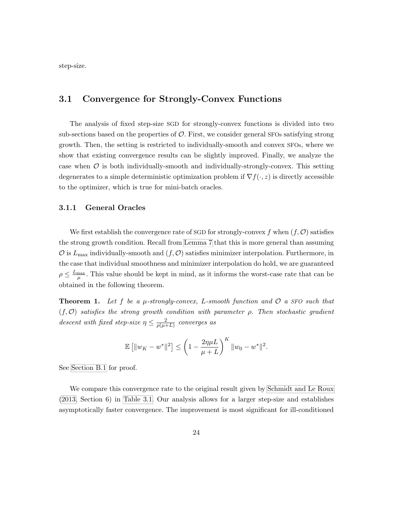step-size.

#### <span id="page-35-0"></span>3.1 Convergence for Strongly-Convex Functions

The analysis of fixed step-size SGD for strongly-convex functions is divided into two sub-sections based on the properties of  $\mathcal O$ . First, we consider general SFOs satisfying strong growth. Then, the setting is restricted to individually-smooth and convex SFOs, where we show that existing convergence results can be slightly improved. Finally, we analyze the case when  $\mathcal O$  is both individually-smooth and individually-strongly-convex. This setting degenerates to a simple deterministic optimization problem if  $\nabla f(\cdot, z)$  is directly accessible to the optimizer, which is true for mini-batch oracles.

#### <span id="page-35-1"></span>3.1.1 General Oracles

We first establish the convergence rate of SGD for strongly-convex f when  $(f, \mathcal{O})$  satisfies the strong growth condition. Recall from [Lemma 7](#page-31-1) that this is more general than assuming  $\mathcal O$  is  $L_{\text{max}}$  individually-smooth and  $(f, \mathcal O)$  satisfies minimizer interpolation. Furthermore, in the case that individual smoothness and minimizer interpolation do hold, we are guaranteed  $\rho \leq \frac{L_{\text{max}}}{\mu}$ . This value should be kept in mind, as it informs the worst-case rate that can be obtained in the following theorem.

**Theorem 1.** Let f be a  $\mu$ -strongly-convex, L-smooth function and  $\mathcal{O}$  a SFO such that  $(f, O)$  satisfies the strong growth condition with parameter  $\rho$ . Then stochastic gradient descent with fixed step-size  $\eta \leq \frac{2}{\eta(\mu)}$  $\frac{2}{\rho(\mu+L)}$  converges as

$$
\mathbb{E} [||w_K - w^*||^2] \le \left(1 - \frac{2\eta\mu L}{\mu + L}\right)^K ||w_0 - w^*||^2.
$$

See [Section B.1](#page-86-1) for proof.

We compare this convergence rate to the original result given by [Schmidt and Le Roux](#page-77-5) [\(2013,](#page-77-5) Section 6) in [Table 3.1.](#page-37-0) Our analysis allows for a larger step-size and establishes asymptotically faster convergence. The improvement is most significant for ill-conditioned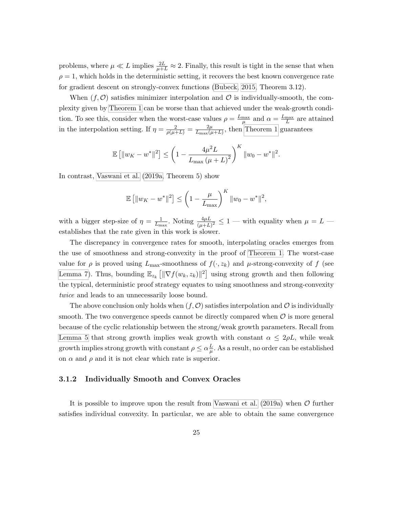problems, where  $\mu \ll L$  implies  $\frac{2L}{\mu+L} \approx 2$ . Finally, this result is tight in the sense that when  $\rho = 1$ , which holds in the deterministic setting, it recovers the best known convergence rate for gradient descent on strongly-convex functions [\(Bubeck, 2015,](#page-72-0) Theorem 3.12).

When  $(f, \mathcal{O})$  satisfies minimizer interpolation and  $\mathcal O$  is individually-smooth, the complexity given by [Theorem 1](#page-35-0) can be worse than that achieved under the weak-growth condition. To see this, consider when the worst-case values  $\rho = \frac{L_{\text{max}}}{\mu}$  and  $\alpha = \frac{L_{\text{max}}}{L}$  are attained in the interpolation setting. If  $\eta = \frac{2}{\rho(\mu+L)} = \frac{2\mu}{L_{\text{max}}(\mu+L)}$  $\frac{2\mu}{L_{\text{max}}(\mu+L)}$ , then [Theorem 1](#page-35-0) guarantees

$$
\mathbb{E} [||w_K - w^*||^2] \le \left(1 - \frac{4\mu^2 L}{L_{\text{max}}(\mu + L)^2}\right)^K ||w_0 - w^*||^2.
$$

In contrast, [Vaswani et al.](#page-78-0) [\(2019a,](#page-78-0) Theorem 5) show

$$
\mathbb{E} [||w_K - w^*||^2] \le \left(1 - \frac{\mu}{L_{\text{max}}}\right)^K ||w_0 - w^*||^2,
$$

with a bigger step-size of  $\eta = \frac{1}{l_m}$  $\frac{1}{L_{\text{max}}}$ . Noting  $\frac{4\mu L}{(\mu+L)^2} \leq 1$  — with equality when  $\mu = L$  establishes that the rate given in this work is slower.

The discrepancy in convergence rates for smooth, interpolating oracles emerges from the use of smoothness and strong-convexity in the proof of [Theorem 1.](#page-35-0) The worst-case value for  $\rho$  is proved using  $L_{\text{max}}$ -smoothness of  $f(\cdot, z_k)$  and  $\mu$ -strong-convexity of f (see [Lemma 7\)](#page-31-0). Thus, bounding  $\mathbb{E}_{z_k} \left[ \|\nabla f(w_k, z_k)\|^2 \right]$  using strong growth and then following the typical, deterministic proof strategy equates to using smoothness and strong-convexity twice and leads to an unnecessarily loose bound.

The above conclusion only holds when  $(f, \mathcal{O})$  satisfies interpolation and  $\mathcal O$  is individually smooth. The two convergence speeds cannot be directly compared when  $\mathcal O$  is more general because of the cyclic relationship between the strong/weak growth parameters. Recall from [Lemma 5](#page-31-1) that strong growth implies weak growth with constant  $\alpha \leq 2\rho L$ , while weak growth implies strong growth with constant  $\rho \leq \alpha \frac{L}{\mu}$  $\frac{L}{\mu}$ . As a result, no order can be established on  $\alpha$  and  $\rho$  and it is not clear which rate is superior.

#### <span id="page-36-0"></span>3.1.2 Individually Smooth and Convex Oracles

It is possible to improve upon the result from [Vaswani et al.](#page-78-0)  $(2019a)$  when  $\mathcal O$  further satisfies individual convexity. In particular, we are able to obtain the same convergence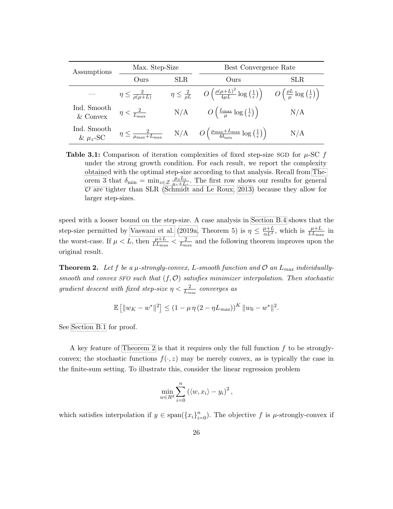| Assumptions                  | Max. Step-Size                    |      | Best Convergence Rate                                                                                                                                                              |      |
|------------------------------|-----------------------------------|------|------------------------------------------------------------------------------------------------------------------------------------------------------------------------------------|------|
|                              | Ours                              | SLR. | Ours                                                                                                                                                                               | SLR. |
|                              | $\eta \leq \frac{2}{\rho(\mu+L)}$ |      | $\eta \leq \frac{2}{\rho L}$ $O\left(\frac{\rho(\mu+L)^2}{4\mu L}\log\left(\frac{1}{\epsilon}\right)\right)$ $O\left(\frac{\rho L}{\mu}\log\left(\frac{1}{\epsilon}\right)\right)$ |      |
| Ind. Smooth $\&$ Convex      | $\eta < \frac{2}{L_{\max}}$       |      | N/A $O\left(\frac{L_{\text{max}}}{\mu} \log\left(\frac{1}{\epsilon}\right)\right)$                                                                                                 | N/A  |
| Ind. Smooth<br>& $\mu_z$ -SC |                                   |      | $\eta \leq \frac{2}{\mu_{\max} + L_{\max}}$ N/A $O\left(\frac{\mu_{\max} + L_{\max}}{4\delta_{\min}} \log\left(\frac{1}{\epsilon}\right)\right)$                                   | N/A  |

**Table 3.1:** Comparison of iteration complexities of fixed step-size SGD for  $\mu$ -SC f under the strong growth condition. For each result, we report the complexity obtained with the optimal step-size according to that analysis. Recall from [The](#page-38-0)[orem 3](#page-38-0) that  $\delta_{\min} = \min_{z \in \mathcal{Z}} \frac{\mu_z L_z}{\mu_z + L_z}$  $\frac{\mu_z L_z}{\mu_z + L_z}$ . The first row shows our results for general  $\mathcal O$  are tighter than SLR [\(Schmidt and Le Roux, 2013\)](#page-77-0) because they allow for larger step-sizes.

speed with a looser bound on the step-size. A case analysis in [Section B.4](#page-94-0) shows that the step-size permitted by [Vaswani et al.](#page-78-0) [\(2019a,](#page-78-0) Theorem 5) is  $\eta \leq \frac{\mu+L}{\alpha L^2}$ , which is  $\frac{\mu+L}{LL_{\text{max}}}$  in the worst-case. If  $\mu < L$ , then  $\frac{\mu+L}{LL_{\text{max}}} < \frac{2}{L_{\text{m}}}$  $\frac{2}{L_{\text{max}}}$  and the following theorem improves upon the original result.

<span id="page-37-0"></span>**Theorem 2.** Let f be a  $\mu$ -strongly-convex, L-smooth function and  $\mathcal{O}$  an  $L_{max}$  individuallysmooth and convex SFO such that  $(f, O)$  satisfies minimizer interpolation. Then stochastic gradient descent with fixed step-size  $\eta < \frac{2}{L_{max}}$  converges as

$$
\mathbb{E} [||w_K - w^*||^2] \le (1 - \mu \eta (2 - \eta L_{max}))^K ||w_0 - w^*||^2.
$$

See [Section B.1](#page-86-0) for proof.

A key feature of [Theorem 2](#page-37-0) is that it requires only the full function  $f$  to be stronglyconvex; the stochastic functions  $f(\cdot, z)$  may be merely convex, as is typically the case in the finite-sum setting. To illustrate this, consider the linear regression problem

$$
\min_{w \in R^d} \sum_{i=0}^n (\langle w, x_i \rangle - y_i)^2,
$$

which satisfies interpolation if  $y \in \text{span}(\{x_i\}_{i=0}^n)$ . The objective f is  $\mu$ -strongly-convex if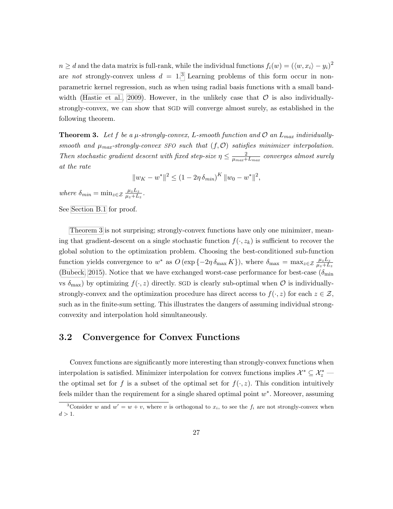$n \geq d$  and the data matrix is full-rank, while the individual functions  $f_i(w) = (\langle w, x_i \rangle - y_i)^2$ are not strongly-convex unless  $d = 1<sup>3</sup>$  $d = 1<sup>3</sup>$  $d = 1<sup>3</sup>$  Learning problems of this form occur in nonparametric kernel regression, such as when using radial basis functions with a small band-width [\(Hastie et al., 2009\)](#page-73-0). However, in the unlikely case that  $\mathcal O$  is also individuallystrongly-convex, we can show that SGD will converge almost surely, as established in the following theorem.

<span id="page-38-0"></span>**Theorem 3.** Let f be a  $\mu$ -strongly-convex, L-smooth function and  $\mathcal{O}$  an  $L_{max}$  individuallysmooth and  $\mu_{max}$ -strongly-convex SFO such that  $(f, O)$  satisfies minimizer interpolation. Then stochastic gradient descent with fixed step-size  $\eta \leq \frac{2}{\mu + \frac{1}{2}}$  $\frac{2}{\mu_{max}+L_{max}}$  converges almost surely at the rate

$$
||w_K - w^*||^2 \le (1 - 2\eta \,\delta_{min})^K ||w_0 - w^*||^2,
$$

where  $\delta_{min} = \min_{z \in \mathcal{Z}} \frac{\mu_z L_z}{\mu_z + L_z}$  $\frac{\mu_z L_z}{\mu_z+L_z}$  .

See [Section B.1](#page-86-0) for proof.

[Theorem 3](#page-38-0) is not surprising; strongly-convex functions have only one minimizer, meaning that gradient-descent on a single stochastic function  $f(\cdot, z_k)$  is sufficient to recover the global solution to the optimization problem. Choosing the best-conditioned sub-function function yields convergence to  $w^*$  as  $O(\exp\{-2\eta \delta_{\max} K\})$ , where  $\delta_{\max} = \max_{z \in \mathcal{Z}} \frac{\mu_z L_z}{\mu_z + L_z}$  $\overline{\mu_z+L_z}$ [\(Bubeck, 2015\)](#page-72-0). Notice that we have exchanged worst-case performance for best-case ( $\delta_{\min}$ ) vs  $\delta_{\text{max}}$ ) by optimizing  $f(\cdot, z)$  directly. SGD is clearly sub-optimal when  $\mathcal O$  is individuallystrongly-convex and the optimization procedure has direct access to  $f(\cdot, z)$  for each  $z \in \mathcal{Z}$ , such as in the finite-sum setting. This illustrates the dangers of assuming individual strongconvexity and interpolation hold simultaneously.

#### 3.2 Convergence for Convex Functions

Convex functions are significantly more interesting than strongly-convex functions when interpolation is satisfied. Minimizer interpolation for convex functions implies  $\mathcal{X}^* \subseteq \mathcal{X}^*_z$ the optimal set for f is a subset of the optimal set for  $f(\cdot, z)$ . This condition intuitively feels milder than the requirement for a single shared optimal point  $w^*$ . Moreover, assuming

<span id="page-38-1"></span><sup>&</sup>lt;sup>3</sup>Consider w and  $w' = w + v$ , where v is orthogonal to  $x_i$ , to see the  $f_i$  are not strongly-convex when  $d > 1$ .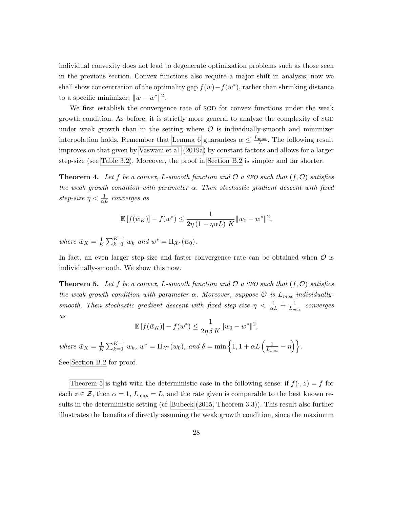individual convexity does not lead to degenerate optimization problems such as those seen in the previous section. Convex functions also require a major shift in analysis; now we shall show concentration of the optimality gap  $f(w) - f(w^*)$ , rather than shrinking distance to a specific minimizer,  $||w - w^*||^2$ .

We first establish the convergence rate of SGD for convex functions under the weak growth condition. As before, it is strictly more general to analyze the complexity of SGD under weak growth than in the setting where  $\mathcal O$  is individually-smooth and minimizer interpolation holds. Remember that [Lemma 6](#page-31-2) guarantees  $\alpha \leq \frac{L_{\text{max}}}{L}$ . The following result improves on that given by [Vaswani et al.](#page-78-0) [\(2019a\)](#page-78-0) by constant factors and allows for a larger step-size (see [Table 3.2\)](#page-40-0). Moreover, the proof in [Section B.2](#page-90-0) is simpler and far shorter.

<span id="page-39-1"></span>**Theorem 4.** Let f be a convex, L-smooth function and  $\mathcal{O}$  a SFO such that  $(f, \mathcal{O})$  satisfies the weak growth condition with parameter  $\alpha$ . Then stochastic gradient descent with fixed step-size  $\eta < \frac{1}{\alpha L}$  converges as

$$
\mathbb{E}[f(\bar{w}_K)] - f(w^*) \le \frac{1}{2\eta(1 - \eta \alpha L)} \frac{1}{K} \|w_0 - w^*\|^2,
$$

where  $\bar{w}_K = \frac{1}{K}$  $\frac{1}{K} \sum_{k=0}^{K-1} w_k$  and  $w^* = \Pi_{\mathcal{X}^*}(w_0)$ .

In fact, an even larger step-size and faster convergence rate can be obtained when  $\mathcal O$  is individually-smooth. We show this now.

<span id="page-39-0"></span>**Theorem 5.** Let f be a convex, L-smooth function and  $\mathcal{O}$  a SFO such that  $(f, \mathcal{O})$  satisfies the weak growth condition with parameter  $\alpha$ . Moreover, suppose  $\mathcal{O}$  is  $L_{max}$  individuallysmooth. Then stochastic gradient descent with fixed step-size  $\eta < \frac{1}{\alpha L} + \frac{1}{L_m}$  $\frac{1}{L_{max}}$  converges as

$$
\mathbb{E}[f(\bar{w}_K)] - f(w^*) \le \frac{1}{2\eta \delta K} \|w_0 - w^*\|^2,
$$

where  $\bar{w}_K = \frac{1}{K}$  $\frac{1}{K} \sum_{k=0}^{K-1} w_k, w^* = \Pi_{\mathcal{X}^*}(w_0), \text{ and } \delta = \min\left\{1, 1 + \alpha L\left(\frac{1}{L_m}\right)\right\}$  $\frac{1}{L_{max}} - \eta \Big) \Big\}$  . See [Section B.2](#page-90-0) for proof.

[Theorem 5](#page-39-0) is tight with the deterministic case in the following sense: if  $f(\cdot, z) = f$  for each  $z \in \mathcal{Z}$ , then  $\alpha = 1$ ,  $L_{\text{max}} = L$ , and the rate given is comparable to the best known results in the deterministic setting (cf. [Bubeck](#page-72-0) [\(2015,](#page-72-0) Theorem 3.3)). This result also further illustrates the benefits of directly assuming the weak growth condition, since the maximum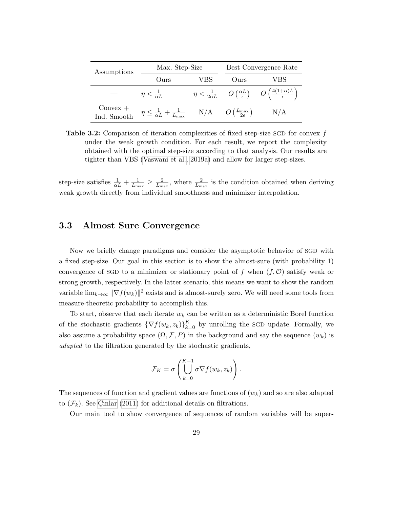<span id="page-40-0"></span>

| Assumptions               | Max. Step-Size                                                                                                 |     | Best Convergence Rate |                                                                                                                      |
|---------------------------|----------------------------------------------------------------------------------------------------------------|-----|-----------------------|----------------------------------------------------------------------------------------------------------------------|
|                           | Ours                                                                                                           | VBS | Ours                  | VBS                                                                                                                  |
|                           | $\eta < \frac{1}{\alpha L}$                                                                                    |     |                       | $\eta < \frac{1}{2\alpha L}$ $O\left(\frac{\alpha L}{\epsilon}\right)$ $O\left(\frac{4(1+\alpha)L}{\epsilon}\right)$ |
| $Convex +$<br>Ind. Smooth | $\eta \leq \frac{1}{\alpha L} + \frac{1}{L_{\text{max}}}$ N/A $O\left(\frac{L_{\text{max}}}{2\epsilon}\right)$ |     |                       | N/A                                                                                                                  |

Table 3.2: Comparison of iteration complexities of fixed step-size SGD for convex f under the weak growth condition. For each result, we report the complexity obtained with the optimal step-size according to that analysis. Our results are tighter than VBS [\(Vaswani et al., 2019a\)](#page-78-0) and allow for larger step-sizes.

step-size satisfies  $\frac{1}{\alpha L} + \frac{1}{L_m}$  $\frac{1}{L_{\max}} \geq \frac{2}{L_{\max}}$  $\frac{2}{L_{\text{max}}}$ , where  $\frac{2}{L_{\text{max}}}$  is the condition obtained when deriving weak growth directly from individual smoothness and minimizer interpolation.

#### 3.3 Almost Sure Convergence

Now we briefly change paradigms and consider the asymptotic behavior of SGD with a fixed step-size. Our goal in this section is to show the almost-sure (with probability 1) convergence of SGD to a minimizer or stationary point of f when  $(f, \mathcal{O})$  satisfy weak or strong growth, respectively. In the latter scenario, this means we want to show the random variable  $\lim_{k\to\infty} ||\nabla f(w_k)||^2$  exists and is almost-surely zero. We will need some tools from measure-theoretic probability to accomplish this.

To start, observe that each iterate  $w_k$  can be written as a deterministic Borel function of the stochastic gradients  $\{\nabla f(w_k, z_k)\}_{k=0}^K$  by unrolling the SGD update. Formally, we also assume a probability space  $(\Omega, \mathcal{F}, P)$  in the background and say the sequence  $(w_k)$  is adapted to the filtration generated by the stochastic gradients,

$$
\mathcal{F}_K = \sigma \left( \bigcup_{k=0}^{K-1} \sigma \nabla f(w_k, z_k) \right).
$$

The sequences of function and gradient values are functions of  $(w_k)$  and so are also adapted to  $(\mathcal{F}_k)$ . See Cinlar [\(2011\)](#page-72-1) for additional details on filtrations.

Our main tool to show convergence of sequences of random variables will be super-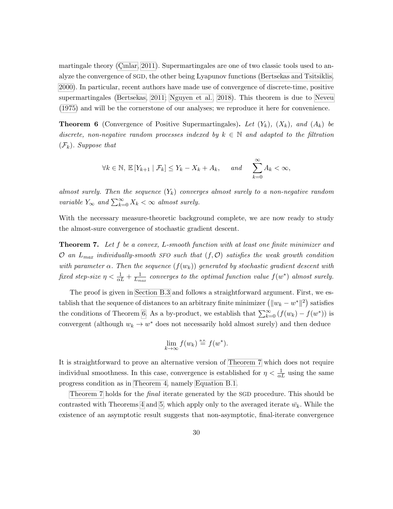martingale theory (Cinlar, 2011). Supermartingales are one of two classic tools used to analyze the convergence of SGD, the other being Lyapunov functions [\(Bertsekas and Tsitsiklis,](#page-71-0) [2000\)](#page-71-0). In particular, recent authors have made use of convergence of discrete-time, positive supermartingales [\(Bertsekas, 2011;](#page-71-1) [Nguyen et al., 2018\)](#page-76-0). This theorem is due to [Neveu](#page-76-1) [\(1975\)](#page-76-1) and will be the cornerstone of our analyses; we reproduce it here for convenience.

<span id="page-41-0"></span>**Theorem 6** (Convergence of Positive Supermartingales). Let  $(Y_k)$ ,  $(X_k)$ , and  $(A_k)$  be discrete, non-negative random processes indexed by  $k \in \mathbb{N}$  and adapted to the filtration  $(\mathcal{F}_k)$ . Suppose that

$$
\forall k \in \mathbb{N}, \, \mathbb{E}\left[Y_{k+1} \mid \mathcal{F}_k\right] \le Y_k - X_k + A_k, \qquad and \qquad \sum_{k=0}^{\infty} A_k < \infty,
$$

almost surely. Then the sequence  $(Y_k)$  converges almost surely to a non-negative random variable  $Y_{\infty}$  and  $\sum_{k=0}^{\infty} X_k < \infty$  almost surely.

With the necessary measure-theoretic background complete, we are now ready to study the almost-sure convergence of stochastic gradient descent.

<span id="page-41-1"></span>**Theorem 7.** Let f be a convex, L-smooth function with at least one finite minimizer and  $\mathcal{O}$  an  $L_{max}$  individually-smooth SFO such that  $(f, \mathcal{O})$  satisfies the weak growth condition with parameter  $\alpha$ . Then the sequence  $(f(w_k))$  generated by stochastic gradient descent with fixed step-size  $\eta < \frac{1}{\alpha L} + \frac{1}{L_m}$  $\frac{1}{L_{max}}$  converges to the optimal function value  $f(w^*)$  almost surely.

The proof is given in [Section B.3](#page-93-0) and follows a straightforward argument. First, we establish that the sequence of distances to an arbitrary finite minimizer  $(\|w_k - w^*\|^2)$  satisfies the conditions of Theorem [6.](#page-41-0) As a by-product, we establish that  $\sum_{k=0}^{\infty} (f(w_k) - f(w^*))$  is convergent (although  $w_k \to w^*$  does not necessarily hold almost surely) and then deduce

$$
\lim_{k \to \infty} f(w_k) \stackrel{\text{a.s.}}{=} f(w^*).
$$

It is straightforward to prove an alternative version of [Theorem 7](#page-41-1) which does not require individual smoothness. In this case, convergence is established for  $\eta < \frac{1}{\alpha L}$  using the same progress condition as in [Theorem 4,](#page-39-1) namely [Equation B.1.](#page-91-0)

[Theorem 7](#page-41-1) holds for the final iterate generated by the SGD procedure. This should be contrasted with Theorems [4](#page-39-1) and [5,](#page-39-0) which apply only to the averaged iterate  $\bar{w}_k$ . While the existence of an asymptotic result suggests that non-asymptotic, final-iterate convergence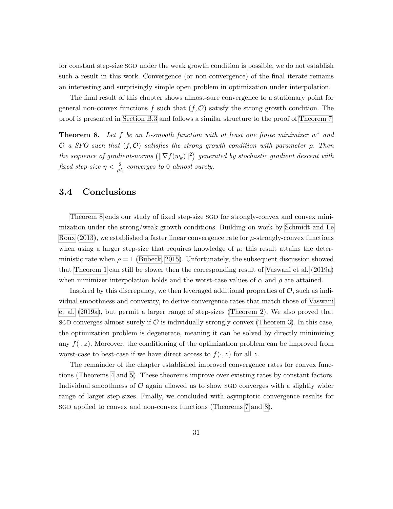for constant step-size SGD under the weak growth condition is possible, we do not establish such a result in this work. Convergence (or non-convergence) of the final iterate remains an interesting and surprisingly simple open problem in optimization under interpolation.

The final result of this chapter shows almost-sure convergence to a stationary point for general non-convex functions f such that  $(f, \mathcal{O})$  satisfy the strong growth condition. The proof is presented in [Section B.3](#page-93-0) and follows a similar structure to the proof of [Theorem 7.](#page-41-1)

<span id="page-42-0"></span>**Theorem 8.** Let f be an L-smooth function with at least one finite minimizer  $w^*$  and O a SFO such that  $(f, \mathcal{O})$  satisfies the strong growth condition with parameter  $\rho$ . Then the sequence of gradient-norms  $(\|\nabla f(w_k)\|^2)$  generated by stochastic gradient descent with fixed step-size  $\eta < \frac{2}{\rho L}$  converges to 0 almost surely.

#### 3.4 Conclusions

[Theorem 8](#page-42-0) ends our study of fixed step-size SGD for strongly-convex and convex minimization under the strong/weak growth conditions. Building on work by [Schmidt and Le](#page-77-0) [Roux](#page-77-0) [\(2013\)](#page-77-0), we established a faster linear convergence rate for  $\mu$ -strongly-convex functions when using a larger step-size that requires knowledge of  $\mu$ ; this result attains the deterministic rate when  $\rho = 1$  [\(Bubeck, 2015\)](#page-72-0). Unfortunately, the subsequent discussion showed that [Theorem 1](#page-35-0) can still be slower then the corresponding result of [Vaswani et al.](#page-78-0) [\(2019a\)](#page-78-0) when minimizer interpolation holds and the worst-case values of  $\alpha$  and  $\rho$  are attained.

Inspired by this discrepancy, we then leveraged additional properties of  $\mathcal{O}$ , such as individual smoothness and convexity, to derive convergence rates that match those of [Vaswani](#page-78-0) [et al.](#page-78-0) [\(2019a\)](#page-78-0), but permit a larger range of step-sizes [\(Theorem 2\)](#page-37-0). We also proved that SGD converges almost-surely if  $\mathcal O$  is individually-strongly-convex [\(Theorem 3\)](#page-38-0). In this case, the optimization problem is degenerate, meaning it can be solved by directly minimizing any  $f(\cdot, z)$ . Moreover, the conditioning of the optimization problem can be improved from worst-case to best-case if we have direct access to  $f(\cdot, z)$  for all z.

The remainder of the chapter established improved convergence rates for convex functions (Theorems [4](#page-39-1) and [5\)](#page-39-0). These theorems improve over existing rates by constant factors. Individual smoothness of  $\mathcal O$  again allowed us to show SGD converges with a slightly wider range of larger step-sizes. Finally, we concluded with asymptotic convergence results for SGD applied to convex and non-convex functions (Theorems [7](#page-41-1) and [8\)](#page-42-0).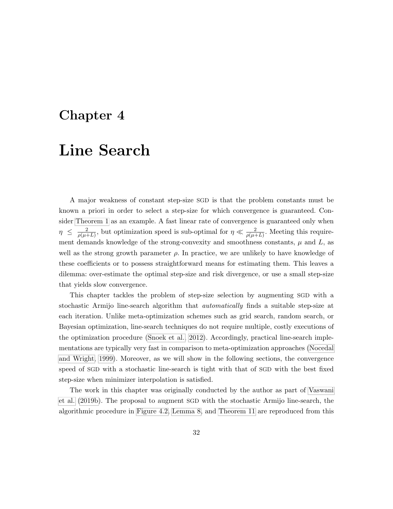### <span id="page-43-0"></span>Chapter 4

## Line Search

A major weakness of constant step-size SGD is that the problem constants must be known a priori in order to select a step-size for which convergence is guaranteed. Consider [Theorem 1](#page-35-0) as an example. A fast linear rate of convergence is guaranteed only when  $\eta \leq \frac{2}{\sqrt{u}}$  $\frac{2}{\rho(\mu+L)}$ , but optimization speed is sub-optimal for  $\eta \ll \frac{2}{\rho(\mu+L)}$ . Meeting this requirement demands knowledge of the strong-convexity and smoothness constants,  $\mu$  and  $L$ , as well as the strong growth parameter  $\rho$ . In practice, we are unlikely to have knowledge of these coefficients or to possess straightforward means for estimating them. This leaves a dilemma: over-estimate the optimal step-size and risk divergence, or use a small step-size that yields slow convergence.

This chapter tackles the problem of step-size selection by augmenting SGD with a stochastic Armijo line-search algorithm that *automatically* finds a suitable step-size at each iteration. Unlike meta-optimization schemes such as grid search, random search, or Bayesian optimization, line-search techniques do not require multiple, costly executions of the optimization procedure [\(Snoek et al., 2012\)](#page-77-1). Accordingly, practical line-search implementations are typically very fast in comparison to meta-optimization approaches [\(Nocedal](#page-76-2) [and Wright, 1999\)](#page-76-2). Moreover, as we will show in the following sections, the convergence speed of SGD with a stochastic line-search is tight with that of SGD with the best fixed step-size when minimizer interpolation is satisfied.

The work in this chapter was originally conducted by the author as part of [Vaswani](#page-78-1) [et al.](#page-78-1) [\(2019b\)](#page-78-1). The proposal to augment SGD with the stochastic Armijo line-search, the algorithmic procedure in [Figure 4.2,](#page-46-0) [Lemma 8,](#page-48-0) and [Theorem 11](#page-51-0) are reproduced from this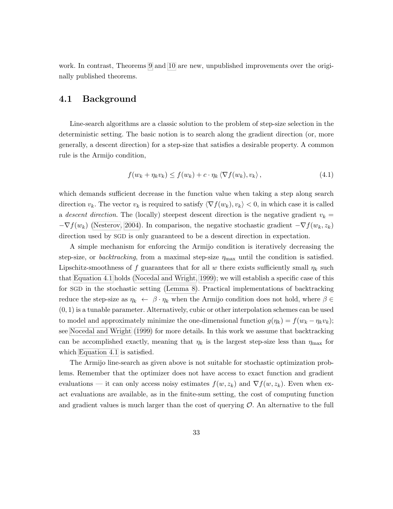work. In contrast, Theorems [9](#page-48-1) and [10](#page-50-0) are new, unpublished improvements over the originally published theorems.

#### 4.1 Background

Line-search algorithms are a classic solution to the problem of step-size selection in the deterministic setting. The basic notion is to search along the gradient direction (or, more generally, a descent direction) for a step-size that satisfies a desirable property. A common rule is the Armijo condition,

<span id="page-44-0"></span>
$$
f(w_k + \eta_k v_k) \le f(w_k) + c \cdot \eta_k \langle \nabla f(w_k), v_k \rangle, \qquad (4.1)
$$

which demands sufficient decrease in the function value when taking a step along search direction  $v_k$ . The vector  $v_k$  is required to satisfy  $\langle \nabla f(w_k), v_k \rangle < 0$ , in which case it is called a descent direction. The (locally) steepest descent direction is the negative gradient  $v_k =$  $-\nabla f(w_k)$  [\(Nesterov, 2004\)](#page-75-0). In comparison, the negative stochastic gradient  $-\nabla f(w_k, z_k)$ direction used by SGD is only guaranteed to be a descent direction in expectation.

A simple mechanism for enforcing the Armijo condition is iteratively decreasing the step-size, or *backtracking*, from a maximal step-size  $\eta_{\text{max}}$  until the condition is satisfied. Lipschitz-smoothness of f guarantees that for all w there exists sufficiently small  $\eta_k$  such that [Equation 4.1](#page-44-0) holds [\(Nocedal and Wright, 1999\)](#page-76-2); we will establish a specific case of this for SGD in the stochastic setting [\(Lemma 8\)](#page-48-0). Practical implementations of backtracking reduce the step-size as  $\eta_k \leftarrow \beta \cdot \eta_k$  when the Armijo condition does not hold, where  $\beta \in$  $(0, 1)$  is a tunable parameter. Alternatively, cubic or other interpolation schemes can be used to model and approximately minimize the one-dimensional function  $g(\eta_k) = f(w_k - \eta_k v_k);$ see [Nocedal and Wright](#page-76-2) [\(1999\)](#page-76-2) for more details. In this work we assume that backtracking can be accomplished exactly, meaning that  $\eta_k$  is the largest step-size less than  $\eta_{\text{max}}$  for which [Equation 4.1](#page-44-0) is satisfied.

The Armijo line-search as given above is not suitable for stochastic optimization problems. Remember that the optimizer does not have access to exact function and gradient evaluations — it can only access noisy estimates  $f(w, z_k)$  and  $\nabla f(w, z_k)$ . Even when exact evaluations are available, as in the finite-sum setting, the cost of computing function and gradient values is much larger than the cost of querying  $\mathcal O$ . An alternative to the full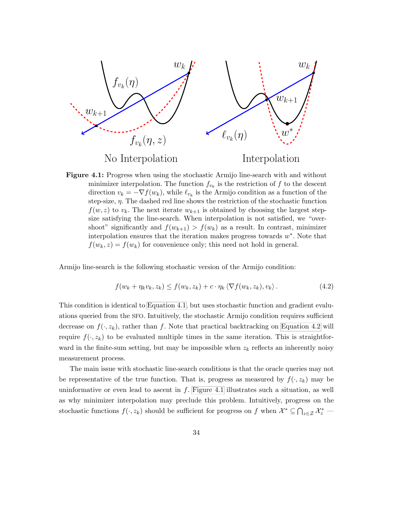<span id="page-45-1"></span>

Figure 4.1: Progress when using the stochastic Armijo line-search with and without minimizer interpolation. The function  $f_{v_k}$  is the restriction of f to the descent direction  $v_k = -\nabla f(w_k)$ , while  $\ell_{v_k}$  is the Armijo condition as a function of the step-size,  $\eta$ . The dashed red line shows the restriction of the stochastic function  $f(w, z)$  to  $v_k$ . The next iterate  $w_{k+1}$  is obtained by choosing the largest stepsize satisfying the line-search. When interpolation is not satisfied, we "overshoot" significantly and  $f(w_{k+1}) > f(w_k)$  as a result. In contrast, minimizer interpolation ensures that the iteration makes progress towards  $w^*$ . Note that  $f(w_k, z) = f(w_k)$  for convenience only; this need not hold in general.

Armijo line-search is the following stochastic version of the Armijo condition:

<span id="page-45-0"></span>
$$
f(w_k + \eta_k v_k, z_k) \le f(w_k, z_k) + c \cdot \eta_k \langle \nabla f(w_k, z_k), v_k \rangle.
$$
 (4.2)

This condition is identical to [Equation 4.1,](#page-44-0) but uses stochastic function and gradient evaluations queried from the SFO. Intuitively, the stochastic Armijo condition requires sufficient decrease on  $f(\cdot, z_k)$ , rather than f. Note that practical backtracking on [Equation 4.2](#page-45-0) will require  $f(\cdot, z_k)$  to be evaluated multiple times in the same iteration. This is straightforward in the finite-sum setting, but may be impossible when  $z_k$  reflects an inherently noisy measurement process.

The main issue with stochastic line-search conditions is that the oracle queries may not be representative of the true function. That is, progress as measured by  $f(\cdot, z_k)$  may be uninformative or even lead to ascent in  $f$ . [Figure 4.1](#page-45-1) illustrates such a situation, as well as why minimizer interpolation may preclude this problem. Intuitively, progress on the stochastic functions  $f(\cdot, z_k)$  should be sufficient for progress on f when  $\mathcal{X}^* \subseteq \bigcap_{z \in \mathcal{Z}} \mathcal{X}^*_z$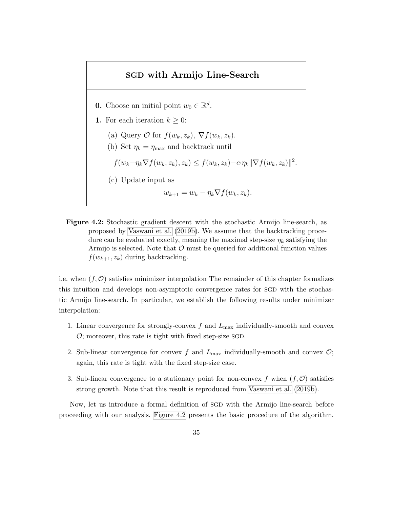#### SGD with Armijo Line-Search

- <span id="page-46-0"></span>**0.** Choose an initial point  $w_0 \in \mathbb{R}^d$ .
- 1. For each iteration  $k \geq 0$ :
	- (a) Query  $\mathcal{O}$  for  $f(w_k, z_k)$ ,  $\nabla f(w_k, z_k)$ .
	- (b) Set  $\eta_k = \eta_{\text{max}}$  and backtrack until
	- $f(w_k-\eta_k \nabla f(w_k, z_k), z_k) \leq f(w_k, z_k) c \cdot \eta_k \|\nabla f(w_k, z_k)\|^2.$
	- (c) Update input as

$$
w_{k+1} = w_k - \eta_k \nabla f(w_k, z_k).
$$

Figure 4.2: Stochastic gradient descent with the stochastic Armijo line-search, as proposed by [Vaswani et al.](#page-78-1) [\(2019b\)](#page-78-1). We assume that the backtracking procedure can be evaluated exactly, meaning the maximal step-size  $\eta_k$  satisfying the Armijo is selected. Note that  $\mathcal O$  must be queried for additional function values  $f(w_{k+1}, z_k)$  during backtracking.

i.e. when  $(f, \mathcal{O})$  satisfies minimizer interpolation The remainder of this chapter formalizes this intuition and develops non-asymptotic convergence rates for SGD with the stochastic Armijo line-search. In particular, we establish the following results under minimizer interpolation:

- 1. Linear convergence for strongly-convex  $f$  and  $L_{\text{max}}$  individually-smooth and convex  $\mathcal{O}$ ; moreover, this rate is tight with fixed step-size SGD.
- 2. Sub-linear convergence for convex f and  $L_{\text{max}}$  individually-smooth and convex  $\mathcal{O}$ ; again, this rate is tight with the fixed step-size case.
- 3. Sub-linear convergence to a stationary point for non-convex f when  $(f, \mathcal{O})$  satisfies strong growth. Note that this result is reproduced from [Vaswani et al.](#page-78-1) [\(2019b\)](#page-78-1).

Now, let us introduce a formal definition of SGD with the Armijo line-search before proceeding with our analysis. [Figure 4.2](#page-46-0) presents the basic procedure of the algorithm.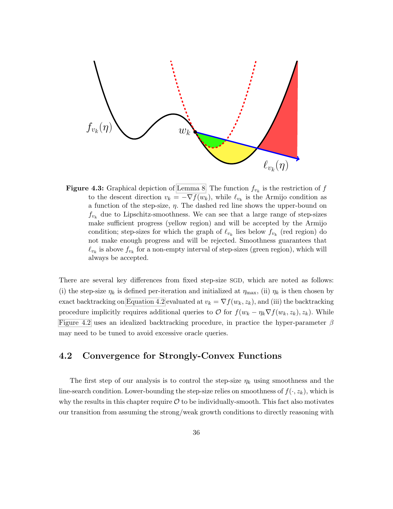

**Figure 4.3:** Graphical depiction of [Lemma 8.](#page-48-0) The function  $f_{v_k}$  is the restriction of  $f$ to the descent direction  $v_k = -\nabla f(w_k)$ , while  $\ell_{v_k}$  is the Armijo condition as a function of the step-size,  $\eta$ . The dashed red line shows the upper-bound on  $f_{v_k}$  due to Lipschitz-smoothness. We can see that a large range of step-sizes make sufficient progress (yellow region) and will be accepted by the Armijo condition; step-sizes for which the graph of  $\ell_{v_k}$  lies below  $f_{v_k}$  (red region) do not make enough progress and will be rejected. Smoothness guarantees that  $\ell_{v_k}$  is above  $f_{v_k}$  for a non-empty interval of step-sizes (green region), which will always be accepted.

There are several key differences from fixed step-size SGD, which are noted as follows: (i) the step-size  $\eta_k$  is defined per-iteration and initialized at  $\eta_{\text{max}}$ , (ii)  $\eta_k$  is then chosen by exact backtracking on [Equation 4.2](#page-45-0) evaluated at  $v_k = \nabla f(w_k, z_k)$ , and (iii) the backtracking procedure implicitly requires additional queries to  $\mathcal O$  for  $f(w_k - \eta_k \nabla f(w_k, z_k), z_k)$ . While [Figure 4.2](#page-46-0) uses an idealized backtracking procedure, in practice the hyper-parameter  $\beta$ may need to be tuned to avoid excessive oracle queries.

#### 4.2 Convergence for Strongly-Convex Functions

The first step of our analysis is to control the step-size  $\eta_k$  using smoothness and the line-search condition. Lower-bounding the step-size relies on smoothness of  $f(\cdot, z_k)$ , which is why the results in this chapter require  $\mathcal O$  to be individually-smooth. This fact also motivates our transition from assuming the strong/weak growth conditions to directly reasoning with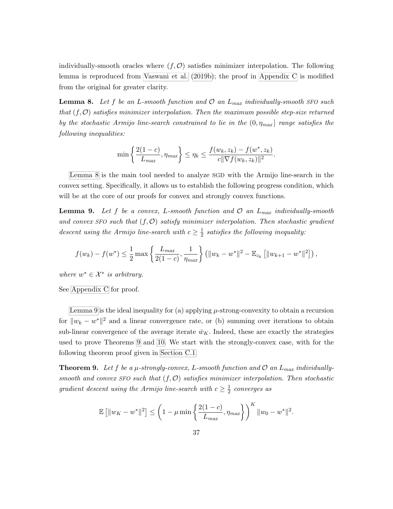individually-smooth oracles where  $(f, \mathcal{O})$  satisfies minimizer interpolation. The following lemma is reproduced from [Vaswani et al.](#page-78-1) [\(2019b\)](#page-78-1); the proof in [Appendix C](#page-96-0) is modified from the original for greater clarity.

<span id="page-48-0"></span>**Lemma 8.** Let f be an L-smooth function and  $\mathcal{O}$  an  $L_{max}$  individually-smooth SFO such that  $(f, \mathcal{O})$  satisfies minimizer interpolation. Then the maximum possible step-size returned by the stochastic Armijo line-search constrained to lie in the  $(0, \eta_{max}]$  range satisfies the following inequalities:

$$
\min\left\{\frac{2(1-c)}{L_{max}}, \eta_{max}\right\} \le \eta_k \le \frac{f(w_k, z_k) - f(w^*, z_k)}{c||\nabla f(w_k, z_k)||^2}.
$$

[Lemma 8](#page-48-0) is the main tool needed to analyze SGD with the Armijo line-search in the convex setting. Specifically, it allows us to establish the following progress condition, which will be at the core of our proofs for convex and strongly convex functions.

<span id="page-48-2"></span>**Lemma 9.** Let f be a convex, L-smooth function and  $\mathcal{O}$  an  $L_{max}$  individually-smooth and convex SFO such that  $(f, \mathcal{O})$  satisfy minimizer interpolation. Then stochastic gradient descent using the Armijo line-search with  $c \geq \frac{1}{2}$  $\frac{1}{2}$  satisfies the following inequality:

$$
f(w_k) - f(w^*) \le \frac{1}{2} \max \left\{ \frac{L_{max}}{2(1-c)}, \frac{1}{\eta_{max}} \right\} \left( \|w_k - w^*\|^2 - \mathbb{E}_{z_k} \left[ \|w_{k+1} - w^*\|^2 \right] \right),
$$

where  $w^* \in \mathcal{X}^*$  is arbitrary.

See [Appendix C](#page-96-0) for proof.

[Lemma 9](#page-48-2) is the ideal inequality for (a) applying  $\mu$ -strong-convexity to obtain a recursion for  $||w_k - w^*||^2$  and a linear convergence rate, or (b) summing over iterations to obtain sub-linear convergence of the average iterate  $\bar{w}_K$ . Indeed, these are exactly the strategies used to prove Theorems [9](#page-48-1) and [10.](#page-50-0) We start with the strongly-convex case, with for the following theorem proof given in [Section C.1.](#page-99-0)

<span id="page-48-1"></span>**Theorem 9.** Let f be a  $\mu$ -strongly-convex, L-smooth function and  $\mathcal{O}$  an  $L_{max}$  individuallysmooth and convex SFO such that  $(f, O)$  satisfies minimizer interpolation. Then stochastic gradient descent using the Armijo line-search with  $c \geq \frac{1}{2}$  $rac{1}{2}$  converges as

$$
\mathbb{E} [||w_K - w^*||^2] \leq \left(1 - \mu \min \left\{\frac{2(1-c)}{L_{max}}, \eta_{max}\right\}\right)^K ||w_0 - w^*||^2.
$$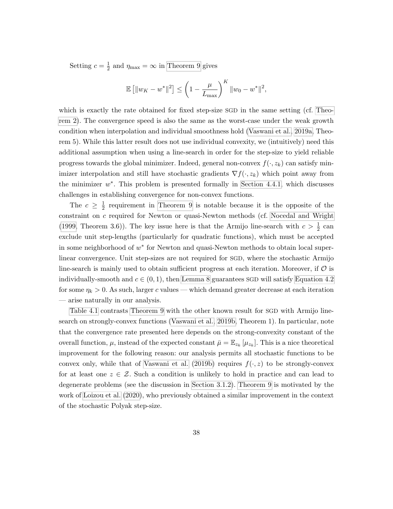Setting  $c = \frac{1}{2}$  $\frac{1}{2}$  and  $\eta_{\text{max}} = \infty$  in [Theorem 9](#page-48-1) gives

$$
\mathbb{E} [||w_K - w^*||^2] \le \left(1 - \frac{\mu}{L_{\text{max}}}\right)^K ||w_0 - w^*||^2,
$$

which is exactly the rate obtained for fixed step-size SGD in the same setting (cf. [Theo](#page-37-0)[rem 2\)](#page-37-0). The convergence speed is also the same as the worst-case under the weak growth condition when interpolation and individual smoothness hold [\(Vaswani et al., 2019a,](#page-78-0) Theorem 5). While this latter result does not use individual convexity, we (intuitively) need this additional assumption when using a line-search in order for the step-size to yield reliable progress towards the global minimizer. Indeed, general non-convex  $f(\cdot, z_k)$  can satisfy minimizer interpolation and still have stochastic gradients  $\nabla f(\cdot, z_k)$  which point away from the minimizer  $w^*$ . This problem is presented formally in [Section 4.4.1,](#page-52-0) which discusses challenges in establishing convergence for non-convex functions.

The  $c \geq \frac{1}{2}$  $\frac{1}{2}$  requirement in [Theorem 9](#page-48-1) is notable because it is the opposite of the constraint on c required for Newton or quasi-Newton methods (cf. [Nocedal and Wright](#page-76-2) [\(1999,](#page-76-2) Theorem 3.6)). The key issue here is that the Armijo line-search with  $c > \frac{1}{2}$  can exclude unit step-lengths (particularly for quadratic functions), which must be accepted in some neighborhood of  $w^*$  for Newton and quasi-Newton methods to obtain local superlinear convergence. Unit step-sizes are not required for SGD, where the stochastic Armijo line-search is mainly used to obtain sufficient progress at each iteration. Moreover, if  $\mathcal O$  is individually-smooth and  $c \in (0, 1)$ , then [Lemma 8](#page-48-0) guarantees SGD will satisfy [Equation 4.2](#page-45-0) for some  $\eta_k > 0$ . As such, larger c values — which demand greater decrease at each iteration — arise naturally in our analysis.

[Table 4.1](#page-51-1) contrasts [Theorem 9](#page-48-1) with the other known result for SGD with Armijo linesearch on strongly-convex functions [\(Vaswani et al., 2019b,](#page-78-1) Theorem 1). In particular, note that the convergence rate presented here depends on the strong-convexity constant of the overall function,  $\mu$ , instead of the expected constant  $\bar{\mu} = \mathbb{E}_{z_k} [\mu_{z_k}]$ . This is a nice theoretical improvement for the following reason: our analysis permits all stochastic functions to be convex only, while that of [Vaswani et al.](#page-78-1) [\(2019b\)](#page-78-1) requires  $f(\cdot, z)$  to be strongly-convex for at least one  $z \in \mathcal{Z}$ . Such a condition is unlikely to hold in practice and can lead to degenerate problems (see the discussion in [Section 3.1.2\)](#page-36-0). [Theorem 9](#page-48-1) is motivated by the work of [Loizou et al.](#page-75-1) [\(2020\)](#page-75-1), who previously obtained a similar improvement in the context of the stochastic Polyak step-size.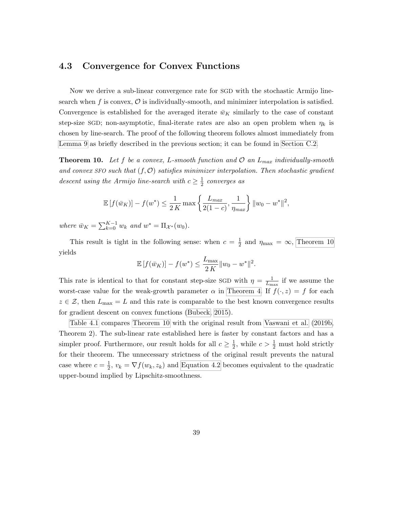#### 4.3 Convergence for Convex Functions

Now we derive a sub-linear convergence rate for SGD with the stochastic Armijo linesearch when f is convex,  $\mathcal O$  is individually-smooth, and minimizer interpolation is satisfied. Convergence is established for the averaged iterate  $\bar{w}_K$  similarly to the case of constant step-size SGD; non-asymptotic, final-iterate rates are also an open problem when  $\eta_k$  is chosen by line-search. The proof of the following theorem follows almost immediately from [Lemma 9](#page-48-2) as briefly described in the previous section; it can be found in [Section C.2.](#page-99-1)

<span id="page-50-0"></span>**Theorem 10.** Let f be a convex, L-smooth function and  $\mathcal{O}$  an  $L_{max}$  individually-smooth and convex SFO such that  $(f, O)$  satisfies minimizer interpolation. Then stochastic gradient descent using the Armijo line-search with  $c \geq \frac{1}{2}$  $rac{1}{2}$  converges as

$$
\mathbb{E}[f(\bar{w}_K)] - f(w^*) \le \frac{1}{2K} \max \left\{ \frac{L_{max}}{2(1-c)}, \frac{1}{\eta_{max}} \right\} ||w_0 - w^*||^2,
$$

where  $\bar{w}_K = \sum_{k=0}^{K-1} w_k$  and  $w^* = \Pi_{\mathcal{X}^*}(w_0)$ .

This result is tight in the following sense: when  $c = \frac{1}{2}$  $\frac{1}{2}$  and  $\eta_{\text{max}} = \infty$ , [Theorem 10](#page-50-0) yields

$$
\mathbb{E}[f(\bar{w}_K)] - f(w^*) \le \frac{L_{\max}}{2K} ||w_0 - w^*||^2.
$$

This rate is identical to that for constant step-size SGD with  $\eta = \frac{1}{l_{\text{max}}}$  $\frac{1}{L_{\text{max}}}$  if we assume the worst-case value for the weak-growth parameter  $\alpha$  in [Theorem 4.](#page-39-1) If  $f(\cdot, z) = f$  for each  $z \in \mathcal{Z}$ , then  $L_{\text{max}} = L$  and this rate is comparable to the best known convergence results for gradient descent on convex functions [\(Bubeck, 2015\)](#page-72-0).

[Table 4.1](#page-51-1) compares [Theorem 10](#page-50-0) with the original result from [Vaswani et al.](#page-78-1) [\(2019b,](#page-78-1) Theorem 2). The sub-linear rate established here is faster by constant factors and has a simpler proof. Furthermore, our result holds for all  $c \geq \frac{1}{2}$  $\frac{1}{2}$ , while  $c > \frac{1}{2}$  must hold strictly for their theorem. The unnecessary strictness of the original result prevents the natural case where  $c = \frac{1}{2}$  $\frac{1}{2}$ ,  $v_k = \nabla f(w_k, z_k)$  and [Equation 4.2](#page-45-0) becomes equivalent to the quadratic upper-bound implied by Lipschitz-smoothness.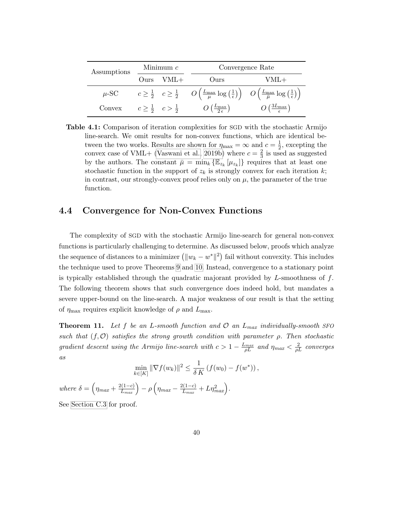<span id="page-51-1"></span>

| Assumptions | Minimum $c$ |                                        | Convergence Rate                                                                                                                                                                                                   |                                            |
|-------------|-------------|----------------------------------------|--------------------------------------------------------------------------------------------------------------------------------------------------------------------------------------------------------------------|--------------------------------------------|
|             | Ours        | $VML+$                                 | Ours                                                                                                                                                                                                               | VML+                                       |
| $\mu$ -SC   |             |                                        | $c \geq \frac{1}{2}$ $c \geq \frac{1}{2}$ $O\left(\frac{L_{\text{max}}}{\mu} \log\left(\frac{1}{\epsilon}\right)\right)$ $O\left(\frac{L_{\text{max}}}{\overline{\mu}} \log\left(\frac{1}{\epsilon}\right)\right)$ |                                            |
| Convex      |             | $c \geq \frac{1}{2}$ $c > \frac{1}{2}$ | $O\left(\frac{L_{\max}}{2\,\epsilon}\right)$                                                                                                                                                                       | $O\left(\frac{3L_{\max}}{\epsilon}\right)$ |

Table 4.1: Comparison of iteration complexities for SGD with the stochastic Armijo line-search. We omit results for non-convex functions, which are identical between the two works. Results are shown for  $\eta_{\text{max}} = \infty$  and  $c = \frac{1}{2}$  $\frac{1}{2}$ , excepting the convex case of VML+ [\(Vaswani et al., 2019b\)](#page-78-1) where  $c = \frac{2}{3}$  $\frac{2}{3}$  is used as suggested by the authors. The constant  $\bar{\mu} = \min_k \{\mathbb{E}_{z_k}[\mu_{z_k}]\}\$  requires that at least one stochastic function in the support of  $z_k$  is strongly convex for each iteration k; in contrast, our strongly-convex proof relies only on  $\mu$ , the parameter of the true function.

#### 4.4 Convergence for Non-Convex Functions

The complexity of SGD with the stochastic Armijo line-search for general non-convex functions is particularly challenging to determine. As discussed below, proofs which analyze the sequence of distances to a minimizer  $(\|w_k - w^*\|^2)$  fail without convexity. This includes the technique used to prove Theorems [9](#page-48-1) and [10.](#page-50-0) Instead, convergence to a stationary point is typically established through the quadratic majorant provided by  $L$ -smoothness of  $f$ . The following theorem shows that such convergence does indeed hold, but mandates a severe upper-bound on the line-search. A major weakness of our result is that the setting of  $\eta_{\text{max}}$  requires explicit knowledge of  $\rho$  and  $L_{\text{max}}$ .

<span id="page-51-0"></span>**Theorem 11.** Let f be an L-smooth function and  $\mathcal{O}$  an  $L_{max}$  individually-smooth SFO such that  $(f, \mathcal{O})$  satisfies the strong growth condition with parameter  $\rho$ . Then stochastic gradient descent using the Armijo line-search with  $c > 1 - \frac{L_{max}}{\rho L}$  and  $\eta_{max} < \frac{2}{\rho L}$  converges as

$$
\min_{k \in [K]} \|\nabla f(w_k)\|^2 \leq \frac{1}{\delta K} \left( f(w_0) - f(w^*) \right),
$$

where  $\delta = \left(\eta_{max} + \frac{2(1-c)}{L_{max}}\right) - \rho \left(\eta_{max} - \frac{2(1-c)}{L_{max}}\right)$  $\frac{L(1-c)}{L_{max}} + L\eta_{max}^2$ .

See [Section C.3](#page-100-0) for proof.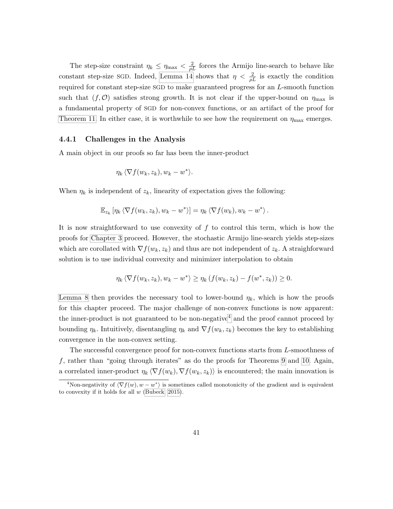The step-size constraint  $\eta_k \leq \eta_{\text{max}} < \frac{2}{\rho L}$  forces the Armijo line-search to behave like constant step-size SGD. Indeed, [Lemma 14](#page-86-1) shows that  $\eta < \frac{2}{\rho L}$  is exactly the condition required for constant step-size SGD to make guaranteed progress for an L-smooth function such that  $(f, O)$  satisfies strong growth. It is not clear if the upper-bound on  $\eta_{\text{max}}$  is a fundamental property of SGD for non-convex functions, or an artifact of the proof for [Theorem 11.](#page-51-0) In either case, it is worthwhile to see how the requirement on  $\eta_{\text{max}}$  emerges.

#### <span id="page-52-0"></span>4.4.1 Challenges in the Analysis

A main object in our proofs so far has been the inner-product

$$
\eta_k \langle \nabla f(w_k, z_k), w_k - w^* \rangle.
$$

When  $\eta_k$  is independent of  $z_k$ , linearity of expectation gives the following:

$$
\mathbb{E}_{z_k} \left[ \eta_k \left\langle \nabla f(w_k, z_k), w_k - w^* \right\rangle \right] = \eta_k \left\langle \nabla f(w_k), w_k - w^* \right\rangle.
$$

It is now straightforward to use convexity of  $f$  to control this term, which is how the proofs for [Chapter 3](#page-33-0) proceed. However, the stochastic Armijo line-search yields step-sizes which are corollated with  $\nabla f(w_k, z_k)$  and thus are not independent of  $z_k$ . A straighforward solution is to use individual convexity and minimizer interpolation to obtain

$$
\eta_k \langle \nabla f(w_k, z_k), w_k - w^* \rangle \ge \eta_k \left( f(w_k, z_k) - f(w^*, z_k) \right) \ge 0.
$$

[Lemma 8](#page-48-0) then provides the necessary tool to lower-bound  $\eta_k$ , which is how the proofs for this chapter proceed. The major challenge of non-convex functions is now apparent: the inner-product is not guaranteed to be non-negative<sup>[4](#page-52-1)</sup> and the proof cannot proceed by bounding  $\eta_k$ . Intuitively, disentangling  $\eta_k$  and  $\nabla f(w_k, z_k)$  becomes the key to establishing convergence in the non-convex setting.

The successful convergence proof for non-convex functions starts from L-smoothness of f, rather than "going through iterates" as do the proofs for Theorems [9](#page-48-1) and [10.](#page-50-0) Again, a correlated inner-product  $\eta_k \langle \nabla f(w_k), \nabla f(w_k, z_k) \rangle$  is encountered; the main innovation is

<span id="page-52-1"></span><sup>&</sup>lt;sup>4</sup>Non-negativity of  $\langle \nabla f(w), w - w^* \rangle$  is sometimes called monotonicity of the gradient and is equivalent to convexity if it holds for all  $w$  [\(Bubeck, 2015\)](#page-72-0).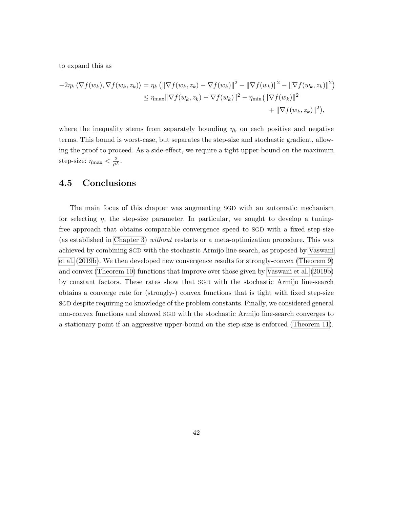to expand this as

$$
-2\eta_k \langle \nabla f(w_k), \nabla f(w_k, z_k) \rangle = \eta_k \left( \|\nabla f(w_k, z_k) - \nabla f(w_k)\|^2 - \|\nabla f(w_k)\|^2 - \|\nabla f(w_k, z_k)\|^2 \right) \leq \eta_{\max} \|\nabla f(w_k, z_k) - \nabla f(w_k)\|^2 - \eta_{\min} \left( \|\nabla f(w_k)\|^2 + \|\nabla f(w_k, z_k)\|^2 \right),
$$

where the inequality stems from separately bounding  $\eta_k$  on each positive and negative terms. This bound is worst-case, but separates the step-size and stochastic gradient, allowing the proof to proceed. As a side-effect, we require a tight upper-bound on the maximum step-size:  $\eta_{\text{max}} < \frac{2}{\rho L}$ .

#### 4.5 Conclusions

The main focus of this chapter was augmenting SGD with an automatic mechanism for selecting  $\eta$ , the step-size parameter. In particular, we sought to develop a tuningfree approach that obtains comparable convergence speed to SGD with a fixed step-size (as established in [Chapter 3\)](#page-33-0) without restarts or a meta-optimization procedure. This was achieved by combining SGD with the stochastic Armijo line-search, as proposed by [Vaswani](#page-78-1) [et al.](#page-78-1) [\(2019b\)](#page-78-1). We then developed new convergence results for strongly-convex [\(Theorem 9\)](#page-48-1) and convex [\(Theorem 10\)](#page-50-0) functions that improve over those given by [Vaswani et al.](#page-78-1) [\(2019b\)](#page-78-1) by constant factors. These rates show that SGD with the stochastic Armijo line-search obtains a converge rate for (strongly-) convex functions that is tight with fixed step-size SGD despite requiring no knowledge of the problem constants. Finally, we considered general non-convex functions and showed SGD with the stochastic Armijo line-search converges to a stationary point if an aggressive upper-bound on the step-size is enforced [\(Theorem 11\)](#page-51-0).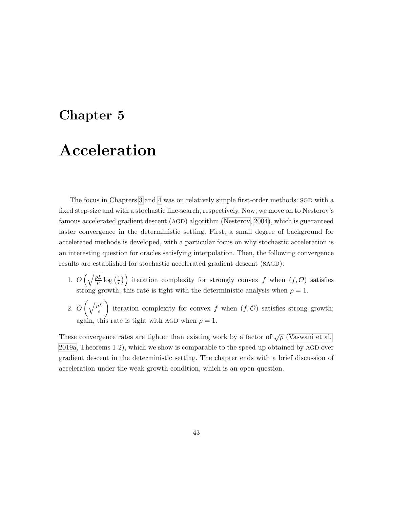### Chapter 5

## Acceleration

The focus in Chapters [3](#page-33-0) and [4](#page-43-0) was on relatively simple first-order methods: SGD with a fixed step-size and with a stochastic line-search, respectively. Now, we move on to Nesterov's famous accelerated gradient descent (AGD) algorithm [\(Nesterov, 2004\)](#page-75-0), which is guaranteed faster convergence in the deterministic setting. First, a small degree of background for accelerated methods is developed, with a particular focus on why stochastic acceleration is an interesting question for oracles satisfying interpolation. Then, the following convergence results are established for stochastic accelerated gradient descent (SAGD):

- 1.  $O\left(\sqrt{\frac{\rho L}{\mu}}\log\left(\frac{1}{\epsilon}\right)\right)$  $\left(\frac{1}{\epsilon}\right)$  iteration complexity for strongly convex f when  $(f, O)$  satisfies strong growth; this rate is tight with the deterministic analysis when  $\rho = 1$ .
- 2.  $O\left(\sqrt{\frac{\rho L}{\epsilon}}\right)$  $\epsilon$ iteration complexity for convex f when  $(f, O)$  satisfies strong growth; again, this rate is tight with AGD when  $\rho = 1$ .

These convergence rates are tighter than existing work by a factor of  $\sqrt{\rho}$  [\(Vaswani et al.,](#page-78-0) [2019a,](#page-78-0) Theorems 1-2), which we show is comparable to the speed-up obtained by AGD over gradient descent in the deterministic setting. The chapter ends with a brief discussion of acceleration under the weak growth condition, which is an open question.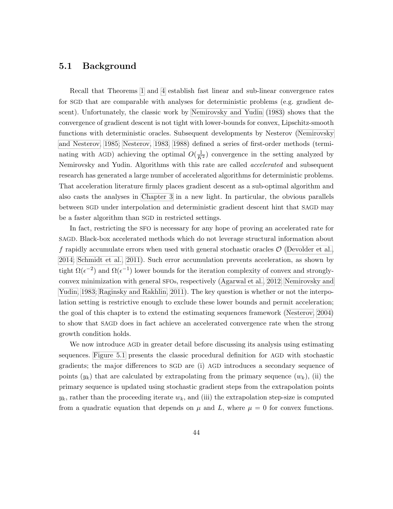#### 5.1 Background

Recall that Theorems [1](#page-35-0) and [4](#page-39-1) establish fast linear and sub-linear convergence rates for SGD that are comparable with analyses for deterministic problems (e.g. gradient descent). Unfortunately, the classic work by [Nemirovsky and Yudin](#page-75-2) [\(1983\)](#page-75-2) shows that the convergence of gradient descent is not tight with lower-bounds for convex, Lipschitz-smooth functions with deterministic oracles. Subsequent developments by Nesterov [\(Nemirovsky](#page-75-3) [and Nesterov, 1985;](#page-75-3) [Nesterov, 1983,](#page-75-4) [1988\)](#page-75-5) defined a series of first-order methods (terminating with AGD) achieving the optimal  $O(\frac{1}{K^2})$  convergence in the setting analyzed by Nemirovsky and Yudin. Algorithms with this rate are called accelerated and subsequent research has generated a large number of accelerated algorithms for deterministic problems. That acceleration literature firmly places gradient descent as a sub-optimal algorithm and also casts the analyses in [Chapter 3](#page-33-0) in a new light. In particular, the obvious parallels between SGD under interpolation and deterministic gradient descent hint that SAGD may be a faster algorithm than SGD in restricted settings.

In fact, restricting the SFO is necessary for any hope of proving an accelerated rate for SAGD. Black-box accelerated methods which do not leverage structural information about f rapidly accumulate errors when used with general stochastic oracles  $\mathcal{O}$  [\(Devolder et al.,](#page-73-1) [2014;](#page-73-1) [Schmidt et al., 2011\)](#page-77-2). Such error accumulation prevents acceleration, as shown by tight  $\Omega(\epsilon^{-2})$  and  $\Omega(\epsilon^{-1})$  lower bounds for the iteration complexity of convex and stronglyconvex minimization with general SFOs, respectively [\(Agarwal et al., 2012;](#page-70-0) [Nemirovsky and](#page-75-2) [Yudin, 1983;](#page-75-2) [Raginsky and Rakhlin, 2011\)](#page-76-3). The key question is whether or not the interpolation setting is restrictive enough to exclude these lower bounds and permit acceleration; the goal of this chapter is to extend the estimating sequences framework [\(Nesterov, 2004\)](#page-75-0) to show that SAGD does in fact achieve an accelerated convergence rate when the strong growth condition holds.

We now introduce AGD in greater detail before discussing its analysis using estimating sequences. [Figure 5.1](#page-56-0) presents the classic procedural definition for AGD with stochastic gradients; the major differences to SGD are (i) AGD introduces a secondary sequence of points  $(y_k)$  that are calculated by extrapolating from the primary sequence  $(w_k)$ , (ii) the primary sequence is updated using stochastic gradient steps from the extrapolation points  $y_k$ , rather than the proceeding iterate  $w_k$ , and (iii) the extrapolation step-size is computed from a quadratic equation that depends on  $\mu$  and L, where  $\mu = 0$  for convex functions.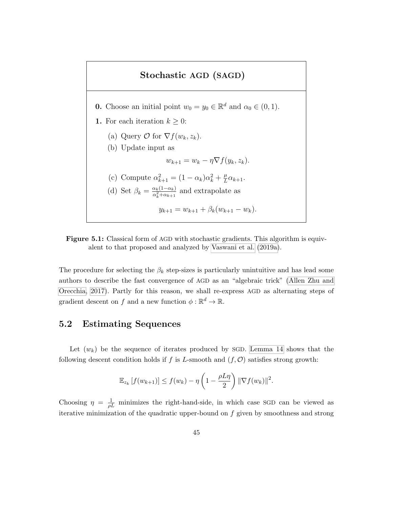### <span id="page-56-0"></span>Stochastic AGD (SAGD) **0.** Choose an initial point  $w_0 = y_0 \in \mathbb{R}^d$  and  $\alpha_0 \in (0, 1)$ . 1. For each iteration  $k \geq 0$ : (a) Query  $\mathcal{O}$  for  $\nabla f(w_k, z_k)$ . (b) Update input as  $w_{k+1} = w_k - \eta \nabla f(y_k, z_k).$ (c) Compute  $\alpha_{k+1}^2 = (1 - \alpha_k)\alpha_k^2 + \frac{\mu}{L}$  $rac{\mu}{L}\alpha_{k+1}$ . (d) Set  $\beta_k = \frac{\alpha_k(1-\alpha_k)}{\alpha^2+\alpha_{k+1}}$  $\frac{\alpha_k(1-\alpha_k)}{\alpha_k^2+\alpha_{k+1}}$  and extrapolate as  $y_{k+1} = w_{k+1} + \beta_k (w_{k+1} - w_k).$



The procedure for selecting the  $\beta_k$  step-sizes is particularly unintuitive and has lead some authors to describe the fast convergence of AGD as an "algebraic trick" [\(Allen Zhu and](#page-70-1) [Orecchia, 2017\)](#page-70-1). Partly for this reason, we shall re-express AGD as alternating steps of gradient descent on f and a new function  $\phi : \mathbb{R}^d \to \mathbb{R}$ .

#### 5.2 Estimating Sequences

Let  $(w_k)$  be the sequence of iterates produced by SGD. [Lemma 14](#page-86-1) shows that the following descent condition holds if f is L-smooth and  $(f, \mathcal{O})$  satisfies strong growth:

$$
\mathbb{E}_{z_k}[f(w_{k+1})] \le f(w_k) - \eta \left(1 - \frac{\rho L \eta}{2}\right) \|\nabla f(w_k)\|^2.
$$

Choosing  $\eta = \frac{1}{\rho L}$  minimizes the right-hand-side, in which case SGD can be viewed as iterative minimization of the quadratic upper-bound on  $f$  given by smoothness and strong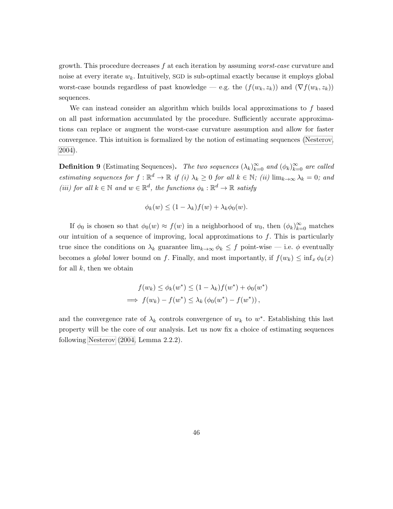growth. This procedure decreases f at each iteration by assuming worst-case curvature and noise at every iterate  $w_k$ . Intuitively, SGD is sub-optimal exactly because it employs global worst-case bounds regardless of past knowledge — e.g. the  $(f(w_k, z_k))$  and  $(\nabla f(w_k, z_k))$ sequences.

We can instead consider an algorithm which builds local approximations to f based on all past information accumulated by the procedure. Sufficiently accurate approximations can replace or augment the worst-case curvature assumption and allow for faster convergence. This intuition is formalized by the notion of estimating sequences [\(Nesterov,](#page-75-0) [2004\)](#page-75-0).

**Definition 9** (Estimating Sequences). The two sequences  $(\lambda_k)_{k=0}^{\infty}$  and  $(\phi_k)_{k=0}^{\infty}$  are called estimating sequences for  $f : \mathbb{R}^d \to \mathbb{R}$  if (i)  $\lambda_k \geq 0$  for all  $k \in \mathbb{N}$ ; (ii)  $\lim_{k \to \infty} \lambda_k = 0$ ; and (iii) for all  $k \in \mathbb{N}$  and  $w \in \mathbb{R}^d$ , the functions  $\phi_k : \mathbb{R}^d \to \mathbb{R}$  satisfy

$$
\phi_k(w) \le (1 - \lambda_k) f(w) + \lambda_k \phi_0(w).
$$

If  $\phi_0$  is chosen so that  $\phi_0(w) \approx f(w)$  in a neighborhood of  $w_0$ , then  $(\phi_k)_{k=0}^{\infty}$  matches our intuition of a sequence of improving, local approximations to  $f$ . This is particularly true since the conditions on  $\lambda_k$  guarantee  $\lim_{k\to\infty} \phi_k \leq f$  point-wise — i.e.  $\phi$  eventually becomes a global lower bound on f. Finally, and most importantly, if  $f(w_k) \leq \inf_x \phi_k(x)$ for all  $k$ , then we obtain

$$
f(w_k) \le \phi_k(w^*) \le (1 - \lambda_k) f(w^*) + \phi_0(w^*)
$$
  
\n
$$
\implies f(w_k) - f(w^*) \le \lambda_k (\phi_0(w^*) - f(w^*)),
$$

and the convergence rate of  $\lambda_k$  controls convergence of  $w_k$  to  $w^*$ . Establishing this last property will be the core of our analysis. Let us now fix a choice of estimating sequences following [Nesterov](#page-75-0) [\(2004,](#page-75-0) Lemma 2.2.2).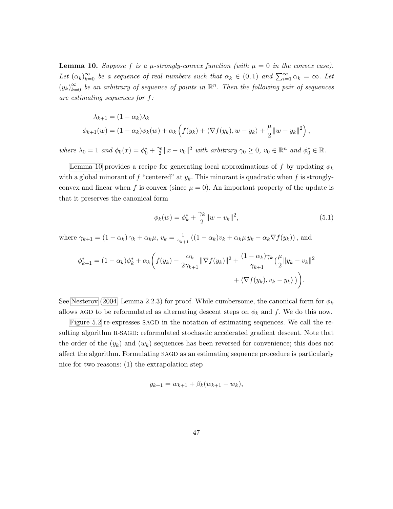<span id="page-58-0"></span>**Lemma 10.** Suppose f is a  $\mu$ -strongly-convex function (with  $\mu = 0$  in the convex case). Let  $(\alpha_k)_{k=0}^{\infty}$  be a sequence of real numbers such that  $\alpha_k \in (0,1)$  and  $\sum_{i=1}^{\infty} \alpha_k = \infty$ . Let  $(y_k)_{k=0}^{\infty}$  be an arbitrary of sequence of points in  $\mathbb{R}^n$ . Then the following pair of sequences are estimating sequences for  $f$ :

$$
\lambda_{k+1} = (1 - \alpha_k)\lambda_k
$$
  

$$
\phi_{k+1}(w) = (1 - \alpha_k)\phi_k(w) + \alpha_k \left( f(y_k) + \langle \nabla f(y_k), w - y_k \rangle + \frac{\mu}{2} ||w - y_k||^2 \right),
$$

where  $\lambda_0 = 1$  and  $\phi_0(x) = \phi_0^* + \frac{\gamma_0}{2}$  $\frac{\partial}{\partial \Omega} \|x - v_0\|^2$  with arbitrary  $\gamma_0 \geq 0$ ,  $v_0 \in \mathbb{R}^n$  and  $\phi_0^* \in \mathbb{R}$ .

[Lemma 10](#page-58-0) provides a recipe for generating local approximations of f by updating  $\phi_k$ with a global minorant of f "centered" at  $y_k$ . This minorant is quadratic when f is stronglyconvex and linear when f is convex (since  $\mu = 0$ ). An important property of the update is that it preserves the canonical form

$$
\phi_k(w) = \phi_k^* + \frac{\gamma_k}{2} \|w - v_k\|^2, \tag{5.1}
$$

where  $\gamma_{k+1} = (1 - \alpha_k) \gamma_k + \alpha_k \mu$ ,  $v_k = \frac{1}{\gamma_{k+1}}$  $\frac{1}{\gamma_{k+1}}((1-\alpha_k)v_k+\alpha_k\mu y_k-\alpha_k\nabla f(y_k)),$  and

$$
\phi_{k+1}^* = (1 - \alpha_k)\phi_k^* + \alpha_k \bigg(f(y_k) - \frac{\alpha_k}{2\gamma_{k+1}} \|\nabla f(y_k)\|^2 + \frac{(1 - \alpha_k)\gamma_k}{\gamma_{k+1}} \big(\frac{\mu}{2} \|y_k - v_k\|^2 + \langle \nabla f(y_k), v_k - y_k \rangle \bigg)\bigg).
$$

See [Nesterov](#page-75-0) [\(2004,](#page-75-0) Lemma 2.2.3) for proof. While cumbersome, the canonical form for  $\phi_k$ allows AGD to be reformulated as alternating descent steps on  $\phi_k$  and f. We do this now.

[Figure 5.2](#page-59-0) re-expresses SAGD in the notation of estimating sequences. We call the resulting algorithm R-SAGD: reformulated stochastic accelerated gradient descent. Note that the order of the  $(y_k)$  and  $(w_k)$  sequences has been reversed for convenience; this does not affect the algorithm. Formulating SAGD as an estimating sequence procedure is particularly nice for two reasons: (1) the extrapolation step

$$
y_{k+1} = w_{k+1} + \beta_k (w_{k+1} - w_k),
$$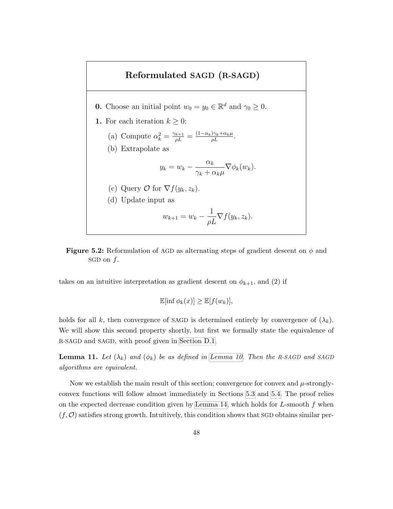<span id="page-59-0"></span>



takes on an intuitive interpretation as gradient descent on  $\phi_{k+1}$ , and (2) if

$$
\mathbb{E}[\inf \phi_k(x)] \geq \mathbb{E}[f(w_k)],
$$

holds for all k, then convergence of SAGD is determined entirely by convergence of  $(\lambda_k)$ . We will show this second property shortly, but first we formally state the equivalence of R-SAGD and SAGD, with proof given in [Section D.1.](#page-104-0)

<span id="page-59-1"></span>**Lemma 11.** Let  $(\lambda_k)$  and  $(\phi_k)$  be as defined in [Lemma 10.](#page-58-0) Then the R-SAGD and SAGD algorithms are equivalent.

Now we establish the main result of this section; convergence for convex and  $\mu$ -stronglyconvex functions will follow almost immediately in Sections [5.3](#page-60-0) and [5.4.](#page-61-0) The proof relies on the expected decrease condition given by [Lemma 14,](#page-86-1) which holds for  $L$ -smooth  $f$  when  $(f, \mathcal{O})$  satisfies strong growth. Intuitively, this condition shows that SGD obtains similar per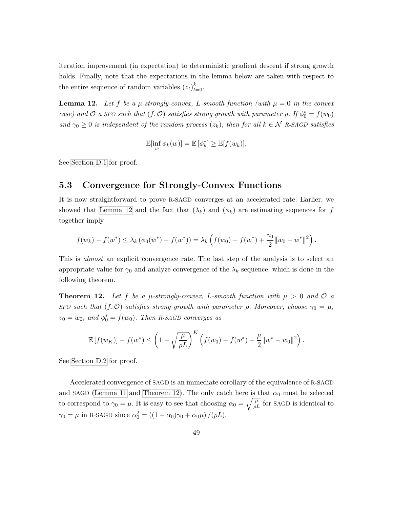iteration improvement (in expectation) to deterministic gradient descent if strong growth holds. Finally, note that the expectations in the lemma below are taken with respect to the entire sequence of random variables  $(z_t)_{t=0}^k$ .

<span id="page-60-1"></span>**Lemma 12.** Let f be a  $\mu$ -strongly-convex, L-smooth function (with  $\mu = 0$  in the convex case) and  $\mathcal O$  a SFO such that  $(f, \mathcal O)$  satisfies strong growth with parameter  $\rho$ . If  $\phi_0^* = f(w_0)$ and  $\gamma_0 \geq 0$  is independent of the random process  $(z_k)$ , then for all  $k \in \mathcal{N}$  R-SAGD satisfies

$$
\mathbb{E}[\inf_{w} \phi_k(w)] = \mathbb{E}[\phi_k^*] \geq \mathbb{E}[f(w_k)],
$$

<span id="page-60-0"></span>See [Section D.1](#page-104-0) for proof.

#### 5.3 Convergence for Strongly-Convex Functions

It is now straightforward to prove R-SAGD converges at an accelerated rate. Earlier, we showed that [Lemma 12](#page-60-1) and the fact that  $(\lambda_k)$  and  $(\phi_k)$  are estimating sequences for f together imply

$$
f(w_k) - f(w^*) \leq \lambda_k (\phi_0(w^*) - f(w^*)) = \lambda_k \left( f(w_0) - f(w^*) + \frac{\gamma_0}{2} ||w_0 - w^*||^2 \right).
$$

This is almost an explicit convergence rate. The last step of the analysis is to select an appropriate value for  $\gamma_0$  and analyze convergence of the  $\lambda_k$  sequence, which is done in the following theorem.

<span id="page-60-2"></span>**Theorem 12.** Let f be a  $\mu$ -strongly-convex, L-smooth function with  $\mu > 0$  and  $\mathcal{O}$  a SFO such that  $(f, O)$  satisfies strong growth with parameter  $\rho$ . Moreover, choose  $\gamma_0 = \mu$ ,  $v_0 = w_0$ , and  $\phi_0^* = f(w_0)$ . Then R-SAGD converges as

$$
\mathbb{E}[f(w_K)] - f(w^*) \le \left(1 - \sqrt{\frac{\mu}{\rho L}}\right)^K \left(f(w_0) - f(w^*) + \frac{\mu}{2} ||w^* - w_0||^2\right).
$$

See [Section D.2](#page-107-0) for proof.

Accelerated convergence of SAGD is an immediate corollary of the equivalence of R-SAGD and SAGD [\(Lemma 11](#page-59-1) and [Theorem 12\)](#page-60-2). The only catch here is that  $\alpha_0$  must be selected to correspond to  $\gamma_0 = \mu$ . It is easy to see that choosing  $\alpha_0 = \sqrt{\frac{\mu}{\rho L}}$  for SAGD is identical to  $\gamma_0 = \mu$  in R-SAGD since  $\alpha_0^2 = ((1 - \alpha_0)\gamma_0 + \alpha_0\mu)/(\rho L)$ .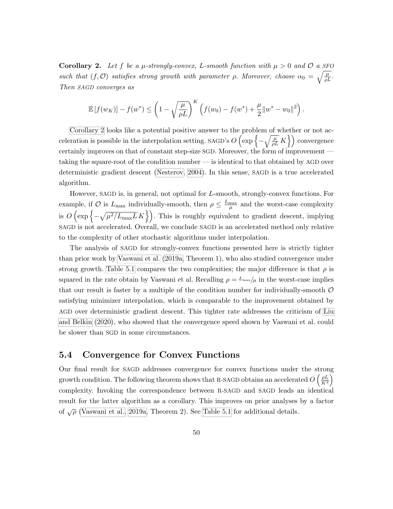<span id="page-61-1"></span>Corollary 2. Let f be a  $\mu$ -strongly-convex, L-smooth function with  $\mu > 0$  and  $\mathcal{O}$  a SFO such that  $(f, O)$  satisfies strong growth with parameter  $\rho$ . Moreover, choose  $\alpha_0 = \sqrt{\frac{\mu}{\rho L}}$ . Then SAGD converges as

$$
\mathbb{E}[f(w_K)] - f(w^*) \le \left(1 - \sqrt{\frac{\mu}{\rho L}}\right)^K \left(f(w_0) - f(w^*) + \frac{\mu}{2} ||w^* - w_0||^2\right).
$$

[Corollary 2](#page-61-1) looks like a potential positive answer to the problem of whether or not acceleration is possible in the interpolation setting. SAGD's  $O\left(\exp\left\{-\sqrt{\frac{\mu}{\rho L}}K\right\}\right)$  convergence certainly improves on that of constant step-size SGD. Moreover, the form of improvement taking the square-root of the condition number — is identical to that obtained by AGD over deterministic gradient descent [\(Nesterov, 2004\)](#page-75-0). In this sense, SAGD is a true accelerated algorithm.

However, SAGD is, in general, not optimal for L-smooth, strongly-convex functions. For example, if O is  $L_{\text{max}}$  individually-smooth, then  $\rho \leq \frac{L_{\text{max}}}{\mu}$  and the worst-case complexity is  $O\left(\exp\left\{-\sqrt{\mu^2/L_{\max}L}K\right\}\right)$ . This is roughly equivalent to gradient descent, implying SAGD is not accelerated. Overall, we conclude SAGD is an accelerated method only relative to the complexity of other stochastic algorithms under interpolation.

The analysis of SAGD for strongly-convex functions presented here is strictly tighter than prior work by [Vaswani et al.](#page-78-0) [\(2019a,](#page-78-0) Theorem 1), who also studied convergence under strong growth. [Table 5.1](#page-62-0) compares the two complexities; the major difference is that  $\rho$  is squared in the rate obtain by Vaswani et al. Recalling  $\rho = L_{\text{max}}/\mu$  in the worst-case implies that our result is faster by a multiple of the condition number for individually-smooth  $\mathcal O$ satisfying minimizer interpolation, which is comparable to the improvement obtained by AGD over deterministic gradient descent. This tighter rate addresses the criticism of [Liu](#page-75-6) [and Belkin](#page-75-6) [\(2020\)](#page-75-6), who showed that the convergence speed shown by Vaswani et al. could be slower than SGD in some circumstances.

#### <span id="page-61-0"></span>5.4 Convergence for Convex Functions

Our final result for SAGD addresses convergence for convex functions under the strong growth condition. The following theorem shows that R-SAGD obtains an accelerated  $O\left(\frac{\rho L}{K^2}\right)$  $\frac{\rho L}{K^2}$ complexity. Invoking the correspondence between R-SAGD and SAGD leads an identical result for the latter algorithm as a corollary. This improves on prior analyses by a factor of  $\sqrt{\rho}$  [\(Vaswani et al., 2019a,](#page-78-0) Theorem 2). See [Table 5.1](#page-62-0) for additional details.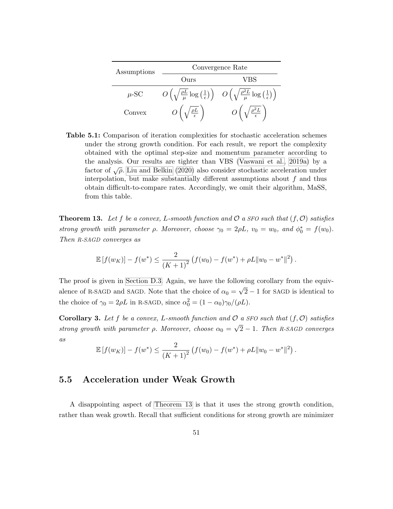<span id="page-62-0"></span>

| Assumptions | Convergence Rate                               |                                                                                                                                                             |  |
|-------------|------------------------------------------------|-------------------------------------------------------------------------------------------------------------------------------------------------------------|--|
|             | Ours                                           | VBS                                                                                                                                                         |  |
| $\mu$ -SC   |                                                | $O\left(\sqrt{\frac{\rho L}{\mu}}\log\left(\frac{1}{\epsilon}\right)\right)$ $O\left(\sqrt{\frac{\rho^2 L}{\mu}}\log\left(\frac{1}{\epsilon}\right)\right)$ |  |
| Convex      | $O\left(\sqrt{\frac{\rho L}{\epsilon}}\right)$ | $O\left(\sqrt{\frac{\rho^2 L}{\epsilon}}\right)$                                                                                                            |  |

Table 5.1: Comparison of iteration complexities for stochastic acceleration schemes under the strong growth condition. For each result, we report the complexity obtained with the optimal step-size and momentum parameter according to the analysis. Our results are tighter than VBS [\(Vaswani et al., 2019a\)](#page-78-0) by a factor of  $\sqrt{\rho}$ . [Liu and Belkin](#page-75-6) [\(2020\)](#page-75-6) also consider stochastic acceleration under interpolation, but make substantially different assumptions about  $f$  and thus obtain difficult-to-compare rates. Accordingly, we omit their algorithm, MaSS, from this table.

<span id="page-62-1"></span>**Theorem 13.** Let f be a convex, L-smooth function and  $\mathcal{O}$  a SFO such that  $(f, \mathcal{O})$  satisfies strong growth with parameter  $\rho$ . Moreover, choose  $\gamma_0 = 2\rho L$ ,  $v_0 = w_0$ , and  $\phi_0^* = f(w_0)$ . Then R-SAGD converges as

$$
\mathbb{E}[f(w_K)] - f(w^*) \le \frac{2}{(K+1)^2} \left( f(w_0) - f(w^*) + \rho L \|w_0 - w^*\|^2 \right).
$$

The proof is given in [Section D.3.](#page-108-0) Again, we have the following corollary from the equivalence of R-SAGD and SAGD. Note that the choice of  $\alpha_0 =$ √ 2 − 1 for SAGD is identical to the choice of  $\gamma_0 = 2\rho L$  in R-SAGD, since  $\alpha_0^2 = (1 - \alpha_0)\gamma_0/(\rho L)$ .

**Corollary 3.** Let f be a convex, L-smooth function and  $\mathcal{O}$  a SFO such that  $(f, \mathcal{O})$  satisfies strong growth with parameter  $\rho$ . Moreover, choose  $\alpha_0 =$ √ 2 − 1. Then R-SAGD converges  $\mathfrak{a}s$ 

$$
\mathbb{E}[f(w_K)] - f(w^*) \le \frac{2}{(K+1)^2} \left( f(w_0) - f(w^*) + \rho L \|w_0 - w^*\|^2 \right).
$$

#### 5.5 Acceleration under Weak Growth

A disappointing aspect of [Theorem 13](#page-62-1) is that it uses the strong growth condition, rather than weak growth. Recall that sufficient conditions for strong growth are minimizer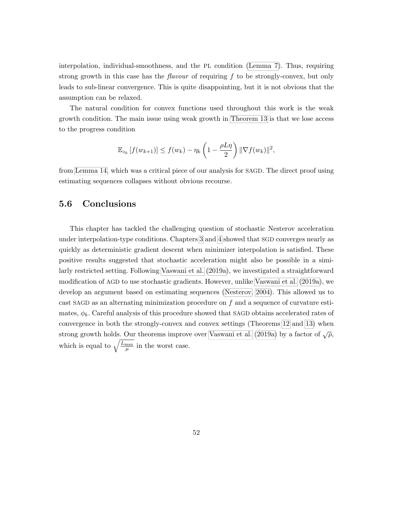interpolation, individual-smoothness, and the PL condition [\(Lemma 7\)](#page-31-0). Thus, requiring strong growth in this case has the *flavour* of requiring f to be strongly-convex, but only leads to sub-linear convergence. This is quite disappointing, but it is not obvious that the assumption can be relaxed.

The natural condition for convex functions used throughout this work is the weak growth condition. The main issue using weak growth in [Theorem 13](#page-62-1) is that we lose access to the progress condition

$$
\mathbb{E}_{z_k}[f(w_{k+1})] \le f(w_k) - \eta_k\left(1 - \frac{\rho L \eta}{2}\right) \|\nabla f(w_k)\|^2,
$$

from [Lemma 14,](#page-86-1) which was a critical piece of our analysis for SAGD. The direct proof using estimating sequences collapses without obvious recourse.

#### 5.6 Conclusions

This chapter has tackled the challenging question of stochastic Nesterov acceleration under interpolation-type conditions. Chapters [3](#page-33-0) and [4](#page-43-0) showed that SGD converges nearly as quickly as deterministic gradient descent when minimizer interpolation is satisfied. These positive results suggested that stochastic acceleration might also be possible in a similarly restricted setting. Following [Vaswani et al.](#page-78-0) [\(2019a\)](#page-78-0), we investigated a straightforward modification of AGD to use stochastic gradients. However, unlike [Vaswani et al.](#page-78-0) [\(2019a\)](#page-78-0), we develop an argument based on estimating sequences [\(Nesterov, 2004\)](#page-75-0). This allowed us to cast SAGD as an alternating minimization procedure on f and a sequence of curvature estimates,  $\phi_k$ . Careful analysis of this procedure showed that SAGD obtains accelerated rates of convergence in both the strongly-convex and convex settings (Theorems [12](#page-60-2) and [13\)](#page-62-1) when strong growth holds. Our theorems improve over [Vaswani et al.](#page-78-0) [\(2019a\)](#page-78-0) by a factor of  $\sqrt{\rho}$ , which is equal to  $\sqrt{\frac{L_{\text{max}}}{\mu}}$  in the worst case.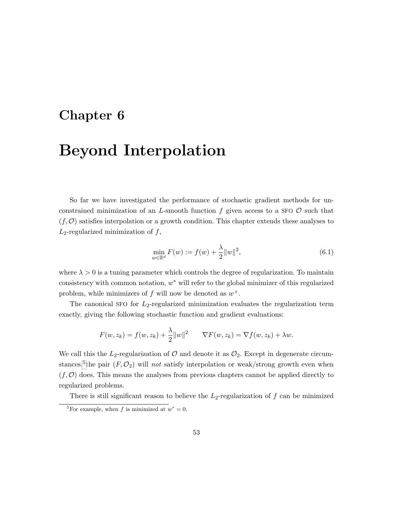### <span id="page-64-2"></span>Chapter 6

## Beyond Interpolation

So far we have investigated the performance of stochastic gradient methods for unconstrained minimization of an L-smooth function f given access to a SFO  $\mathcal O$  such that  $(f, \mathcal{O})$  satisfies interpolation or a growth condition. This chapter extends these analyses to  $L_2$ -regularized minimization of  $f$ ,

<span id="page-64-1"></span>
$$
\min_{w \in \mathbb{R}^d} F(w) := f(w) + \frac{\lambda}{2} ||w||^2,
$$
\n(6.1)

where  $\lambda > 0$  is a tuning parameter which controls the degree of regularization. To maintain consistency with common notation,  $w^*$  will refer to the global minimizer of this regularized problem, while minimizers of  $f$  will now be denoted as  $w^+$ .

The canonical SFO for  $L_2$ -regularized minimization evaluates the regularization term exactly, giving the following stochastic function and gradient evaluations:

$$
F(w, z_k) = f(w, z_k) + \frac{\lambda}{2} ||w||^2 \qquad \nabla F(w, z_k) = \nabla f(w, z_k) + \lambda w.
$$

We call this the  $L_2$ -regularization of  $\mathcal O$  and denote it as  $\mathcal O_2$ . Except in degenerate circum-stances,<sup>[5](#page-64-0)</sup>the pair  $(F, \mathcal{O}_2)$  will not satisfy interpolation or weak/strong growth even when  $(f, \mathcal{O})$  does. This means the analyses from previous chapters cannot be applied directly to regularized problems.

There is still significant reason to believe the  $L_2$ -regularization of f can be minimized

<span id="page-64-0"></span><sup>&</sup>lt;sup>5</sup>For example, when f is minimized at  $w^* = 0$ .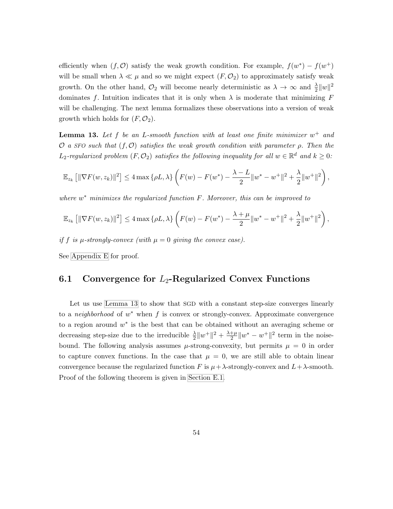efficiently when  $(f, \mathcal{O})$  satisfy the weak growth condition. For example,  $f(w^*) - f(w^+)$ will be small when  $\lambda \ll \mu$  and so we might expect  $(F, \mathcal{O}_2)$  to approximately satisfy weak growth. On the other hand,  $\mathcal{O}_2$  will become nearly deterministic as  $\lambda \to \infty$  and  $\frac{\lambda}{2}||w||^2$ dominates f. Intuition indicates that it is only when  $\lambda$  is moderate that minimizing F will be challenging. The next lemma formalizes these observations into a version of weak growth which holds for  $(F, \mathcal{O}_2)$ .

<span id="page-65-0"></span>**Lemma 13.** Let f be an L-smooth function with at least one finite minimizer  $w^+$  and O a SFO such that  $(f, \mathcal{O})$  satisfies the weak growth condition with parameter  $\rho$ . Then the  $L_2$ -regularized problem  $(F, \mathcal{O}_2)$  satisfies the following inequality for all  $w \in \mathbb{R}^d$  and  $k \geq 0$ :

$$
\mathbb{E}_{z_k} [\|\nabla F(w, z_k)\|^2] \le 4 \max \{\rho L, \lambda\} \left( F(w) - F(w^*) - \frac{\lambda - L}{2} \|w^* - w^+\|^2 + \frac{\lambda}{2} \|w^+\|^2 \right),
$$

where  $w^*$  minimizes the regularized function  $F$ . Moreover, this can be improved to

$$
\mathbb{E}_{z_k} \left[ \|\nabla F(w, z_k)\|^2 \right] \le 4 \max \left\{ \rho L, \lambda \right\} \left( F(w) - F(w^*) - \frac{\lambda + \mu}{2} \|w^* - w^+\|^2 + \frac{\lambda}{2} \|w^+\|^2 \right),
$$

if f is  $\mu$ -strongly-convex (with  $\mu = 0$  giving the convex case).

See [Appendix E](#page-110-0) for proof.

#### 6.1 Convergence for  $L_2$ -Regularized Convex Functions

Let us use [Lemma 13](#page-65-0) to show that SGD with a constant step-size converges linearly to a *neighborhood* of  $w^*$  when f is convex or strongly-convex. Approximate convergence to a region around  $w^*$  is the best that can be obtained without an averaging scheme or decreasing step-size due to the irreducible  $\frac{\lambda}{2}||w^+||^2 + \frac{\lambda+\mu}{2}$  $\frac{+\mu}{2} \|w^* - w^+\|^2$  term in the noisebound. The following analysis assumes  $\mu$ -strong-convexity, but permits  $\mu = 0$  in order to capture convex functions. In the case that  $\mu = 0$ , we are still able to obtain linear convergence because the regularized function F is  $\mu + \lambda$ -strongly-convex and  $L + \lambda$ -smooth. Proof of the following theorem is given in [Section E.1.](#page-112-0)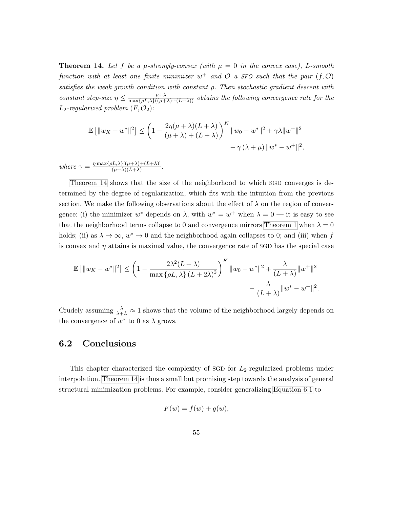<span id="page-66-0"></span>**Theorem 14.** Let f be a  $\mu$ -strongly-convex (with  $\mu = 0$  in the convex case), L-smooth function with at least one finite minimizer  $w^+$  and  $\mathcal O$  a SFO such that the pair  $(f, \mathcal O)$ satisfies the weak growth condition with constant ρ. Then stochastic gradient descent with constant step-size  $\eta \leq \frac{\mu + \lambda}{\max\{\rho L, \lambda\}((\mu + \lambda) + (L + \lambda))}$  obtains the following convergence rate for the  $L_2$ -regularized problem  $(F, \mathcal{O}_2)$ :

$$
\mathbb{E} [||w_K - w^*||^2] \le \left(1 - \frac{2\eta(\mu + \lambda)(L + \lambda)}{(\mu + \lambda) + (L + \lambda)}\right)^K ||w_0 - w^*||^2 + \gamma \lambda ||w^+||^2
$$
  

$$
- \gamma (\lambda + \mu) ||w^* - w^+||^2,
$$

where  $\gamma = \frac{\eta \max\{\rho L, \lambda\}[(\mu + \lambda) + (L + \lambda)]}{(\mu + \lambda)(L + \lambda)}$  $\frac{(\mu+\lambda)+(\mu+\lambda)}{(\mu+\lambda)(L+\lambda)}$ .

[Theorem 14](#page-66-0) shows that the size of the neighborhood to which SGD converges is determined by the degree of regularization, which fits with the intuition from the previous section. We make the following observations about the effect of  $\lambda$  on the region of convergence: (i) the minimizer  $w^*$  depends on  $\lambda$ , with  $w^* = w^+$  when  $\lambda = 0$  — it is easy to see that the neighborhood terms collapse to 0 and convergence mirrors [Theorem 1](#page-35-0) when  $\lambda = 0$ holds; (ii) as  $\lambda \to \infty$ ,  $w^* \to 0$  and the neighborhood again collapses to 0; and (iii) when f is convex and  $\eta$  attains is maximal value, the convergence rate of SGD has the special case

$$
\mathbb{E}\left[\|w_K - w^*\|^2\right] \le \left(1 - \frac{2\lambda^2 (L+\lambda)}{\max\{\rho L, \lambda\} (L+2\lambda)^2}\right)^K \|w_0 - w^*\|^2 + \frac{\lambda}{(L+\lambda)} \|w^+\|^2 - \frac{\lambda}{(L+\lambda)} \|w^* - w^+\|^2.
$$

Crudely assuming  $\frac{\lambda}{\lambda+L} \approx 1$  shows that the volume of the neighborhood largely depends on the convergence of  $w^*$  to 0 as  $\lambda$  grows.

#### 6.2 Conclusions

This chapter characterized the complexity of SGD for  $L_2$ -regularized problems under interpolation. [Theorem 14](#page-66-0) is thus a small but promising step towards the analysis of general structural minimization problems. For example, consider generalizing [Equation 6.1](#page-64-1) to

$$
F(w) = f(w) + g(w),
$$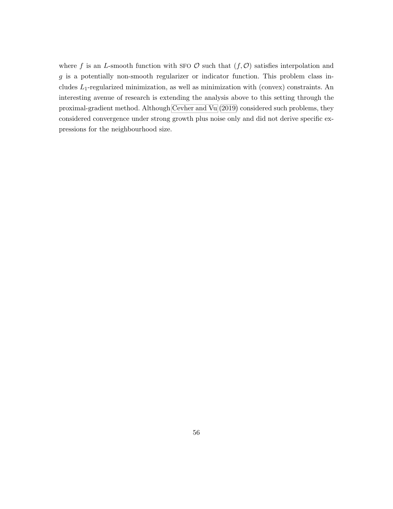where f is an L-smooth function with SFO  $\mathcal O$  such that  $(f, \mathcal O)$  satisfies interpolation and g is a potentially non-smooth regularizer or indicator function. This problem class includes  $L_1$ -regularized minimization, as well as minimization with (convex) constraints. An interesting avenue of research is extending the analysis above to this setting through the proximal-gradient method. Although [Cevher and Vu](#page-72-2) [\(2019\)](#page-72-2) considered such problems, they considered convergence under strong growth plus noise only and did not derive specific expressions for the neighbourhood size.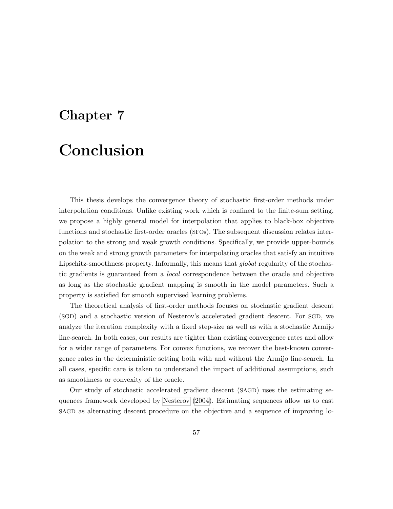## Chapter 7

# Conclusion

This thesis develops the convergence theory of stochastic first-order methods under interpolation conditions. Unlike existing work which is confined to the finite-sum setting, we propose a highly general model for interpolation that applies to black-box objective functions and stochastic first-order oracles (SFOs). The subsequent discussion relates interpolation to the strong and weak growth conditions. Specifically, we provide upper-bounds on the weak and strong growth parameters for interpolating oracles that satisfy an intuitive Lipschitz-smoothness property. Informally, this means that *qlobal* regularity of the stochastic gradients is guaranteed from a local correspondence between the oracle and objective as long as the stochastic gradient mapping is smooth in the model parameters. Such a property is satisfied for smooth supervised learning problems.

The theoretical analysis of first-order methods focuses on stochastic gradient descent (SGD) and a stochastic version of Nesterov's accelerated gradient descent. For SGD, we analyze the iteration complexity with a fixed step-size as well as with a stochastic Armijo line-search. In both cases, our results are tighter than existing convergence rates and allow for a wider range of parameters. For convex functions, we recover the best-known convergence rates in the deterministic setting both with and without the Armijo line-search. In all cases, specific care is taken to understand the impact of additional assumptions, such as smoothness or convexity of the oracle.

Our study of stochastic accelerated gradient descent (SAGD) uses the estimating sequences framework developed by [Nesterov](#page-75-0) [\(2004\)](#page-75-0). Estimating sequences allow us to cast SAGD as alternating descent procedure on the objective and a sequence of improving lo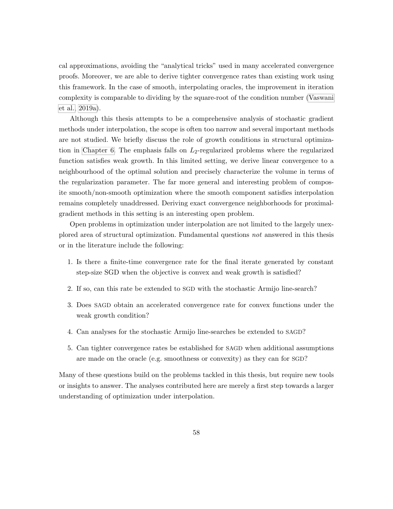cal approximations, avoiding the "analytical tricks" used in many accelerated convergence proofs. Moreover, we are able to derive tighter convergence rates than existing work using this framework. In the case of smooth, interpolating oracles, the improvement in iteration complexity is comparable to dividing by the square-root of the condition number [\(Vaswani](#page-78-0) [et al., 2019a\)](#page-78-0).

Although this thesis attempts to be a comprehensive analysis of stochastic gradient methods under interpolation, the scope is often too narrow and several important methods are not studied. We briefly discuss the role of growth conditions in structural optimiza-tion in [Chapter 6.](#page-64-2) The emphasis falls on  $L_2$ -regularized problems where the regularized function satisfies weak growth. In this limited setting, we derive linear convergence to a neighbourhood of the optimal solution and precisely characterize the volume in terms of the regularization parameter. The far more general and interesting problem of composite smooth/non-smooth optimization where the smooth component satisfies interpolation remains completely unaddressed. Deriving exact convergence neighborhoods for proximalgradient methods in this setting is an interesting open problem.

Open problems in optimization under interpolation are not limited to the largely unexplored area of structural optimization. Fundamental questions not answered in this thesis or in the literature include the following:

- 1. Is there a finite-time convergence rate for the final iterate generated by constant step-size SGD when the objective is convex and weak growth is satisfied?
- 2. If so, can this rate be extended to SGD with the stochastic Armijo line-search?
- 3. Does SAGD obtain an accelerated convergence rate for convex functions under the weak growth condition?
- 4. Can analyses for the stochastic Armijo line-searches be extended to SAGD?
- 5. Can tighter convergence rates be established for SAGD when additional assumptions are made on the oracle (e.g. smoothness or convexity) as they can for SGD?

Many of these questions build on the problems tackled in this thesis, but require new tools or insights to answer. The analyses contributed here are merely a first step towards a larger understanding of optimization under interpolation.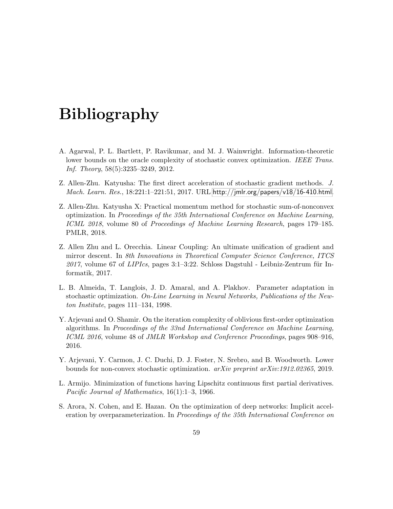# Bibliography

- <span id="page-70-0"></span>A. Agarwal, P. L. Bartlett, P. Ravikumar, and M. J. Wainwright. Information-theoretic lower bounds on the oracle complexity of stochastic convex optimization. IEEE Trans. Inf. Theory, 58(5):3235–3249, 2012.
- Z. Allen-Zhu. Katyusha: The first direct acceleration of stochastic gradient methods. J. Mach. Learn. Res., 18:221:1–221:51, 2017. URL <http://jmlr.org/papers/v18/16-410.html>.
- Z. Allen-Zhu. Katyusha X: Practical momentum method for stochastic sum-of-nonconvex optimization. In Proceedings of the 35th International Conference on Machine Learning, ICML 2018, volume 80 of Proceedings of Machine Learning Research, pages 179–185. PMLR, 2018.
- <span id="page-70-1"></span>Z. Allen Zhu and L. Orecchia. Linear Coupling: An ultimate unification of gradient and mirror descent. In 8th Innovations in Theoretical Computer Science Conference, ITCS  $2017$ , volume 67 of LIPIcs, pages 3:1–3:22. Schloss Dagstuhl - Leibniz-Zentrum für Informatik, 2017.
- L. B. Almeida, T. Langlois, J. D. Amaral, and A. Plakhov. Parameter adaptation in stochastic optimization. On-Line Learning in Neural Networks, Publications of the Newton Institute, pages 111–134, 1998.
- Y. Arjevani and O. Shamir. On the iteration complexity of oblivious first-order optimization algorithms. In Proceedings of the 33nd International Conference on Machine Learning, ICML 2016, volume 48 of JMLR Workshop and Conference Proceedings, pages 908–916, 2016.
- Y. Arjevani, Y. Carmon, J. C. Duchi, D. J. Foster, N. Srebro, and B. Woodworth. Lower bounds for non-convex stochastic optimization. arXiv preprint arXiv:1912.02365, 2019.
- L. Armijo. Minimization of functions having Lipschitz continuous first partial derivatives. Pacific Journal of Mathematics, 16(1):1–3, 1966.
- S. Arora, N. Cohen, and E. Hazan. On the optimization of deep networks: Implicit acceleration by overparameterization. In Proceedings of the 35th International Conference on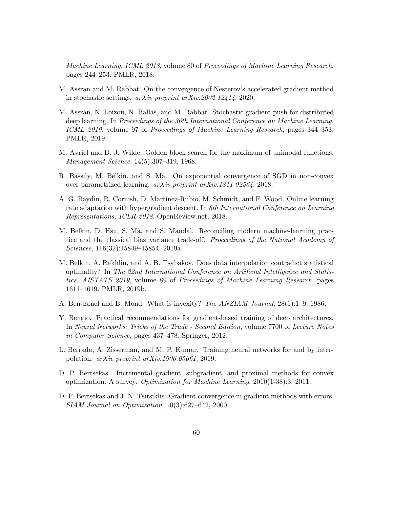Machine Learning, ICML 2018, volume 80 of Proceedings of Machine Learning Research, pages 244–253. PMLR, 2018.

- M. Assran and M. Rabbat. On the convergence of Nesterov's accelerated gradient method in stochastic settings. arXiv preprint arXiv:2002.12414, 2020.
- M. Assran, N. Loizou, N. Ballas, and M. Rabbat. Stochastic gradient push for distributed deep learning. In Proceedings of the 36th International Conference on Machine Learning, ICML 2019, volume 97 of Proceedings of Machine Learning Research, pages 344–353. PMLR, 2019.
- M. Avriel and D. J. Wilde. Golden block search for the maximum of unimodal functions. Management Science, 14(5):307–319, 1968.
- R. Bassily, M. Belkin, and S. Ma. On exponential convergence of SGD in non-convex over-parametrized learning. arXiv preprint arXiv:1811.02564, 2018.
- A. G. Baydin, R. Cornish, D. Mart´ınez-Rubio, M. Schmidt, and F. Wood. Online learning rate adaptation with hypergradient descent. In 6th International Conference on Learning Representations, ICLR 2018. OpenReview.net, 2018.
- M. Belkin, D. Hsu, S. Ma, and S. Mandal. Reconciling modern machine-learning practice and the classical bias–variance trade-off. Proceedings of the National Academy of Sciences, 116(32):15849–15854, 2019a.
- M. Belkin, A. Rakhlin, and A. B. Tsybakov. Does data interpolation contradict statistical optimality? In The 22nd International Conference on Artificial Intelligence and Statistics, AISTATS 2019, volume 89 of Proceedings of Machine Learning Research, pages 1611–1619. PMLR, 2019b.
- A. Ben-Israel and B. Mond. What is invexity? The ANZIAM Journal, 28(1):1–9, 1986.
- Y. Bengio. Practical recommendations for gradient-based training of deep architectures. In Neural Networks: Tricks of the Trade - Second Edition, volume 7700 of Lecture Notes in Computer Science, pages 437–478. Springer, 2012.
- L. Berrada, A. Zisserman, and M. P. Kumar. Training neural networks for and by interpolation. arXiv preprint arXiv:1906.05661, 2019.
- <span id="page-71-1"></span>D. P. Bertsekas. Incremental gradient, subgradient, and proximal methods for convex optimization: A survey. Optimization for Machine Learning, 2010(1-38):3, 2011.
- <span id="page-71-0"></span>D. P. Bertsekas and J. N. Tsitsiklis. Gradient convergence in gradient methods with errors. SIAM Journal on Optimization, 10(3):627–642, 2000.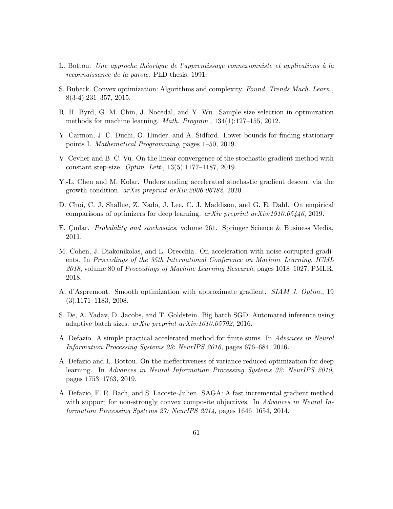- L. Bottou. Une approche théorique de l'apprentissage connexionniste et applications à la reconnaissance de la parole. PhD thesis, 1991.
- S. Bubeck. Convex optimization: Algorithms and complexity. Found. Trends Mach. Learn., 8(3-4):231–357, 2015.
- R. H. Byrd, G. M. Chin, J. Nocedal, and Y. Wu. Sample size selection in optimization methods for machine learning. Math. Program., 134(1):127–155, 2012.
- Y. Carmon, J. C. Duchi, O. Hinder, and A. Sidford. Lower bounds for finding stationary points I. Mathematical Programming, pages 1–50, 2019.
- V. Cevher and B. C. Vu. On the linear convergence of the stochastic gradient method with constant step-size. Optim. Lett., 13(5):1177–1187, 2019.
- Y.-L. Chen and M. Kolar. Understanding accelerated stochastic gradient descent via the growth condition. arXiv preprint arXiv:2006.06782, 2020.
- D. Choi, C. J. Shallue, Z. Nado, J. Lee, C. J. Maddison, and G. E. Dahl. On empirical comparisons of optimizers for deep learning. arXiv preprint arXiv:1910.05446, 2019.
- <span id="page-72-0"></span>E. Cinlar. *Probability and stochastics*, volume 261. Springer Science & Business Media, 2011.
- M. Cohen, J. Diakonikolas, and L. Orecchia. On acceleration with noise-corrupted gradients. In Proceedings of the 35th International Conference on Machine Learning, ICML 2018, volume 80 of Proceedings of Machine Learning Research, pages 1018–1027. PMLR, 2018.
- A. d'Aspremont. Smooth optimization with approximate gradient. SIAM J. Optim., 19 (3):1171–1183, 2008.
- S. De, A. Yadav, D. Jacobs, and T. Goldstein. Big batch SGD: Automated inference using adaptive batch sizes. arXiv preprint arXiv:1610.05792, 2016.
- A. Defazio. A simple practical accelerated method for finite sums. In Advances in Neural Information Processing Systems 29: NeurIPS 2016, pages 676–684, 2016.
- A. Defazio and L. Bottou. On the ineffectiveness of variance reduced optimization for deep learning. In Advances in Neural Information Processing Systems 32: NeurIPS 2019, pages 1753–1763, 2019.
- A. Defazio, F. R. Bach, and S. Lacoste-Julien. SAGA: A fast incremental gradient method with support for non-strongly convex composite objectives. In Advances in Neural Information Processing Systems 27: NeurIPS 2014, pages 1646–1654, 2014.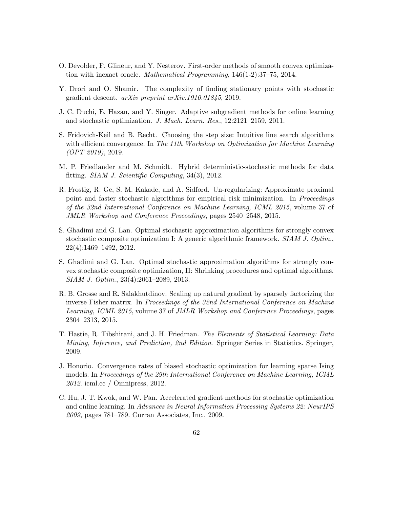- O. Devolder, F. Glineur, and Y. Nesterov. First-order methods of smooth convex optimization with inexact oracle. Mathematical Programming, 146(1-2):37–75, 2014.
- Y. Drori and O. Shamir. The complexity of finding stationary points with stochastic gradient descent. arXiv preprint arXiv:1910.01845, 2019.
- J. C. Duchi, E. Hazan, and Y. Singer. Adaptive subgradient methods for online learning and stochastic optimization. J. Mach. Learn. Res., 12:2121–2159, 2011.
- S. Fridovich-Keil and B. Recht. Choosing the step size: Intuitive line search algorithms with efficient convergence. In The 11th Workshop on Optimization for Machine Learning (OPT 2019), 2019.
- M. P. Friedlander and M. Schmidt. Hybrid deterministic-stochastic methods for data fitting. SIAM J. Scientific Computing, 34(3), 2012.
- R. Frostig, R. Ge, S. M. Kakade, and A. Sidford. Un-regularizing: Approximate proximal point and faster stochastic algorithms for empirical risk minimization. In Proceedings of the 32nd International Conference on Machine Learning, ICML 2015, volume 37 of JMLR Workshop and Conference Proceedings, pages 2540–2548, 2015.
- S. Ghadimi and G. Lan. Optimal stochastic approximation algorithms for strongly convex stochastic composite optimization I: A generic algorithmic framework. SIAM J. Optim., 22(4):1469–1492, 2012.
- S. Ghadimi and G. Lan. Optimal stochastic approximation algorithms for strongly convex stochastic composite optimization, II: Shrinking procedures and optimal algorithms. SIAM J. Optim., 23(4):2061–2089, 2013.
- R. B. Grosse and R. Salakhutdinov. Scaling up natural gradient by sparsely factorizing the inverse Fisher matrix. In Proceedings of the 32nd International Conference on Machine Learning, ICML 2015, volume 37 of JMLR Workshop and Conference Proceedings, pages 2304–2313, 2015.
- T. Hastie, R. Tibshirani, and J. H. Friedman. The Elements of Statistical Learning: Data Mining, Inference, and Prediction, 2nd Edition. Springer Series in Statistics. Springer, 2009.
- J. Honorio. Convergence rates of biased stochastic optimization for learning sparse Ising models. In Proceedings of the 29th International Conference on Machine Learning, ICML 2012. icml.cc / Omnipress, 2012.
- C. Hu, J. T. Kwok, and W. Pan. Accelerated gradient methods for stochastic optimization and online learning. In Advances in Neural Information Processing Systems 22: NeurIPS 2009, pages 781–789. Curran Associates, Inc., 2009.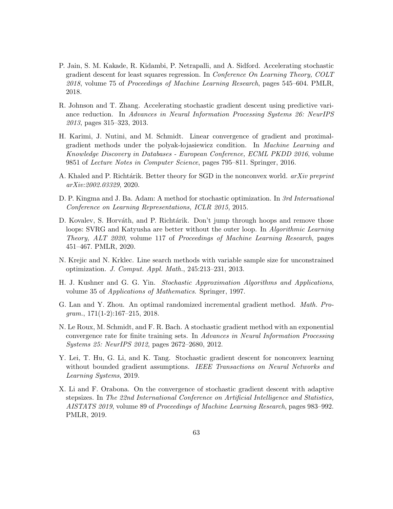- P. Jain, S. M. Kakade, R. Kidambi, P. Netrapalli, and A. Sidford. Accelerating stochastic gradient descent for least squares regression. In Conference On Learning Theory, COLT 2018, volume 75 of Proceedings of Machine Learning Research, pages 545–604. PMLR, 2018.
- R. Johnson and T. Zhang. Accelerating stochastic gradient descent using predictive variance reduction. In Advances in Neural Information Processing Systems 26: NeurIPS 2013, pages 315–323, 2013.
- H. Karimi, J. Nutini, and M. Schmidt. Linear convergence of gradient and proximalgradient methods under the polyak-lojasiewicz condition. In Machine Learning and Knowledge Discovery in Databases - European Conference, ECML PKDD 2016, volume 9851 of Lecture Notes in Computer Science, pages 795–811. Springer, 2016.
- A. Khaled and P. Richtárik. Better theory for SGD in the nonconvex world. arXiv preprint arXiv:2002.03329, 2020.
- D. P. Kingma and J. Ba. Adam: A method for stochastic optimization. In 3rd International Conference on Learning Representations, ICLR 2015, 2015.
- D. Kovalev, S. Horváth, and P. Richtárik. Don't jump through hoops and remove those loops: SVRG and Katyusha are better without the outer loop. In *Algorithmic Learning* Theory, ALT 2020, volume 117 of Proceedings of Machine Learning Research, pages 451–467. PMLR, 2020.
- N. Krejic and N. Krklec. Line search methods with variable sample size for unconstrained optimization. J. Comput. Appl. Math., 245:213–231, 2013.
- H. J. Kushner and G. G. Yin. Stochastic Approximation Algorithms and Applications, volume 35 of Applications of Mathematics. Springer, 1997.
- G. Lan and Y. Zhou. An optimal randomized incremental gradient method. Math. Pro $gram., 171(1-2):167-215, 2018.$
- N. Le Roux, M. Schmidt, and F. R. Bach. A stochastic gradient method with an exponential convergence rate for finite training sets. In Advances in Neural Information Processing Systems 25: NeurIPS 2012, pages 2672–2680, 2012.
- Y. Lei, T. Hu, G. Li, and K. Tang. Stochastic gradient descent for nonconvex learning without bounded gradient assumptions. IEEE Transactions on Neural Networks and Learning Systems, 2019.
- X. Li and F. Orabona. On the convergence of stochastic gradient descent with adaptive stepsizes. In The 22nd International Conference on Artificial Intelligence and Statistics, AISTATS 2019, volume 89 of Proceedings of Machine Learning Research, pages 983–992. PMLR, 2019.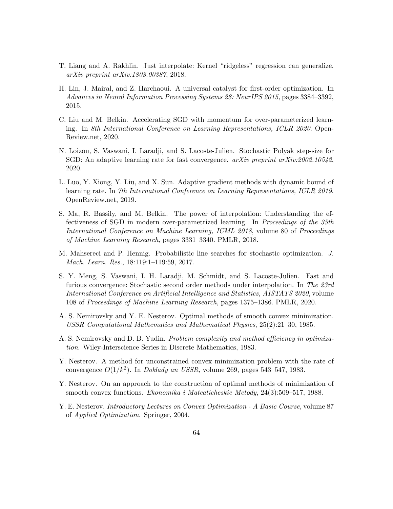- T. Liang and A. Rakhlin. Just interpolate: Kernel "ridgeless" regression can generalize. arXiv preprint arXiv:1808.00387, 2018.
- H. Lin, J. Mairal, and Z. Harchaoui. A universal catalyst for first-order optimization. In Advances in Neural Information Processing Systems 28: NeurIPS 2015, pages 3384–3392, 2015.
- C. Liu and M. Belkin. Accelerating SGD with momentum for over-parameterized learning. In 8th International Conference on Learning Representations, ICLR 2020. Open-Review.net, 2020.
- N. Loizou, S. Vaswani, I. Laradji, and S. Lacoste-Julien. Stochastic Polyak step-size for SGD: An adaptive learning rate for fast convergence.  $arXiv$  preprint  $arXiv:2002.10542$ , 2020.
- L. Luo, Y. Xiong, Y. Liu, and X. Sun. Adaptive gradient methods with dynamic bound of learning rate. In 7th International Conference on Learning Representations, ICLR 2019. OpenReview.net, 2019.
- S. Ma, R. Bassily, and M. Belkin. The power of interpolation: Understanding the effectiveness of SGD in modern over-parametrized learning. In Proceedings of the 35th International Conference on Machine Learning, ICML 2018, volume 80 of Proceedings of Machine Learning Research, pages 3331–3340. PMLR, 2018.
- M. Mahsereci and P. Hennig. Probabilistic line searches for stochastic optimization. J. Mach. Learn. Res., 18:119:1–119:59, 2017.
- S. Y. Meng, S. Vaswani, I. H. Laradji, M. Schmidt, and S. Lacoste-Julien. Fast and furious convergence: Stochastic second order methods under interpolation. In The 23rd International Conference on Artificial Intelligence and Statistics, AISTATS 2020, volume 108 of Proceedings of Machine Learning Research, pages 1375–1386. PMLR, 2020.
- A. S. Nemirovsky and Y. E. Nesterov. Optimal methods of smooth convex minimization. USSR Computational Mathematics and Mathematical Physics, 25(2):21–30, 1985.
- A. S. Nemirovsky and D. B. Yudin. Problem complexity and method efficiency in optimization. Wiley-Interscience Series in Discrete Mathematics, 1983.
- Y. Nesterov. A method for unconstrained convex minimization problem with the rate of convergence  $O(1/k^2)$ . In *Doklady an USSR*, volume 269, pages 543-547, 1983.
- Y. Nesterov. On an approach to the construction of optimal methods of minimization of smooth convex functions. Ekonomika i Mateaticheskie Metody, 24(3):509–517, 1988.
- <span id="page-75-0"></span>Y. E. Nesterov. Introductory Lectures on Convex Optimization - A Basic Course, volume 87 of Applied Optimization. Springer, 2004.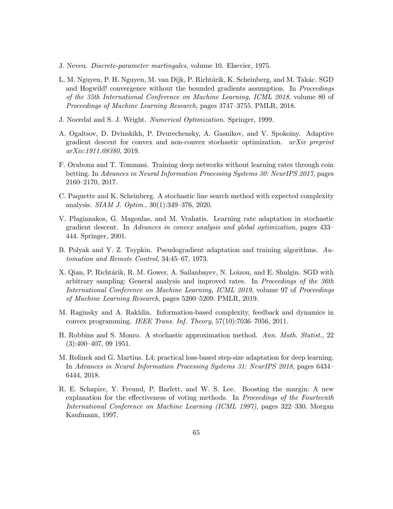- J. Neveu. Discrete-parameter martingales, volume 10. Elsevier, 1975.
- L. M. Nguyen, P. H. Nguyen, M. van Dijk, P. Richtárik, K. Scheinberg, and M. Takác. SGD and Hogwild! convergence without the bounded gradients assumption. In *Proceedings* of the 35th International Conference on Machine Learning, ICML 2018, volume 80 of Proceedings of Machine Learning Research, pages 3747–3755. PMLR, 2018.
- J. Nocedal and S. J. Wright. Numerical Optimization. Springer, 1999.
- A. Ogaltsov, D. Dvinskikh, P. Dvurechensky, A. Gasnikov, and V. Spokoiny. Adaptive gradient descent for convex and non-convex stochastic optimization.  $arXiv$  preprint arXiv:1911.08380, 2019.
- F. Orabona and T. Tommasi. Training deep networks without learning rates through coin betting. In Advances in Neural Information Processing Systems 30: NeurIPS 2017, pages 2160–2170, 2017.
- C. Paquette and K. Scheinberg. A stochastic line search method with expected complexity analysis. SIAM J. Optim., 30(1):349–376, 2020.
- V. Plagianakos, G. Magoulas, and M. Vrahatis. Learning rate adaptation in stochastic gradient descent. In Advances in convex analysis and global optimization, pages 433– 444. Springer, 2001.
- B. Polyak and Y. Z. Tsypkin. Pseudogradient adaptation and training algorithms. Automation and Remote Control, 34:45–67, 1973.
- X. Qian, P. Richtárik, R. M. Gower, A. Sailanbayev, N. Loizou, and E. Shulgin. SGD with arbitrary sampling: General analysis and improved rates. In Proceedings of the 36th International Conference on Machine Learning, ICML 2019, volume 97 of Proceedings of Machine Learning Research, pages 5200–5209. PMLR, 2019.
- M. Raginsky and A. Rakhlin. Information-based complexity, feedback and dynamics in convex programming. IEEE Trans. Inf. Theory, 57(10):7036–7056, 2011.
- H. Robbins and S. Monro. A stochastic approximation method. Ann. Math. Statist., 22 (3):400–407, 09 1951.
- M. Rolinek and G. Martius. L4: practical loss-based step-size adaptation for deep learning. In Advances in Neural Information Processing Systems 31: NeurIPS 2018, pages 6434– 6444, 2018.
- R. E. Schapire, Y. Freund, P. Barlett, and W. S. Lee. Boosting the margin: A new explanation for the effectiveness of voting methods. In *Proceedings of the Fourteenth* International Conference on Machine Learning (ICML 1997), pages 322–330. Morgan Kaufmann, 1997.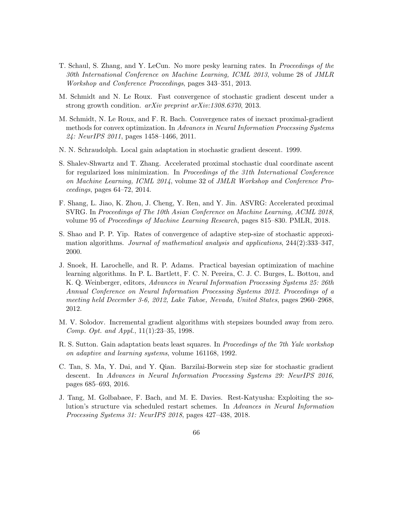- T. Schaul, S. Zhang, and Y. LeCun. No more pesky learning rates. In Proceedings of the 30th International Conference on Machine Learning, ICML 2013, volume 28 of JMLR Workshop and Conference Proceedings, pages 343–351, 2013.
- M. Schmidt and N. Le Roux. Fast convergence of stochastic gradient descent under a strong growth condition. arXiv preprint arXiv:1308.6370, 2013.
- M. Schmidt, N. Le Roux, and F. R. Bach. Convergence rates of inexact proximal-gradient methods for convex optimization. In Advances in Neural Information Processing Systems 24: NeurIPS 2011, pages 1458–1466, 2011.
- N. N. Schraudolph. Local gain adaptation in stochastic gradient descent. 1999.
- S. Shalev-Shwartz and T. Zhang. Accelerated proximal stochastic dual coordinate ascent for regularized loss minimization. In *Proceedings of the 31th International Conference* on Machine Learning, ICML 2014, volume 32 of JMLR Workshop and Conference Pro $ceedings, pages 64–72, 2014.$
- F. Shang, L. Jiao, K. Zhou, J. Cheng, Y. Ren, and Y. Jin. ASVRG: Accelerated proximal SVRG. In Proceedings of The 10th Asian Conference on Machine Learning, ACML 2018, volume 95 of Proceedings of Machine Learning Research, pages 815–830. PMLR, 2018.
- S. Shao and P. P. Yip. Rates of convergence of adaptive step-size of stochastic approximation algorithms. Journal of mathematical analysis and applications, 244(2):333–347, 2000.
- J. Snoek, H. Larochelle, and R. P. Adams. Practical bayesian optimization of machine learning algorithms. In P. L. Bartlett, F. C. N. Pereira, C. J. C. Burges, L. Bottou, and K. Q. Weinberger, editors, Advances in Neural Information Processing Systems 25: 26th Annual Conference on Neural Information Processing Systems 2012. Proceedings of a meeting held December 3-6, 2012, Lake Tahoe, Nevada, United States, pages 2960–2968, 2012.
- M. V. Solodov. Incremental gradient algorithms with stepsizes bounded away from zero. Comp. Opt. and Appl., 11(1):23–35, 1998.
- R. S. Sutton. Gain adaptation beats least squares. In *Proceedings of the 7th Yale workshop* on adaptive and learning systems, volume 161168, 1992.
- C. Tan, S. Ma, Y. Dai, and Y. Qian. Barzilai-Borwein step size for stochastic gradient descent. In Advances in Neural Information Processing Systems 29: NeurIPS 2016, pages 685–693, 2016.
- J. Tang, M. Golbabaee, F. Bach, and M. E. Davies. Rest-Katyusha: Exploiting the solution's structure via scheduled restart schemes. In Advances in Neural Information Processing Systems 31: NeurIPS 2018, pages 427–438, 2018.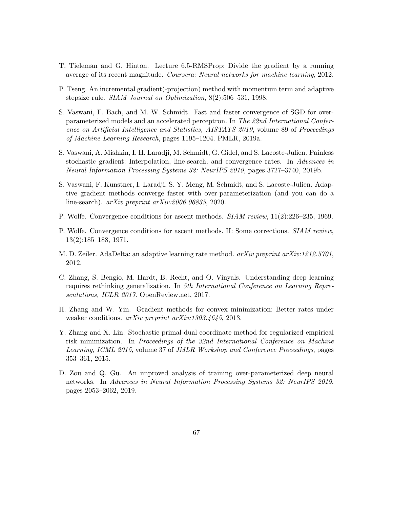- T. Tieleman and G. Hinton. Lecture 6.5-RMSProp: Divide the gradient by a running average of its recent magnitude. Coursera: Neural networks for machine learning, 2012.
- P. Tseng. An incremental gradient(-projection) method with momentum term and adaptive stepsize rule. SIAM Journal on Optimization, 8(2):506–531, 1998.
- <span id="page-78-0"></span>S. Vaswani, F. Bach, and M. W. Schmidt. Fast and faster convergence of SGD for overparameterized models and an accelerated perceptron. In The 22nd International Conference on Artificial Intelligence and Statistics, AISTATS 2019, volume 89 of Proceedings of Machine Learning Research, pages 1195–1204. PMLR, 2019a.
- S. Vaswani, A. Mishkin, I. H. Laradji, M. Schmidt, G. Gidel, and S. Lacoste-Julien. Painless stochastic gradient: Interpolation, line-search, and convergence rates. In Advances in Neural Information Processing Systems 32: NeurIPS 2019, pages 3727–3740, 2019b.
- S. Vaswani, F. Kunstner, I. Laradji, S. Y. Meng, M. Schmidt, and S. Lacoste-Julien. Adaptive gradient methods converge faster with over-parameterization (and you can do a line-search). arXiv preprint arXiv:2006.06835, 2020.
- P. Wolfe. Convergence conditions for ascent methods. SIAM review, 11(2):226–235, 1969.
- P. Wolfe. Convergence conditions for ascent methods. II: Some corrections. *SIAM review*, 13(2):185–188, 1971.
- M. D. Zeiler. AdaDelta: an adaptive learning rate method. arXiv preprint arXiv:1212.5701, 2012.
- C. Zhang, S. Bengio, M. Hardt, B. Recht, and O. Vinyals. Understanding deep learning requires rethinking generalization. In 5th International Conference on Learning Representations, ICLR 2017. OpenReview.net, 2017.
- H. Zhang and W. Yin. Gradient methods for convex minimization: Better rates under weaker conditions. arXiv preprint arXiv:1303.4645, 2013.
- Y. Zhang and X. Lin. Stochastic primal-dual coordinate method for regularized empirical risk minimization. In Proceedings of the 32nd International Conference on Machine Learning, ICML 2015, volume 37 of JMLR Workshop and Conference Proceedings, pages 353–361, 2015.
- D. Zou and Q. Gu. An improved analysis of training over-parameterized deep neural networks. In Advances in Neural Information Processing Systems 32: NeurIPS 2019, pages 2053–2062, 2019.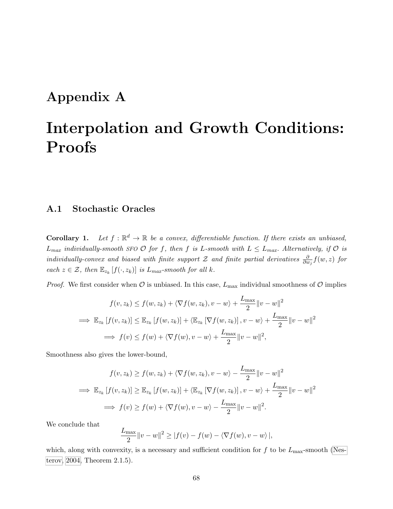## Appendix A

# Interpolation and Growth Conditions: Proofs

#### A.1 Stochastic Oracles

Corollary 1. Let  $f: \mathbb{R}^d \to \mathbb{R}$  be a convex, differentiable function. If there exists an unbiased,  $L_{max}$  individually-smooth SFO  $\mathcal O$  for f, then f is L-smooth with  $L \leq L_{max}$ . Alternatively, if  $\mathcal O$  is individually-convex and biased with finite support Z and finite partial derivatives  $\frac{\partial}{\partial w_j} f(w, z)$  for each  $z \in \mathcal{Z}$ , then  $\mathbb{E}_{z_k}[f(\cdot,z_k)]$  is  $L_{max}\text{-smooth}$  for all k.

*Proof.* We first consider when  $\mathcal O$  is unbiased. In this case,  $L_{\text{max}}$  individual smoothness of  $\mathcal O$  implies

$$
f(v, z_k) \le f(w, z_k) + \langle \nabla f(w, z_k), v - w \rangle + \frac{L_{\max}}{2} ||v - w||^2
$$
  
\n
$$
\implies \mathbb{E}_{z_k} [f(v, z_k)] \le \mathbb{E}_{z_k} [f(w, z_k)] + \langle \mathbb{E}_{z_k} [\nabla f(w, z_k)] , v - w \rangle + \frac{L_{\max}}{2} ||v - w||^2
$$
  
\n
$$
\implies f(v) \le f(w) + \langle \nabla f(w), v - w \rangle + \frac{L_{\max}}{2} ||v - w||^2,
$$

Smoothness also gives the lower-bound,

$$
f(v, z_k) \ge f(w, z_k) + \langle \nabla f(w, z_k), v - w \rangle - \frac{L_{\max}}{2} ||v - w||^2
$$
  
\n
$$
\implies \mathbb{E}_{z_k} [f(v, z_k)] \ge \mathbb{E}_{z_k} [f(w, z_k)] + \langle \mathbb{E}_{z_k} [\nabla f(w, z_k)] , v - w \rangle + \frac{L_{\max}}{2} ||v - w||^2
$$
  
\n
$$
\implies f(v) \ge f(w) + \langle \nabla f(w), v - w \rangle - \frac{L_{\max}}{2} ||v - w||^2.
$$

We conclude that

$$
\frac{L_{\max}}{2} ||v - w||^2 \ge |f(v) - f(w) - \langle \nabla f(w), v - w \rangle|,
$$

which, along with convexity, is a necessary and sufficient condition for  $f$  to be  $L_{\text{max}}$ -smooth [\(Nes](#page-75-0)[terov, 2004,](#page-75-0) Theorem 2.1.5).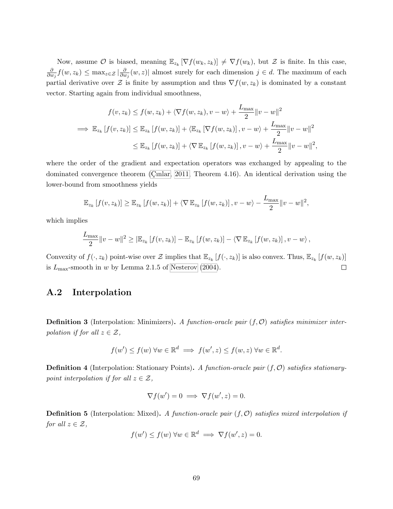Now, assume  $\mathcal O$  is biased, meaning  $\mathbb{E}_{z_k}[\nabla f(w_k, z_k)] \neq \nabla f(w_k)$ , but  $\mathcal Z$  is finite. In this case, ∂  $\frac{\partial}{\partial w_j} f(w, z_k) \leq \max_{z \in \mathcal{Z}} |\frac{\partial}{\partial u}$  $\frac{\partial}{\partial w_j}(w, z)$  almost surely for each dimension  $j \in d$ . The maximum of each partial derivative over  $\mathcal Z$  is finite by assumption and thus  $\nabla f(w, z_k)$  is dominated by a constant vector. Starting again from individual smoothness,

$$
f(v, z_k) \le f(w, z_k) + \langle \nabla f(w, z_k), v - w \rangle + \frac{L_{\text{max}}}{2} ||v - w||^2
$$
  
\n
$$
\implies \mathbb{E}_{z_k} [f(v, z_k)] \le \mathbb{E}_{z_k} [f(w, z_k)] + \langle \mathbb{E}_{z_k} [\nabla f(w, z_k)], v - w \rangle + \frac{L_{\text{max}}}{2} ||v - w||^2
$$
  
\n
$$
\le \mathbb{E}_{z_k} [f(w, z_k)] + \langle \nabla \mathbb{E}_{z_k} [f(w, z_k)], v - w \rangle + \frac{L_{\text{max}}}{2} ||v - w||^2,
$$

where the order of the gradient and expectation operators was exchanged by appealing to the dominated convergence theorem (Cinlar, 2011, Theorem 4.16). An identical derivation using the lower-bound from smoothness yields

$$
\mathbb{E}_{z_k}[f(v,z_k)] \geq \mathbb{E}_{z_k}[f(w,z_k)] + \langle \nabla \mathbb{E}_{z_k}[f(w,z_k)], v - w \rangle - \frac{L_{\max}}{2} ||v - w||^2,
$$

which implies

$$
\frac{L_{\max}}{2} \|v - w\|^2 \geq |\mathbb{E}_{z_k}[f(v, z_k)] - \mathbb{E}_{z_k}[f(w, z_k)] - \langle \nabla \mathbb{E}_{z_k}[f(w, z_k)], v - w \rangle,
$$

Convexity of  $f(\cdot, z_k)$  point-wise over  $\mathcal Z$  implies that  $\mathbb E_{z_k}[f(\cdot, z_k)]$  is also convex. Thus,  $\mathbb E_{z_k}[f(w, z_k)]$ is  $L_{\text{max}}$ -smooth in w by Lemma 2.1.5 of [Nesterov](#page-75-0) [\(2004\)](#page-75-0).  $\Box$ 

#### A.2 Interpolation

**Definition 3** (Interpolation: Minimizers). A function-oracle pair  $(f, O)$  satisfies minimizer interpolation if for all  $z \in \mathcal{Z}$ ,

$$
f(w') \le f(w) \,\forall w \in \mathbb{R}^d \implies f(w', z) \le f(w, z) \,\forall w \in \mathbb{R}^d.
$$

**Definition 4** (Interpolation: Stationary Points). A function-oracle pair  $(f, O)$  satisfies stationarypoint interpolation if for all  $z \in \mathcal{Z}$ ,

$$
\nabla f(w') = 0 \implies \nabla f(w', z) = 0.
$$

**Definition 5** (Interpolation: Mixed). A function-oracle pair  $(f, O)$  satisfies mixed interpolation if for all  $z \in \mathcal{Z}$ ,

$$
f(w') \le f(w) \,\forall w \in \mathbb{R}^d \implies \nabla f(w', z) = 0.
$$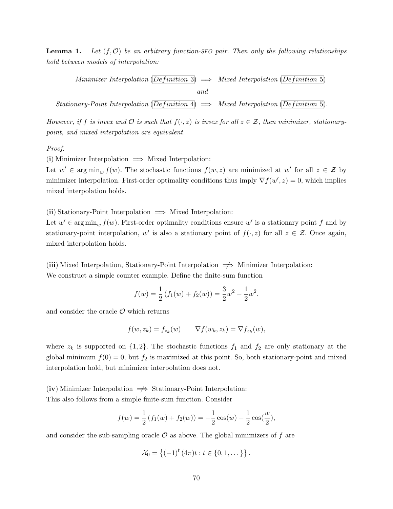**Lemma 1.** Let  $(f, \mathcal{O})$  be an arbitrary function-SFO pair. Then only the following relationships hold between models of interpolation:

Minimizer Interpolation (Definition 3)  $\implies$  Mixed Interpolation (Definition 5)

and

Stationary-Point Interpolation (Definition 4)  $\implies$  Mixed Interpolation (Definition 5).

However, if f is invex and  $\mathcal O$  is such that  $f(\cdot,z)$  is invex for all  $z\in\mathcal Z$ , then minimizer, stationarypoint, and mixed interpolation are equivalent.

#### Proof.

(i) Minimizer Interpolation  $\implies$  Mixed Interpolation:

Let  $w' \in \arg\min_w f(w)$ . The stochastic functions  $f(w, z)$  are minimized at w' for all  $z \in \mathcal{Z}$  by minimizer interpolation. First-order optimality conditions thus imply  $\nabla f(w', z) = 0$ , which implies mixed interpolation holds.

(ii) Stationary-Point Interpolation  $\implies$  Mixed Interpolation:

Let  $w' \in \arg\min_w f(w)$ . First-order optimality conditions ensure w' is a stationary point f and by stationary-point interpolation, w' is also a stationary point of  $f(\cdot, z)$  for all  $z \in \mathcal{Z}$ . Once again, mixed interpolation holds.

(iii) Mixed Interpolation, Stationary-Point Interpolation  $\implies$  Minimizer Interpolation: We construct a simple counter example. Define the finite-sum function

$$
f(w) = \frac{1}{2} (f_1(w) + f_2(w)) = \frac{3}{2}w^2 - \frac{1}{2}w^2,
$$

and consider the oracle  $\mathcal O$  which returns

$$
f(w, z_k) = f_{z_k}(w) \qquad \nabla f(w_k, z_k) = \nabla f_{z_k}(w),
$$

where  $z_k$  is supported on  $\{1, 2\}$ . The stochastic functions  $f_1$  and  $f_2$  are only stationary at the global minimum  $f(0) = 0$ , but  $f_2$  is maximized at this point. So, both stationary-point and mixed interpolation hold, but minimizer interpolation does not.

(iv) Minimizer Interpolation  $\Rightarrow$  Stationary-Point Interpolation: This also follows from a simple finite-sum function. Consider

$$
f(w) = \frac{1}{2} (f_1(w) + f_2(w)) = -\frac{1}{2} \cos(w) - \frac{1}{2} \cos(\frac{w}{2}),
$$

and consider the sub-sampling oracle  $\mathcal O$  as above. The global minimizers of f are

$$
\mathcal{X}_0 = \left\{ (-1)^t (4\pi)t : t \in \{0, 1, \dots \} \right\}.
$$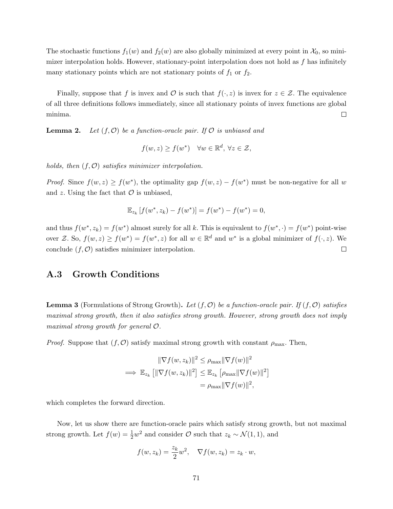The stochastic functions  $f_1(w)$  and  $f_2(w)$  are also globally minimized at every point in  $\mathcal{X}_0$ , so minimizer interpolation holds. However, stationary-point interpolation does not hold as  $f$  has infinitely many stationary points which are not stationary points of  $f_1$  or  $f_2$ .

Finally, suppose that f is invex and  $\mathcal O$  is such that  $f(\cdot, z)$  is invex for  $z \in \mathcal Z$ . The equivalence of all three definitions follows immediately, since all stationary points of invex functions are global minima.  $\Box$ 

**Lemma 2.** Let  $(f, O)$  be a function-oracle pair. If O is unbiased and

$$
f(w, z) \ge f(w^*) \quad \forall w \in \mathbb{R}^d, \ \forall z \in \mathcal{Z},
$$

holds, then  $(f, O)$  satisfies minimizer interpolation.

*Proof.* Since  $f(w, z) \ge f(w^*)$ , the optimality gap  $f(w, z) - f(w^*)$  must be non-negative for all w and  $z$ . Using the fact that  $\mathcal O$  is unbiased,

$$
\mathbb{E}_{z_k}[f(w^*, z_k) - f(w^*)] = f(w^*) - f(w^*) = 0,
$$

and thus  $f(w^*, z_k) = f(w^*)$  almost surely for all k. This is equivalent to  $f(w^*, \cdot) = f(w^*)$  point-wise over Z. So,  $f(w, z) \ge f(w^*) = f(w^*, z)$  for all  $w \in \mathbb{R}^d$  and  $w^*$  is a global minimizer of  $f(\cdot, z)$ . We conclude  $(f, \mathcal{O})$  satisfies minimizer interpolation.  $\Box$ 

#### A.3 Growth Conditions

**Lemma 3** (Formulations of Strong Growth). Let  $(f, \mathcal{O})$  be a function-oracle pair. If  $(f, \mathcal{O})$  satisfies maximal strong growth, then it also satisfies strong growth. However, strong growth does not imply maximal strong growth for general O.

*Proof.* Suppose that  $(f, \mathcal{O})$  satisfy maximal strong growth with constant  $\rho_{\text{max}}$ . Then,

$$
\|\nabla f(w, z_k)\|^2 \le \rho_{\max} \|\nabla f(w)\|^2
$$
  
\n
$$
\implies \mathbb{E}_{z_k} [\|\nabla f(w, z_k)\|^2] \le \mathbb{E}_{z_k} [\rho_{\max} \|\nabla f(w)\|^2]
$$
  
\n
$$
= \rho_{\max} \|\nabla f(w)\|^2,
$$

which completes the forward direction.

Now, let us show there are function-oracle pairs which satisfy strong growth, but not maximal strong growth. Let  $f(w) = \frac{1}{2}w^2$  and consider  $\mathcal{O}$  such that  $z_k \sim \mathcal{N}(1, 1)$ , and

$$
f(w, z_k) = \frac{z_k}{2} w^2, \quad \nabla f(w, z_k) = z_k \cdot w,
$$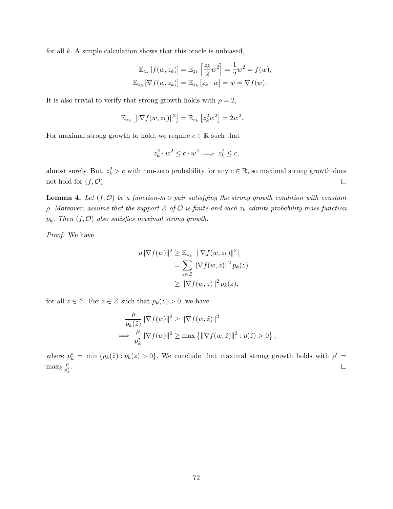for all  $k$ . A simple calculation shows that this oracle is unbiased,

$$
\mathbb{E}_{z_k}[f(w, z_k)] = \mathbb{E}_{z_k}\left[\frac{z_k}{2}w^2\right] = \frac{1}{2}w^2 = f(w),
$$
  

$$
\mathbb{E}_{z_k}[\nabla f(w, z_k)] = \mathbb{E}_{z_k}[z_k \cdot w] = w = \nabla f(w).
$$

It is also trivial to verify that strong growth holds with  $\rho = 2$ ,

$$
\mathbb{E}_{z_k}\left[\|\nabla f(w,z_k)\|^2\right] = \mathbb{E}_{z_k}\left[z_k^2 w^2\right] = 2w^2.
$$

For maximal strong growth to hold, we require  $c \in \mathbb{R}$  such that

$$
z_k^2 \cdot w^2 \le c \cdot w^2 \implies z_k^2 \le c,
$$

almost surely. But,  $z_k^2 > c$  with non-zero probability for any  $c \in \mathbb{R}$ , so maximal strong growth does not hold for  $(f, \mathcal{O})$ .  $\Box$ 

**Lemma 4.** Let  $(f, O)$  be a function-SFO pair satisfying the strong growth condition with constant  $ρ. Moreover, assume that the support Z of O is finite and each z<sub>k</sub> admits probability mass function$  $p_k$ . Then  $(f, O)$  also satisfies maximal strong growth.

Proof. We have

$$
\rho \|\nabla f(w)\|^2 \ge \mathbb{E}_{z_k} \left[ \|\nabla f(w, z_k)\|^2 \right]
$$
  
= 
$$
\sum_{z \in \mathcal{Z}} \|\nabla f(w, z)\|^2 p_k(z)
$$
  

$$
\ge \|\nabla f(w, z)\|^2 p_k(z),
$$

for all  $z \in \mathcal{Z}$ . For  $\tilde{z} \in \mathcal{Z}$  such that  $p_k(\tilde{z}) > 0$ , we have

$$
\frac{\rho}{p_k(\tilde{z})} \|\nabla f(w)\|^2 \ge \|\nabla f(w, \tilde{z})\|^2
$$
  
\n
$$
\implies \frac{\rho}{p_k^*} \|\nabla f(w)\|^2 \ge \max \{ \|\nabla f(w, \tilde{z})\|^2 : p(\tilde{z}) > 0 \},
$$

where  $p_k^* = \min \{ p_k(\tilde{z}) : p_k(z) > 0 \}.$  We conclude that maximal strong growth holds with  $\rho' =$  $\max_k \frac{\rho}{p_i^*}$  $\frac{\rho}{p_k^*}$ .  $\Box$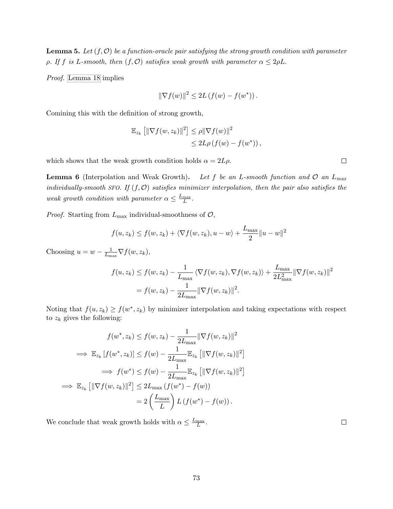**Lemma 5.** Let  $(f, O)$  be a function-oracle pair satisfying the strong growth condition with parameter ρ. If f is L-smooth, then  $(f, O)$  satisfies weak growth with parameter  $\alpha \leq 2\rho L$ .

Proof. [Lemma 18](#page-114-0) implies

$$
\|\nabla f(w)\|^2 \le 2L\left(f(w) - f(w^*)\right).
$$

Comining this with the definition of strong growth,

$$
\mathbb{E}_{z_k} [ \|\nabla f(w, z_k)\|^2 ] \leq \rho \|\nabla f(w)\|^2
$$
  

$$
\leq 2L\rho (f(w) - f(w^*)),
$$

which shows that the weak growth condition holds  $\alpha = 2L\rho$ .

**Lemma 6** (Interpolation and Weak Growth). Let f be an L-smooth function and  $\mathcal{O}$  an  $L_{max}$ individually-smooth SFO. If  $(f, \mathcal{O})$  satisfies minimizer interpolation, then the pair also satisfies the weak growth condition with parameter  $\alpha \leq \frac{L_{max}}{L}$ .

*Proof.* Starting from  $L_{\text{max}}$  individual-smoothness of  $\mathcal{O}$ ,

$$
f(u, z_k) \le f(w, z_k) + \langle \nabla f(w, z_k), u - w \rangle + \frac{L_{\text{max}}}{2} ||u - w||^2
$$

Choosing  $u = w - \frac{1}{L}$  $\frac{1}{L_{\max}} \nabla f(w, z_k),$ 

$$
f(u, z_k) \le f(w, z_k) - \frac{1}{L_{\text{max}}} \langle \nabla f(w, z_k), \nabla f(w, z_k) \rangle + \frac{L_{\text{max}}}{2L_{\text{max}}^2} ||\nabla f(w, z_k)||^2
$$
  
=  $f(w, z_k) - \frac{1}{2L_{\text{max}}} ||\nabla f(w, z_k)||^2$ .

Noting that  $f(u, z_k) \ge f(w^*, z_k)$  by minimizer interpolation and taking expectations with respect to  $z_k$  gives the following:

$$
f(w^*, z_k) \le f(w, z_k) - \frac{1}{2L_{\text{max}}} \|\nabla f(w, z_k)\|^2
$$
  
\n
$$
\implies \mathbb{E}_{z_k} [f(w^*, z_k)] \le f(w) - \frac{1}{2L_{\text{max}}} \mathbb{E}_{z_k} [\|\nabla f(w, z_k)\|^2]
$$
  
\n
$$
\implies f(w^*) \le f(w) - \frac{1}{2L_{\text{max}}} \mathbb{E}_{z_k} [\|\nabla f(w, z_k)\|^2]
$$
  
\n
$$
\implies \mathbb{E}_{z_k} [\|\nabla f(w, z_k)\|^2] \le 2L_{\text{max}} (f(w^*) - f(w))
$$
  
\n
$$
= 2\left(\frac{L_{\text{max}}}{L}\right) L (f(w^*) - f(w)).
$$

We conclude that weak growth holds with  $\alpha \leq \frac{L_{\text{max}}}{L}$ .

 $\Box$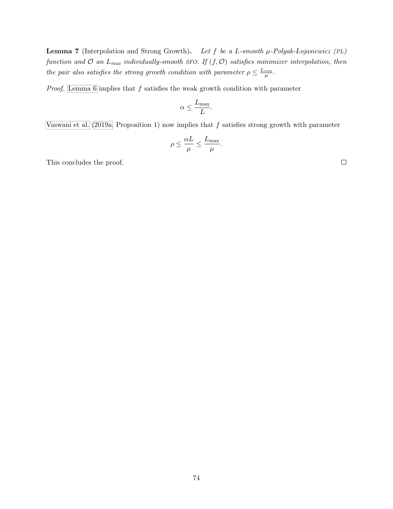**Lemma 7** (Interpolation and Strong Growth). Let f be a L-smooth  $\mu$ -Polyak-Lojasiewicz (PL) function and  $\mathcal O$  an  $L_{max}$  individually-smooth SFO. If  $(f, \mathcal O)$  satisfies minimizer interpolation, then the pair also satisfies the strong growth condition with parameter  $\rho \leq \frac{L_{max}}{\mu}$ .

*Proof.* [Lemma 6](#page-31-0) implies that  $f$  satisfies the weak growth condition with parameter

$$
\alpha \leq \frac{L_{\max}}{L}.
$$

[Vaswani et al.](#page-78-0)  $(2019a,$  Proposition 1) now implies that f satisfies strong growth with parameter

$$
\rho \leq \frac{\alpha L}{\mu} \leq \frac{L_{\max}}{\mu}.
$$

This concludes the proof.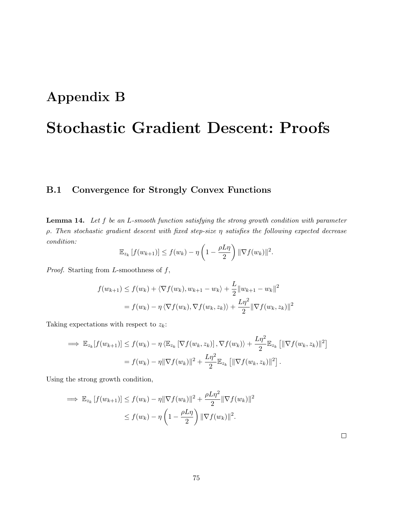## Appendix B

# Stochastic Gradient Descent: Proofs

#### B.1 Convergence for Strongly Convex Functions

<span id="page-86-0"></span>**Lemma 14.** Let  $f$  be an  $L$ -smooth function satisfying the strong growth condition with parameter  $\rho$ . Then stochastic gradient descent with fixed step-size  $\eta$  satisfies the following expected decrease condition:

$$
\mathbb{E}_{z_k}[f(w_{k+1})] \le f(w_k) - \eta \left(1 - \frac{\rho L \eta}{2}\right) \|\nabla f(w_k)\|^2.
$$

*Proof.* Starting from L-smoothness of  $f$ ,

$$
f(w_{k+1}) \le f(w_k) + \langle \nabla f(w_k), w_{k+1} - w_k \rangle + \frac{L}{2} ||w_{k+1} - w_k||^2
$$
  
=  $f(w_k) - \eta \langle \nabla f(w_k), \nabla f(w_k, z_k) \rangle + \frac{L\eta^2}{2} ||\nabla f(w_k, z_k)||^2$ 

Taking expectations with respect to  $z_k$ :

$$
\implies \mathbb{E}_{z_k}[f(w_{k+1})] \le f(w_k) - \eta \langle \mathbb{E}_{z_k}[\nabla f(w_k, z_k)], \nabla f(w_k) \rangle + \frac{L\eta^2}{2} \mathbb{E}_{z_k}[\|\nabla f(w_k, z_k)\|^2]
$$
  
=  $f(w_k) - \eta \|\nabla f(w_k)\|^2 + \frac{L\eta^2}{2} \mathbb{E}_{z_k}[\|\nabla f(w_k, z_k)\|^2].$ 

Using the strong growth condition,

$$
\implies \mathbb{E}_{z_k} \left[ f(w_{k+1}) \right] \le f(w_k) - \eta \|\nabla f(w_k)\|^2 + \frac{\rho L \eta^2}{2} \|\nabla f(w_k)\|^2
$$
  

$$
\le f(w_k) - \eta \left(1 - \frac{\rho L \eta}{2}\right) \|\nabla f(w_k)\|^2.
$$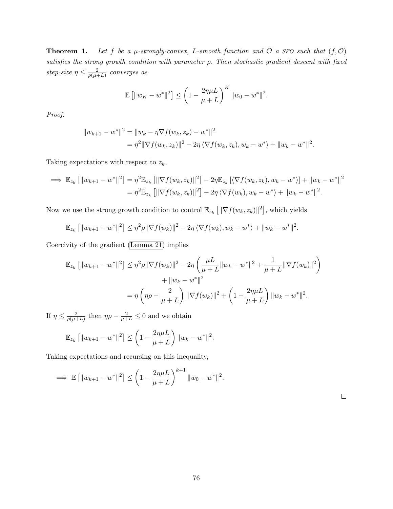**Theorem 1.** Let f be a  $\mu$ -strongly-convex, L-smooth function and  $\mathcal{O}$  a SFO such that  $(f, \mathcal{O})$ satisfies the strong growth condition with parameter  $\rho$ . Then stochastic gradient descent with fixed step-size  $\eta \leq \frac{2}{a(u+1)}$  $\frac{2}{\rho(\mu+L)}$  converges as

$$
\mathbb{E} [||w_K - w^*||^2] \le \left(1 - \frac{2\eta\mu L}{\mu + L}\right)^K ||w_0 - w^*||^2.
$$

Proof.

$$
||w_{k+1} - w^*||^2 = ||w_k - \eta \nabla f(w_k, z_k) - w^*||^2
$$
  
=  $\eta^2 ||\nabla f(w_k, z_k)||^2 - 2\eta \langle \nabla f(w_k, z_k), w_k - w^* \rangle + ||w_k - w^*||^2$ .

Taking expectations with respect to  $z_k$ ,

$$
\implies \mathbb{E}_{z_k} [||w_{k+1} - w^*||^2] = \eta^2 \mathbb{E}_{z_k} [||\nabla f(w_k, z_k)||^2] - 2\eta \mathbb{E}_{z_k} [\langle \nabla f(w_k, z_k), w_k - w^* \rangle] + ||w_k - w^*||^2
$$
  
=  $\eta^2 \mathbb{E}_{z_k} [||\nabla f(w_k, z_k)||^2] - 2\eta \langle \nabla f(w_k), w_k - w^* \rangle + ||w_k - w^*||^2.$ 

Now we use the strong growth condition to control  $\mathbb{E}_{z_k} \left[ \|\nabla f(w_k, z_k)\|^2 \right]$ , which yields

$$
\mathbb{E}_{z_k} [||w_{k+1} - w^*||^2] \leq \eta^2 \rho ||\nabla f(w_k)||^2 - 2\eta \langle \nabla f(w_k), w_k - w^* \rangle + ||w_k - w^*||^2.
$$

Coercivity of the gradient [\(Lemma 21\)](#page-115-0) implies

$$
\mathbb{E}_{z_k} \left[ \|w_{k+1} - w^*\|^2 \right] \leq \eta^2 \rho \|\nabla f(w_k)\|^2 - 2\eta \left( \frac{\mu L}{\mu + L} \|w_k - w^*\|^2 + \frac{1}{\mu + L} \|\nabla f(w_k)\|^2 \right) \n+ \|w_k - w^*\|^2 \n= \eta \left( \eta \rho - \frac{2}{\mu + L} \right) \|\nabla f(w_k)\|^2 + \left( 1 - \frac{2\eta \mu L}{\mu + L} \right) \|w_k - w^*\|^2.
$$

If  $\eta \leq \frac{2}{a(u+1)}$  $\frac{2}{\rho(\mu+L)}$  then  $\eta\rho - \frac{2}{\mu+L} \leq 0$  and we obtain

$$
\mathbb{E}_{z_k} [||w_{k+1} - w^*||^2] \leq \left(1 - \frac{2\eta\mu L}{\mu + L}\right) ||w_k - w^*||^2.
$$

Taking expectations and recursing on this inequality,

$$
\implies \mathbb{E} [||w_{k+1} - w^*||^2] \leq \left(1 - \frac{2\eta\mu L}{\mu + L}\right)^{k+1} ||w_0 - w^*||^2.
$$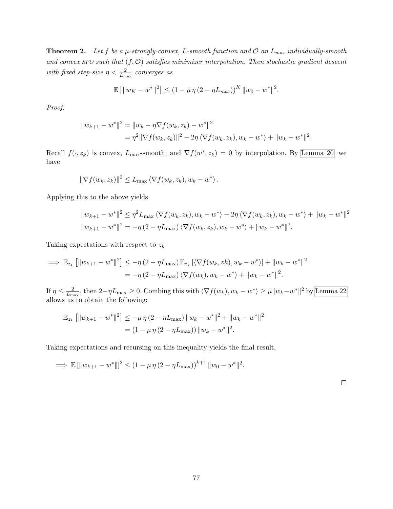**Theorem 2.** Let f be a  $\mu$ -strongly-convex, L-smooth function and  $\mathcal{O}$  an  $L_{max}$  individually-smooth and convex SFO such that  $(f, O)$  satisfies minimizer interpolation. Then stochastic gradient descent with fixed step-size  $\eta < \frac{2}{L_{max}}$  converges as

$$
\mathbb{E} [||w_K - w^*||^2] \le (1 - \mu \eta (2 - \eta L_{max}))^K ||w_0 - w^*||^2.
$$

Proof.

$$
||w_{k+1} - w^*||^2 = ||w_k - \eta \nabla f(w_k, z_k) - w^*||^2
$$
  
=  $\eta^2 ||\nabla f(w_k, z_k)||^2 - 2\eta \langle \nabla f(w_k, z_k), w_k - w^* \rangle + ||w_k - w^*||^2$ .

Recall  $f(\cdot, z_k)$  is convex,  $L_{\text{max}}$ -smooth, and  $\nabla f(w^*, z_k) = 0$  by interpolation. By [Lemma 20,](#page-114-1) we have

$$
\|\nabla f(w_k, z_k)\|^2 \leq L_{\max} \langle \nabla f(w_k, z_k), w_k - w^* \rangle.
$$

Applying this to the above yields

$$
||w_{k+1} - w^*||^2 \le \eta^2 L_{\max} \langle \nabla f(w_k, z_k), w_k - w^* \rangle - 2\eta \langle \nabla f(w_k, z_k), w_k - w^* \rangle + ||w_k - w^*||^2
$$
  

$$
||w_{k+1} - w^*||^2 = -\eta (2 - \eta L_{\max}) \langle \nabla f(w_k, z_k), w_k - w^* \rangle + ||w_k - w^*||^2.
$$

Taking expectations with respect to  $z_k$ :

$$
\implies \mathbb{E}_{z_k} [||w_{k+1} - w^*||^2] \le -\eta (2 - \eta L_{\max}) \mathbb{E}_{z_k} [\langle \nabla f(w_k, zk), w_k - w^* \rangle] + ||w_k - w^*||^2
$$
  
=  $-\eta (2 - \eta L_{\max}) \langle \nabla f(w_k), w_k - w^* \rangle + ||w_k - w^*||^2.$ 

If  $\eta \leq \frac{2}{L}$  $\frac{2}{L_{\text{max}}}$ , then  $2-\eta L_{\text{max}} \ge 0$ . Combing this with  $\langle \nabla f(w_k), w_k - w^* \rangle \ge \mu \|w_k - w^*\|^2$  by [Lemma 22](#page-115-1) allows us to obtain the following:

$$
\mathbb{E}_{z_k} [||w_{k+1} - w^*||^2] \le -\mu \eta (2 - \eta L_{\text{max}}) ||w_k - w^*||^2 + ||w_k - w^*||^2
$$
  
=  $(1 - \mu \eta (2 - \eta L_{\text{max}})) ||w_k - w^*||^2$ .

Taking expectations and recursing on this inequality yields the final result,

$$
\implies \mathbb{E} \left[ \|w_{k+1} - w^*\| \right]^2 \le (1 - \mu \eta (2 - \eta L_{\max}))^{k+1} \|w_0 - w^*\|^2.
$$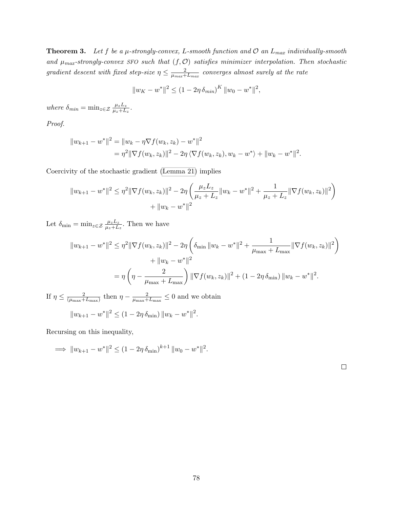**Theorem 3.** Let f be a  $\mu$ -strongly-convex, L-smooth function and  $\mathcal{O}$  an  $L_{max}$  individually-smooth and  $\mu_{max}$ -strongly-convex SFO such that  $(f, O)$  satisfies minimizer interpolation. Then stochastic gradient descent with fixed step-size  $\eta \leq \frac{2}{\eta}$  $\frac{2}{\mu_{max}+L_{max}}$  converges almost surely at the rate

$$
||w_K - w^*||^2 \le (1 - 2\eta \,\delta_{min})^K \, ||w_0 - w^*||^2,
$$

where  $\delta_{min} = \min_{z \in \mathcal{Z}} \frac{\mu_z L_z}{\mu_z + L_z}$  $\frac{\mu_z L_z}{\mu_z+L_z}$  .

Proof.

$$
||w_{k+1} - w^*||^2 = ||w_k - \eta \nabla f(w_k, z_k) - w^*||^2
$$
  
=  $\eta^2 ||\nabla f(w_k, z_k)||^2 - 2\eta \langle \nabla f(w_k, z_k), w_k - w^* \rangle + ||w_k - w^*||^2$ .

Coercivity of the stochastic gradient [\(Lemma 21\)](#page-115-0) implies

$$
||w_{k+1} - w^*||^2 \le \eta^2 ||\nabla f(w_k, z_k)||^2 - 2\eta \left(\frac{\mu_z L_z}{\mu_z + L_z} ||w_k - w^*||^2 + \frac{1}{\mu_z + L_z} ||\nabla f(w_k, z_k)||^2\right) + ||w_k - w^*||^2
$$

Let  $\delta_{\min} = \min_{z \in \mathcal{Z}} \frac{\mu_z L_z}{\mu_z + L_z}$  $\frac{\mu_z L_z}{\mu_z + L_z}$ . Then we have

$$
||w_{k+1} - w^*||^2 \le \eta^2 ||\nabla f(w_k, z_k)||^2 - 2\eta \left(\delta_{\min} ||w_k - w^*||^2 + \frac{1}{\mu_{\max} + L_{\max}} ||\nabla f(w_k, z_k)||^2\right) + ||w_k - w^*||^2 = \eta \left(\eta - \frac{2}{\mu_{\max} + L_{\max}}\right) ||\nabla f(w_k, z_k)||^2 + (1 - 2\eta \delta_{\min}) ||w_k - w^*||^2.
$$

If  $\eta \leq \frac{2}{\sqrt{1-\frac{1}{2}}}$  $\frac{2}{(\mu_{\text{max}}+L_{\text{max}})}$  then  $\eta-\frac{2}{\mu_{\text{max}}+L_{\text{max}}}$  $\frac{2}{\mu_{\max} + L_{\max}} \leq 0$  and we obtain  $||w_{k+1} - w^*||^2 \le (1 - 2\eta \, \delta_{\min}) ||w_k - w^*||^2.$ 

Recursing on this inequality,

$$
\implies \|w_{k+1} - w^*\|^2 \le (1 - 2\eta \,\delta_{\min})^{k+1} \|w_0 - w^*\|^2.
$$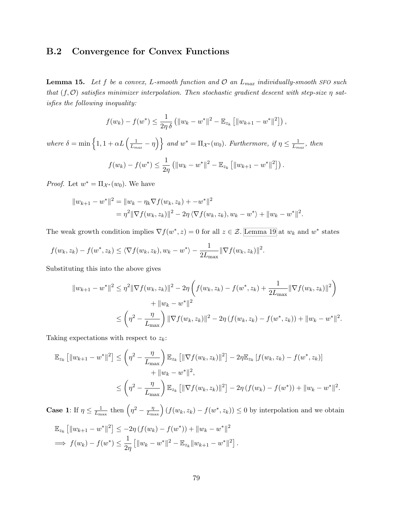#### B.2 Convergence for Convex Functions

<span id="page-90-0"></span>**Lemma 15.** Let f be a convex, L-smooth function and  $\mathcal{O}$  an  $L_{max}$  individually-smooth SFO such that  $(f, \mathcal{O})$  satisfies minimizer interpolation. Then stochastic gradient descent with step-size  $\eta$  satisfies the following inequality:

$$
f(w_k) - f(w^*) \leq \frac{1}{2\eta \delta} \left( \|w_k - w^*\|^2 - \mathbb{E}_{z_k} \left[ \|w_{k+1} - w^*\|^2 \right] \right),
$$

where  $\delta = \min \left\{ 1, 1 + \alpha L \left( \frac{1}{L} \right) \right\}$  $\left\{\frac{1}{L_{max}} - \eta\right\}$  and  $w^* = \Pi_{\mathcal{X}^*}(w_0)$ . Furthermore, if  $\eta \leq \frac{1}{L_m}$  $\frac{1}{L_{max}}$ , then  $f(w_k) - f(w^*) \leq \frac{1}{2k}$  $2\eta$  $\left( \|w_k - w^*\|^2 - \mathbb{E}_{z_k} \left[ \|w_{k+1} - w^*\|^2 \right] \right).$ 

*Proof.* Let  $w^* = \Pi_{\mathcal{X}^*}(w_0)$ . We have

$$
||w_{k+1} - w^*||^2 = ||w_k - \eta_k \nabla f(w_k, z_k) + -w^*||^2
$$
  
=  $\eta^2 ||\nabla f(w_k, z_k)||^2 - 2\eta \langle \nabla f(w_k, z_k), w_k - w^* \rangle + ||w_k - w^*||^2$ .

The weak growth condition implies  $\nabla f(w^*, z) = 0$  for all  $z \in \mathcal{Z}$ . [Lemma 19](#page-114-2) at  $w_k$  and  $w^*$  states

$$
f(w_k, z_k) - f(w^*, z_k) \le \langle \nabla f(w_k, z_k), w_k - w^* \rangle - \frac{1}{2L_{\max}} || \nabla f(w_k, z_k) ||^2.
$$

Substituting this into the above gives

$$
||w_{k+1} - w^*||^2 \le \eta^2 ||\nabla f(w_k, z_k)||^2 - 2\eta \left( f(w_k, z_k) - f(w^*, z_k) + \frac{1}{2L_{\text{max}}} ||\nabla f(w_k, z_k)||^2 \right) + ||w_k - w^*||^2 \le \left( \eta^2 - \frac{\eta}{L_{\text{max}}} \right) ||\nabla f(w_k, z_k)||^2 - 2\eta \left( f(w_k, z_k) - f(w^*, z_k) \right) + ||w_k - w^*||^2.
$$

Taking expectations with respect to  $z_k$ :

$$
\mathbb{E}_{z_k} \left[ \|w_{k+1} - w^*\|^2 \right] \leq \left( \eta^2 - \frac{\eta}{L_{\max}} \right) \mathbb{E}_{z_k} \left[ \|\nabla f(w_k, z_k)\|^2 \right] - 2\eta \mathbb{E}_{z_k} \left[ f(w_k, z_k) - f(w^*, z_k) \right] \n+ \|w_k - w^*\|^2, \n\leq \left( \eta^2 - \frac{\eta}{L_{\max}} \right) \mathbb{E}_{z_k} \left[ \|\nabla f(w_k, z_k)\|^2 \right] - 2\eta \left( f(w_k) - f(w^*) \right) + \|w_k - w^*\|^2.
$$

**Case 1:** If  $\eta \leq \frac{1}{L}$  $\frac{1}{L_{\text{max}}}$  then  $\left(\eta^2 - \frac{\eta}{L_{\text{max}}}\right) (f(w_k, z_k) - f(w^*, z_k)) \leq 0$  by interpolation and we obtain  $\mathbb{E}^{\mathbb{E}}$ 

$$
\mathbb{E}_{z_k} \left[ \|w_{k+1} - w^*\|^2 \right] \le -2\eta \left( f(w_k) - f(w^*) \right) + \|w_k - w^*\|^2
$$
  
\n
$$
\implies f(w_k) - f(w^*) \le \frac{1}{2\eta} \left[ \|w_k - w^*\|^2 - \mathbb{E}_{z_k} \|w_{k+1} - w^*\|^2 \right].
$$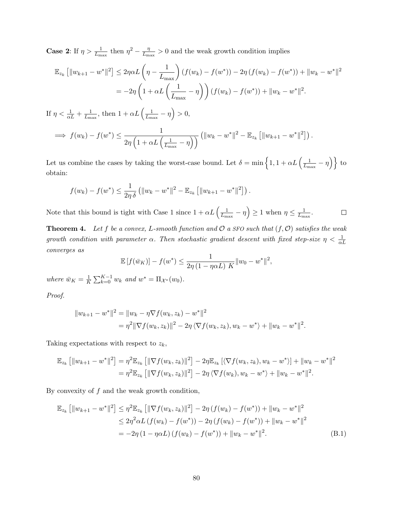**Case 2:** If  $\eta > \frac{1}{L_{\text{max}}}$  then  $\eta^2 - \frac{\eta}{L_{\text{max}}}$  $\frac{\eta}{L_{\text{max}}} > 0$  and the weak growth condition implies

$$
\mathbb{E}_{z_k} [||w_{k+1} - w^*||^2] \le 2\eta \alpha L \left(\eta - \frac{1}{L_{\text{max}}}\right) (f(w_k) - f(w^*)) - 2\eta (f(w_k) - f(w^*)) + ||w_k - w^*||^2
$$
  
= 
$$
-2\eta \left(1 + \alpha L \left(\frac{1}{L_{\text{max}}} - \eta\right)\right) (f(w_k) - f(w^*)) + ||w_k - w^*||^2.
$$

If  $\eta < \frac{1}{\alpha L} + \frac{1}{L_{\rm m}}$  $\frac{1}{L_{\text{max}}}$ , then  $1 + \alpha L \left( \frac{1}{L_{\text{m}}} \right)$  $\frac{1}{L_{\max}} - \eta$  > 0,

$$
\implies f(w_k) - f(w^*) \le \frac{1}{2\eta \left(1 + \alpha L \left(\frac{1}{L_{\max}} - \eta\right)\right)} \left(\|w_k - w^*\|^2 - \mathbb{E}_{z_k}\left[\|w_{k+1} - w^*\|^2\right]\right).
$$

Let us combine the cases by taking the worst-case bound. Let  $\delta = \min \left\{ 1, 1 + \alpha L \left( \frac{1}{L} \right) \right\}$  $\frac{1}{L_{\max}} - \eta \Big) \Big\}$  to obtain:

$$
f(w_k) - f(w^*) \le \frac{1}{2\eta \delta} \left( \|w_k - w^*\|^2 - \mathbb{E}_{z_k} \left[ \|w_{k+1} - w^*\|^2 \right] \right).
$$

Note that this bound is tight with Case 1 since  $1 + \alpha L \left( \frac{1}{L} \right)$  $\frac{1}{L_{\text{max}}} - \eta$   $\geq 1$  when  $\eta \leq \frac{1}{L_{\text{m}}}$  $\frac{1}{L_{\max}}.$  $\Box$ 

**Theorem 4.** Let f be a convex, L-smooth function and  $\mathcal{O}$  a SFO such that  $(f, \mathcal{O})$  satisfies the weak growth condition with parameter  $\alpha$ . Then stochastic gradient descent with fixed step-size  $\eta < \frac{1}{\alpha L}$ converges as

$$
\mathbb{E}[f(\bar{w}_K)] - f(w^*) \le \frac{1}{2\eta(1 - \eta \alpha L)} \frac{1}{K} \|w_0 - w^*\|^2,
$$

where  $\bar{w}_K = \frac{1}{K}$  $\frac{1}{K} \sum_{k=0}^{K-1} w_k$  and  $w^* = \Pi_{\mathcal{X}^*}(w_0)$ .

Proof.

$$
||w_{k+1} - w^*||^2 = ||w_k - \eta \nabla f(w_k, z_k) - w^*||^2
$$
  
=  $\eta^2 ||\nabla f(w_k, z_k)||^2 - 2\eta \langle \nabla f(w_k, z_k), w_k - w^* \rangle + ||w_k - w^*||^2$ .

Taking expectations with respect to  $z_k$ ,

$$
\mathbb{E}_{z_k} [\|w_{k+1} - w^*\|^2] = \eta^2 \mathbb{E}_{z_k} [\|\nabla f(w_k, z_k)\|^2] - 2\eta \mathbb{E}_{z_k} [\langle \nabla f(w_k, z_k), w_k - w^* \rangle] + \|w_k - w^*\|^2
$$
  
= 
$$
\eta^2 \mathbb{E}_{z_k} [\|\nabla f(w_k, z_k)\|^2] - 2\eta \langle \nabla f(w_k), w_k - w^* \rangle + \|w_k - w^*\|^2.
$$

By convexity of  $f$  and the weak growth condition,

$$
\mathbb{E}_{z_k} \left[ \|w_{k+1} - w^*\|^2 \right] \leq \eta^2 \mathbb{E}_{z_k} \left[ \|\nabla f(w_k, z_k)\|^2 \right] - 2\eta \left( f(w_k) - f(w^*) \right) + \|w_k - w^*\|^2
$$
  
\n
$$
\leq 2\eta^2 \alpha L \left( f(w_k) - f(w^*) \right) - 2\eta \left( f(w_k) - f(w^*) \right) + \|w_k - w^*\|^2
$$
  
\n
$$
= -2\eta \left( 1 - \eta \alpha L \right) \left( f(w_k) - f(w^*) \right) + \|w_k - w^*\|^2. \tag{B.1}
$$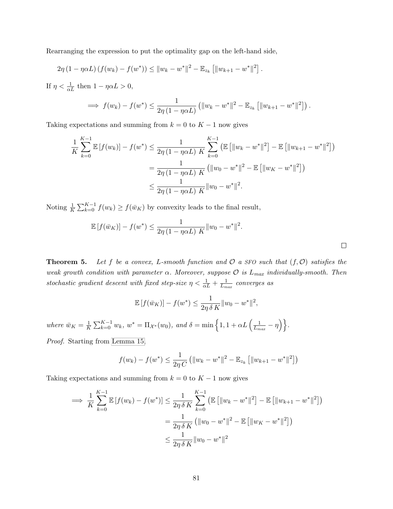Rearranging the expression to put the optimality gap on the left-hand side,

$$
2\eta (1 - \eta \alpha L) (f(w_k) - f(w^*)) \leq ||w_k - w^*||^2 - \mathbb{E}_{z_k} [||w_{k+1} - w^*||^2].
$$

If  $\eta < \frac{1}{\alpha L}$  then  $1 - \eta \alpha L > 0$ ,

$$
\implies f(w_k) - f(w^*) \leq \frac{1}{2\eta (1 - \eta \alpha L)} \left( \|w_k - w^*\|^2 - \mathbb{E}_{z_k} \left[ \|w_{k+1} - w^*\|^2 \right] \right).
$$

Taking expectations and summing from  $k = 0$  to  $K - 1$  now gives

$$
\frac{1}{K} \sum_{k=0}^{K-1} \mathbb{E} \left[ f(w_k) \right] - f(w^*) \le \frac{1}{2\eta \left( 1 - \eta \alpha L \right) K} \sum_{k=0}^{K-1} \left( \mathbb{E} \left[ \|w_k - w^*\|^2 \right] - \mathbb{E} \left[ \|w_{k+1} - w^*\|^2 \right] \right)
$$
\n
$$
= \frac{1}{2\eta \left( 1 - \eta \alpha L \right) K} \left( \|w_0 - w^*\|^2 - \mathbb{E} \left[ \|w_K - w^*\|^2 \right] \right)
$$
\n
$$
\le \frac{1}{2\eta \left( 1 - \eta \alpha L \right) K} \|w_0 - w^*\|^2.
$$

Noting  $\frac{1}{K} \sum_{k=0}^{K-1} f(w_k) \ge f(\bar{w}_K)$  by convexity leads to the final result,

$$
\mathbb{E}[f(\bar{w}_K)] - f(w^*) \le \frac{1}{2\eta(1 - \eta \alpha L) K} ||w_0 - w^*||^2.
$$

**Theorem 5.** Let f be a convex, L-smooth function and  $\mathcal{O}$  a SFO such that  $(f, \mathcal{O})$  satisfies the weak growth condition with parameter  $\alpha$ . Moreover, suppose  $\mathcal O$  is  $L_{max}$  individually-smooth. Then stochastic gradient descent with fixed step-size  $\eta < \frac{1}{\alpha L} + \frac{1}{L_m}$  $\frac{1}{L_{max}}$  converges as

$$
\mathbb{E}[f(\bar{w}_K)] - f(w^*) \le \frac{1}{2\eta \, \delta \, K} \|w_0 - w^*\|^2,
$$

where  $\bar{w}_K = \frac{1}{K}$  $\frac{1}{K} \sum_{k=0}^{K-1} w_k, w^* = \Pi_{\mathcal{X}^*}(w_0), \text{ and } \delta = \min\left\{1, 1 + \alpha L\left(\frac{1}{L_m}\right)\right\}$  $\frac{1}{L_{max}} - \eta \Big) \Big\}$  .

Proof. Starting from [Lemma 15,](#page-90-0)

$$
f(w_k) - f(w^*) \le \frac{1}{2\eta C} \left( \|w_k - w^*\|^2 - \mathbb{E}_{z_k} \left[ \|w_{k+1} - w^*\|^2 \right] \right)
$$

Taking expectations and summing from  $k = 0$  to  $K - 1$  now gives

$$
\implies \frac{1}{K} \sum_{k=0}^{K-1} \mathbb{E} \left[ f(w_k) - f(w^*) \right] \le \frac{1}{2\eta \delta K} \sum_{k=0}^{K-1} \left( \mathbb{E} \left[ \|w_k - w^*\|^2 \right] - \mathbb{E} \left[ \|w_{k+1} - w^*\|^2 \right] \right)
$$

$$
= \frac{1}{2\eta \delta K} \left( \|w_0 - w^*\|^2 - \mathbb{E} \left[ \|w_K - w^*\|^2 \right] \right)
$$

$$
\le \frac{1}{2\eta \delta K} \|w_0 - w^*\|^2
$$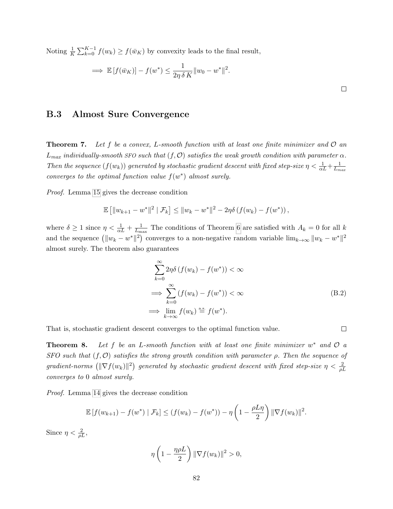Noting  $\frac{1}{K} \sum_{k=0}^{K-1} f(w_k) \ge f(\bar{w}_K)$  by convexity leads to the final result,

$$
\implies \mathbb{E}\left[f(\bar{w}_K)\right] - f(w^*) \le \frac{1}{2\eta \delta K} \|w_0 - w^*\|^2.
$$

#### B.3 Almost Sure Convergence

**Theorem 7.** Let f be a convex, L-smooth function with at least one finite minimizer and  $\mathcal{O}$  an  $L_{max}$  individually-smooth SFO such that  $(f, O)$  satisfies the weak growth condition with parameter  $\alpha$ . Then the sequence  $(f(w_k))$  generated by stochastic gradient descent with fixed step-size  $\eta < \frac{1}{\alpha L} + \frac{1}{L_m}$  $L_{max}$ converges to the optimal function value  $f(w^*)$  almost surely.

Proof. Lemma [15](#page-90-0) gives the decrease condition

$$
\mathbb{E} [||w_{k+1} - w^*||^2 | \mathcal{F}_k] \le ||w_k - w^*||^2 - 2\eta \delta (f(w_k) - f(w^*)),
$$

where  $\delta \geq 1$  since  $\eta < \frac{1}{\alpha L} + \frac{1}{L_m}$  $\frac{1}{L_{\text{max}}}$  The conditions of Theorem [6](#page-41-0) are satisfied with  $A_k = 0$  for all k and the sequence  $(\|w_k - w^*\|^2)$  converges to a non-negative random variable  $\lim_{k\to\infty} \|w_k - w^*\|^2$ almost surely. The theorem also guarantees

$$
\sum_{k=0}^{\infty} 2\eta \delta \left( f(w_k) - f(w^*) \right) < \infty
$$
\n
$$
\implies \sum_{k=0}^{\infty} \left( f(w_k) - f(w^*) \right) < \infty
$$
\n
$$
\implies \lim_{k \to \infty} f(w_k) \stackrel{\text{a.s.}}{=} f(w^*).
$$
\n(B.2)

That is, stochastic gradient descent converges to the optimal function value.

 $\Box$ 

**Theorem 8.** Let f be an L-smooth function with at least one finite minimizer  $w^*$  and  $\mathcal{O}$  a SFO such that  $(f, \mathcal{O})$  satisfies the strong growth condition with parameter  $\rho$ . Then the sequence of  $gradient\text{-}norms \text{ (}(\|\nabla f(w_k)\|^2\text{) } generated \text{ by stochastic gradient descent with fixed step-size } \eta < \frac{2}{\rho L}$ converges to 0 almost surely.

Proof. Lemma [14](#page-86-0) gives the decrease condition

$$
\mathbb{E}[f(w_{k+1}) - f(w^*) | \mathcal{F}_k] \le (f(w_k) - f(w^*)) - \eta \left(1 - \frac{\rho L \eta}{2}\right) \|\nabla f(w_k)\|^2.
$$

Since  $\eta < \frac{2}{\rho L}$ ,

$$
\eta\left(1-\frac{\eta\rho L}{2}\right) \|\nabla f(w_k)\|^2 > 0,
$$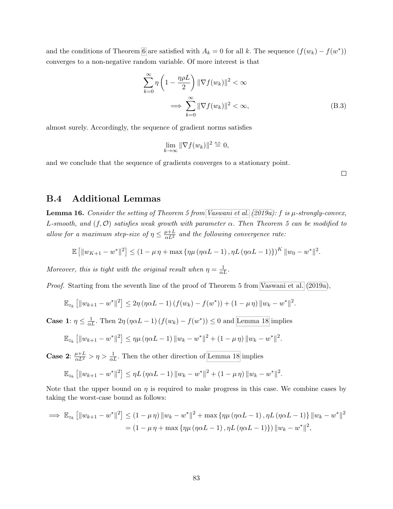and the conditions of Theorem [6](#page-41-0) are satisfied with  $A_k = 0$  for all k. The sequence  $(f(w_k) - f(w^*))$ converges to a non-negative random variable. Of more interest is that

$$
\sum_{k=0}^{\infty} \eta \left( 1 - \frac{\eta \rho L}{2} \right) \| \nabla f(w_k) \|^2 < \infty
$$
  

$$
\implies \sum_{k=0}^{\infty} \| \nabla f(w_k) \|^2 < \infty,
$$
 (B.3)

almost surely. Accordingly, the sequence of gradient norms satisfies

$$
\lim_{k \to \infty} \|\nabla f(w_k)\|^2 \stackrel{\text{a.s.}}{=} 0,
$$

and we conclude that the sequence of gradients converges to a stationary point.

 $\Box$ 

#### B.4 Additional Lemmas

**Lemma 16.** Consider the setting of Theorem 5 from [Vaswani et al.](#page-78-0) [\(2019a\)](#page-78-0): f is  $\mu$ -strongly-convex, L-smooth, and  $(f, \mathcal{O})$  satisfies weak growth with parameter  $\alpha$ . Then Theorem 5 can be modified to allow for a maximum step-size of  $\eta \leq \frac{\mu+L}{\alpha L^2}$  and the following convergence rate:

$$
\mathbb{E}\left[\|w_{K+1}-w^*\|^2\right] \leq \left(1-\mu\,\eta+\max\left\{\eta\mu\left(\eta\alpha L-1\right),\eta L\left(\eta\alpha L-1\right)\right\}\right)^K\|w_0-w^*\|^2.
$$

Moreover, this is tight with the original result when  $\eta = \frac{1}{\alpha L}$ .

Proof. Starting from the seventh line of the proof of Theorem 5 from [Vaswani et al.](#page-78-0) [\(2019a\)](#page-78-0),

$$
\mathbb{E}_{z_k} \left[ \|w_{k+1} - w^*\|^2 \right] \leq 2\eta \left( \eta \alpha L - 1 \right) \left( f(w_k) - f(w^*) \right) + (1 - \mu \eta) \|w_k - w^*\|^2.
$$

**Case 1**:  $\eta \leq \frac{1}{\alpha L}$ . Then  $2\eta (\eta \alpha L - 1) (f(w_k) - f(w^*)) \leq 0$  and [Lemma 18](#page-114-0) implies

$$
\mathbb{E}_{z_k} \left[ \|w_{k+1} - w^*\|^2 \right] \leq \eta \mu (\eta \alpha L - 1) \|w_k - w^*\|^2 + (1 - \mu \eta) \|w_k - w^*\|^2.
$$

**Case 2:**  $\frac{\mu+L}{\alpha L^2} > \eta > \frac{1}{\alpha L}$ . Then the other direction of [Lemma 18](#page-114-0) implies

$$
\mathbb{E}_{z_k} \left[ \|w_{k+1} - w^*\|^2 \right] \leq \eta L \left( \eta \alpha L - 1 \right) \|w_k - w^*\|^2 + \left( 1 - \mu \eta \right) \|w_k - w^*\|^2.
$$

Note that the upper bound on  $\eta$  is required to make progress in this case. We combine cases by taking the worst-case bound as follows:

$$
\implies \mathbb{E}_{z_k} [||w_{k+1} - w^*||^2] \le (1 - \mu \eta) ||w_k - w^*||^2 + \max \{ \eta \mu (\eta \alpha L - 1), \eta L (\eta \alpha L - 1) \} ||w_k - w^*||^2
$$
  
=  $(1 - \mu \eta + \max \{ \eta \mu (\eta \alpha L - 1), \eta L (\eta \alpha L - 1) \} ) ||w_k - w^*||^2,$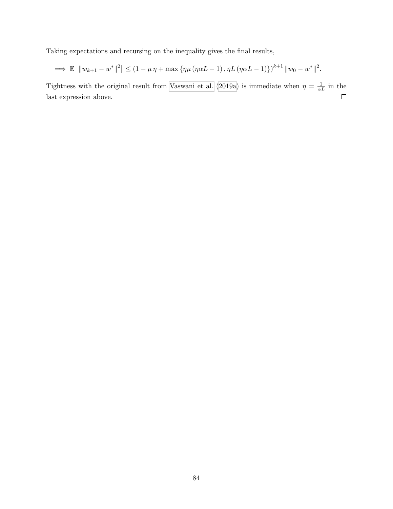Taking expectations and recursing on the inequality gives the final results,

$$
\implies \mathbb{E} \left[ \| w_{k+1} - w^* \|^2 \right] \le (1 - \mu \eta + \max \{ \eta \mu (\eta \alpha L - 1), \eta L (\eta \alpha L - 1) \} )^{k+1} \| w_0 - w^* \|^2.
$$

Tightness with the original result from [Vaswani et al.](#page-78-0) [\(2019a\)](#page-78-0) is immediate when  $\eta = \frac{1}{\alpha L}$  in the last expression above.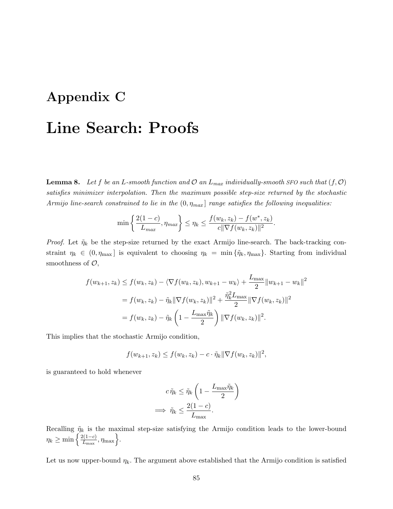# Appendix C Line Search: Proofs

**Lemma 8.** Let f be an L-smooth function and  $\mathcal{O}$  an  $L_{max}$  individually-smooth SFO such that  $(f, \mathcal{O})$ satisfies minimizer interpolation. Then the maximum possible step-size returned by the stochastic Armijo line-search constrained to lie in the  $(0, \eta_{max}]$  range satisfies the following inequalities:

$$
\min\left\{\frac{2(1-c)}{L_{max}}, \eta_{max}\right\} \le \eta_k \le \frac{f(w_k, z_k) - f(w^*, z_k)}{c||\nabla f(w_k, z_k)||^2}.
$$

*Proof.* Let  $\tilde{\eta}_k$  be the step-size returned by the exact Armijo line-search. The back-tracking constraint  $\eta_k \in (0, \eta_{\text{max}}]$  is equivalent to choosing  $\eta_k = \min{\{\tilde{\eta}_k, \eta_{\text{max}}\}}$ . Starting from individual smoothness of  $\mathcal{O},$ 

$$
f(w_{k+1}, z_k) \le f(w_k, z_k) - \langle \nabla f(w_k, z_k), w_{k+1} - w_k \rangle + \frac{L_{\max}}{2} ||w_{k+1} - w_k||^2
$$
  
=  $f(w_k, z_k) - \tilde{\eta}_k ||\nabla f(w_k, z_k)||^2 + \frac{\tilde{\eta}_k^2 L_{\max}}{2} ||\nabla f(w_k, z_k)||^2$   
=  $f(w_k, z_k) - \tilde{\eta}_k \left(1 - \frac{L_{\max} \tilde{\eta}_k}{2}\right) ||\nabla f(w_k, z_k)||^2.$ 

This implies that the stochastic Armijo condition,

$$
f(w_{k+1}, z_k) \leq f(w_k, z_k) - c \cdot \tilde{\eta}_k \|\nabla f(w_k, z_k)\|^2,
$$

is guaranteed to hold whenever

$$
c \tilde{\eta}_k \leq \tilde{\eta}_k \left( 1 - \frac{L_{\max} \tilde{\eta}_k}{2} \right)
$$

$$
\implies \tilde{\eta}_k \leq \frac{2(1 - c)}{L_{\max}}.
$$

Recalling  $\tilde{\eta}_k$  is the maximal step-size satisfying the Armijo condition leads to the lower-bound  $\eta_k \geq \min \left\{ \frac{2(1-c)}{L_{\max}} \right\}$  $\frac{\ell(1-c)}{L_{\max}}, \eta_{\max}\Big\}.$ 

Let us now upper-bound  $\eta_k$ . The argument above established that the Armijo condition is satisfied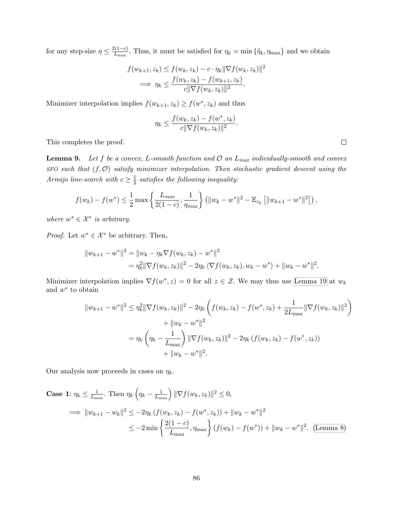for any step-size  $\eta \leq \frac{2(1-c)}{L}$  $\tilde{L}_{\text{max}}^{(1-c)}$ . Thus, it must be satisfied for  $\eta_k = \min{\{\tilde{\eta}_k, \eta_{\text{max}}\}}$  and we obtain

$$
f(w_{k+1}, z_k) \le f(w_k, z_k) - c \cdot \eta_k \|\nabla f(w_k, z_k)\|^2
$$
  
\n
$$
\implies \eta_k \le \frac{f(w_k, z_k) - f(w_{k+1}, z_k)}{c \|\nabla f(w_k, z_k)\|^2}.
$$

Minimizer interpolation implies  $f(w_{k+1}, z_k) \ge f(w^*, z_k)$  and thus

$$
\eta_k \le \frac{f(w_k, z_k) - f(w^*, z_k)}{c \|\nabla f(w_k, z_k)\|^2}.
$$

This completes the proof.

**Lemma 9.** Let f be a convex, L-smooth function and  $\mathcal{O}$  an  $L_{max}$  individually-smooth and convex  $SFO$  such that  $(f, O)$  satisfy minimizer interpolation. Then stochastic gradient descent using the Armijo line-search with  $c \geq \frac{1}{2}$  $\frac{1}{2}$  satisfies the following inequality:

$$
f(w_k) - f(w^*) \leq \frac{1}{2} \max \left\{ \frac{L_{max}}{2(1-c)}, \frac{1}{\eta_{max}} \right\} \left( \|w_k - w^*\|^2 - \mathbb{E}_{z_k} \left[ \|w_{k+1} - w^*\|^2 \right] \right),
$$

where  $w^* \in \mathcal{X}^*$  is arbitrary.

*Proof.* Let  $w^* \in \mathcal{X}^*$  be arbitrary. Then,

$$
||w_{k+1} - w^*||^2 = ||w_k - \eta_k \nabla f(w_k, z_k) - w^*||^2
$$
  
=  $\eta_k^2 ||\nabla f(w_k, z_k)||^2 - 2\eta_k \langle \nabla f(w_k, z_k), w_k - w^* \rangle + ||w_k - w^*||^2$ .

Minimizer interpolation implies  $\nabla f(w^*, z) = 0$  for all  $z \in \mathcal{Z}$ . We may thus use [Lemma 19](#page-114-2) at  $w_k$ and  $w^*$  to obtain

$$
||w_{k+1} - w^*||^2 \leq \eta_k^2 ||\nabla f(w_k, z_k)||^2 - 2\eta_k \left( f(w_k, z_k) - f(w^*, z_k) + \frac{1}{2L_{\text{max}}} ||\nabla f(w_k, z_k)||^2 \right) + ||w_k - w^*||^2 = \eta_k \left( \eta_k - \frac{1}{L_{\text{max}}} \right) ||\nabla f(w_k, z_k)||^2 - 2\eta_k \left( f(w_k, z_k) - f(w^*, z_k) \right) + ||w_k - w^*||^2.
$$

Our analysis now proceeds in cases on  $\eta_k$ .

Case 1: 
$$
\eta_k \le \frac{1}{L_{\text{max}}}
$$
. Then  $\eta_k \left( \eta_k - \frac{1}{L_{\text{max}}} \right) \|\nabla f(w_k, z_k)\|^2 \le 0$ ,  
\n $\implies \|w_{k+1} - w_k\|^2 \le -2\eta_k \left( f(w_k, z_k) - f(w^*, z_k) \right) + \|w_k - w^*\|^2$   
\n $\le -2 \min \left\{ \frac{2(1-c)}{L_{\text{max}}}, \eta_{\text{max}} \right\} \left( f(w_k) - f(w^*) \right) + \|w_k - w^*\|^2$ . (Lemma 8)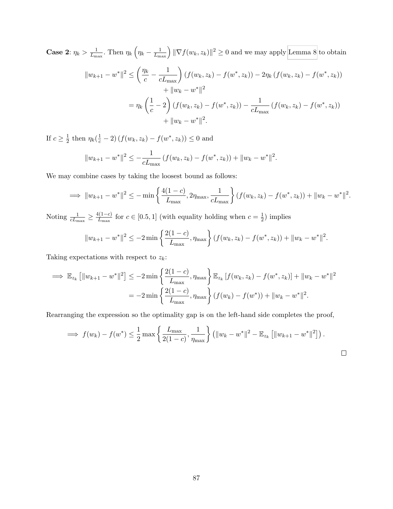Case 2:  $\eta_k > \frac{1}{L_m}$  $\frac{1}{L_{\text{max}}}.$  Then  $\eta_k \left( \eta_k - \frac{1}{L_{\text{max}}} \right) ||\nabla f(w_k, z_k)||^2 \geq 0$  and we may apply [Lemma 8](#page-48-0) to obtain

$$
||w_{k+1} - w^*||^2 \le \left(\frac{\eta_k}{c} - \frac{1}{cL_{\text{max}}}\right) (f(w_k, z_k) - f(w^*, z_k)) - 2\eta_k (f(w_k, z_k) - f(w^*, z_k))
$$
  
+  $||w_k - w^*||^2$   
=  $\eta_k \left(\frac{1}{c} - 2\right) (f(w_k, z_k) - f(w^*, z_k)) - \frac{1}{cL_{\text{max}}} (f(w_k, z_k) - f(w^*, z_k))$   
+  $||w_k - w^*||^2$ .

If  $c \geq \frac{1}{2}$  $\frac{1}{2}$  then  $\eta_k(\frac{1}{c} - 2) (f(w_k, z_k) - f(w^*, z_k)) \leq 0$  and

$$
||w_{k+1} - w^*||^2 \le -\frac{1}{cL_{\max}} \left( f(w_k, z_k) - f(w^*, z_k) \right) + ||w_k - w^*||^2.
$$

We may combine cases by taking the loosest bound as follows:

$$
\implies \|w_{k+1} - w^*\|^2 \le -\min\left\{\frac{4(1-c)}{L_{\max}}, 2\eta_{\max}, \frac{1}{cL_{\max}}\right\} (f(w_k, z_k) - f(w^*, z_k)) + \|w_k - w^*\|^2.
$$

Noting  $\frac{1}{cL_{\text{max}}} \geq \frac{4(1-c)}{L_{\text{max}}}$  $\frac{l(1-c)}{L_{\text{max}}}$  for  $c \in [0.5, 1]$  (with equality holding when  $c = \frac{1}{2}$ )  $(\frac{1}{2})$  implies

$$
||w_{k+1} - w^*||^2 \le -2 \min \left\{ \frac{2(1-c)}{L_{\max}}, \eta_{\max} \right\} (f(w_k, z_k) - f(w^*, z_k)) + ||w_k - w^*||^2.
$$

Taking expectations with respect to  $z_k$ :

$$
\implies \mathbb{E}_{z_k} [||w_{k+1} - w^*||^2] \le -2 \min \left\{ \frac{2(1-c)}{L_{\max}}, \eta_{\max} \right\} \mathbb{E}_{z_k} [f(w_k, z_k) - f(w^*, z_k)] + ||w_k - w^*||^2
$$
  
= -2 min  $\left\{ \frac{2(1-c)}{L_{\max}}, \eta_{\max} \right\} (f(w_k) - f(w^*)) + ||w_k - w^*||^2$ .

Rearranging the expression so the optimality gap is on the left-hand side completes the proof,

$$
\implies f(w_k) - f(w^*) \le \frac{1}{2} \max \left\{ \frac{L_{\max}}{2(1-c)}, \frac{1}{\eta_{\max}} \right\} \left( \|w_k - w^*\|^2 - \mathbb{E}_{z_k} \left[ \|w_{k+1} - w^*\|^2 \right] \right).
$$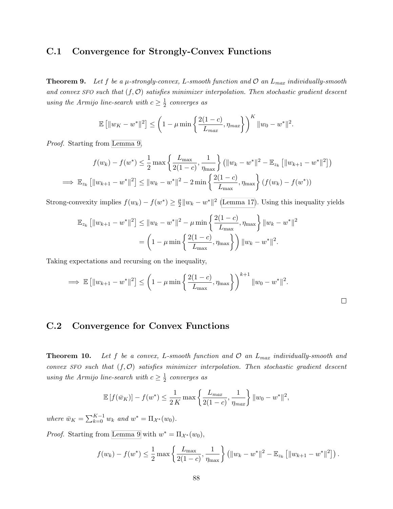#### C.1 Convergence for Strongly-Convex Functions

**Theorem 9.** Let f be a  $\mu$ -strongly-convex, L-smooth function and  $\mathcal{O}$  an  $L_{max}$  individually-smooth and convex SFO such that  $(f, \mathcal{O})$  satisfies minimizer interpolation. Then stochastic gradient descent using the Armijo line-search with  $c \geq \frac{1}{2}$  $rac{1}{2}$  converges as

$$
\mathbb{E} [||w_K - w^*||^2] \leq \left(1 - \mu \min \left\{\frac{2(1-c)}{L_{max}}, \eta_{max}\right\}\right)^K ||w_0 - w^*||^2.
$$

Proof. Starting from [Lemma 9,](#page-48-1)

$$
f(w_k) - f(w^*) \le \frac{1}{2} \max \left\{ \frac{L_{\max}}{2(1-c)}, \frac{1}{\eta_{\max}} \right\} \left( \|w_k - w^*\|^2 - \mathbb{E}_{z_k} \left[ \|w_{k+1} - w^*\|^2 \right] \right)
$$
  

$$
\implies \mathbb{E}_{z_k} \left[ \|w_{k+1} - w^*\|^2 \right] \le \|w_k - w^*\|^2 - 2 \min \left\{ \frac{2(1-c)}{L_{\max}}, \eta_{\max} \right\} \left( f(w_k) - f(w^*) \right)
$$

Strong-convexity implies  $f(w_k) - f(w^*) \geq \frac{\mu}{2}$  $\frac{\mu}{2}||w_k - w^*||^2$  [\(Lemma 17\)](#page-114-3). Using this inequality yields

$$
\mathbb{E}_{z_k} [\|w_{k+1} - w^*\|^2] \le \|w_k - w^*\|^2 - \mu \min\left\{\frac{2(1-c)}{L_{\text{max}}}, \eta_{\text{max}}\right\} \|w_k - w^*\|^2
$$

$$
= \left(1 - \mu \min\left\{\frac{2(1-c)}{L_{\text{max}}}, \eta_{\text{max}}\right\}\right) \|w_k - w^*\|^2.
$$

Taking expectations and recursing on the inequality,

$$
\implies \mathbb{E}\left[\|w_{k+1} - w^*\|^2\right] \le \left(1 - \mu \min\left\{\frac{2(1-c)}{L_{\max}}, \eta_{\max}\right\}\right)^{k+1} \|w_0 - w^*\|^2.
$$

 $\Box$ 

#### C.2 Convergence for Convex Functions

**Theorem 10.** Let f be a convex, L-smooth function and  $\mathcal{O}$  an  $L_{max}$  individually-smooth and convex SFO such that  $(f, O)$  satisfies minimizer interpolation. Then stochastic gradient descent using the Armijo line-search with  $c \geq \frac{1}{2}$  $rac{1}{2}$  converges as

$$
\mathbb{E}\left[f(\bar{w}_K)\right] - f(w^*) \le \frac{1}{2K} \max\left\{\frac{L_{max}}{2(1-c)}, \frac{1}{\eta_{max}}\right\} \|w_0 - w^*\|^2,
$$

where  $\bar{w}_K = \sum_{k=0}^{K-1} w_k$  and  $w^* = \Pi_{\mathcal{X}^*}(w_0)$ .

*Proof.* Starting from [Lemma 9](#page-48-1) with  $w^* = \Pi_{\mathcal{X}^*}(w_0)$ ,

$$
f(w_k) - f(w^*) \le \frac{1}{2} \max \left\{ \frac{L_{\max}}{2(1-c)}, \frac{1}{\eta_{\max}} \right\} \left( \|w_k - w^*\|^2 - \mathbb{E}_{z_k} \left[ \|w_{k+1} - w^*\|^2 \right] \right).
$$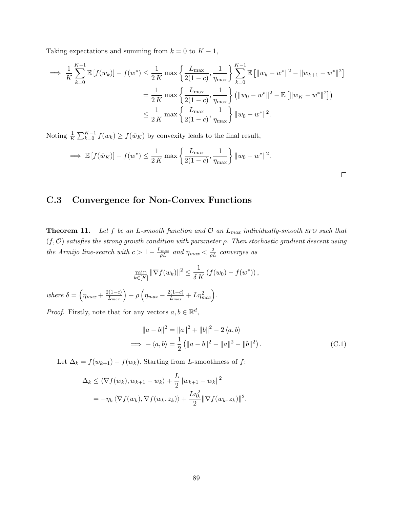Taking expectations and summing from  $k = 0$  to  $K - 1$ ,

$$
\implies \frac{1}{K} \sum_{k=0}^{K-1} \mathbb{E} \left[ f(w_k) \right] - f(w^*) \le \frac{1}{2K} \max \left\{ \frac{L_{\max}}{2(1-c)}, \frac{1}{\eta_{\max}} \right\} \sum_{k=0}^{K-1} \mathbb{E} \left[ \|w_k - w^*\|^2 - \|w_{k+1} - w^*\|^2 \right] \n= \frac{1}{2K} \max \left\{ \frac{L_{\max}}{2(1-c)}, \frac{1}{\eta_{\max}} \right\} \left( \|w_0 - w^*\|^2 - \mathbb{E} \left[ \|w_K - w^*\|^2 \right] \right) \n\le \frac{1}{2K} \max \left\{ \frac{L_{\max}}{2(1-c)}, \frac{1}{\eta_{\max}} \right\} \|w_0 - w^*\|^2.
$$

Noting  $\frac{1}{K} \sum_{k=0}^{K-1} f(w_k) \ge f(\bar{w}_K)$  by convexity leads to the final result,

$$
\implies \mathbb{E}\left[f(\bar{w}_K)\right] - f(w^*) \le \frac{1}{2K} \max\left\{\frac{L_{\max}}{2(1-c)}, \frac{1}{\eta_{\max}}\right\} \|w_0 - w^*\|^2.
$$

#### C.3 Convergence for Non-Convex Functions

**Theorem 11.** Let f be an L-smooth function and  $\mathcal{O}$  an  $L_{max}$  individually-smooth SFO such that  $(f, O)$  satisfies the strong growth condition with parameter  $\rho$ . Then stochastic gradient descent using the Armijo line-search with  $c > 1 - \frac{L_{max}}{\rho L}$  and  $\eta_{max} < \frac{2}{\rho L}$  converges as

$$
\min_{k \in [K]} \|\nabla f(w_k)\|^2 \leq \frac{1}{\delta K} \left( f(w_0) - f(w^*) \right),
$$

where  $\delta = \left(\eta_{max} + \frac{2(1-c)}{L_{max}}\right) - \rho \left(\eta_{max} - \frac{2(1-c)}{L_{max}}\right)$  $\frac{L(1-c)}{L_{max}} + L\eta_{max}^2$ .

*Proof.* Firstly, note that for any vectors  $a, b \in \mathbb{R}^d$ ,

$$
||a - b||2 = ||a||2 + ||b||2 - 2 \langle a, b \rangle
$$
  
\n
$$
\implies -\langle a, b \rangle = \frac{1}{2} (||a - b||2 - ||a||2 - ||b||2).
$$
 (C.1)

<span id="page-100-0"></span> $\Box$ 

Let  $\Delta_k = f(w_{k+1}) - f(w_k)$ . Starting from L-smoothness of f:

$$
\Delta_k \le \langle \nabla f(w_k), w_{k+1} - w_k \rangle + \frac{L}{2} ||w_{k+1} - w_k||^2
$$
  
=  $-\eta_k \langle \nabla f(w_k), \nabla f(w_k, z_k) \rangle + \frac{L\eta_k^2}{2} ||\nabla f(w_k, z_k)||^2.$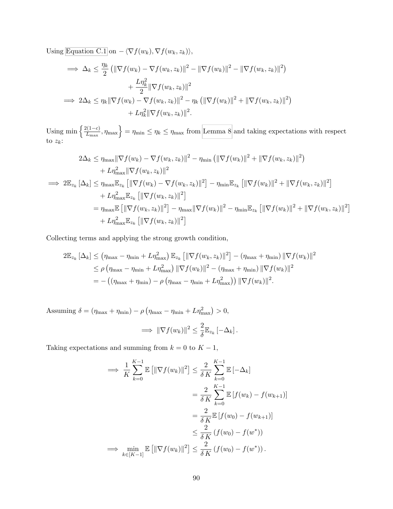Using [Equation C.1](#page-100-0) on  $-\langle \nabla f(w_k), \nabla f(w_k, z_k)\rangle$ ,

$$
\implies \Delta_k \leq \frac{\eta_k}{2} \left( \|\nabla f(w_k) - \nabla f(w_k, z_k)\|^2 - \|\nabla f(w_k)\|^2 - \|\nabla f(w_k, z_k)\|^2 \right) \n+ \frac{L\eta_k^2}{2} \|\nabla f(w_k, z_k)\|^2 \n\implies 2\Delta_k \leq \eta_k \|\nabla f(w_k) - \nabla f(w_k, z_k)\|^2 - \eta_k \left( \|\nabla f(w_k)\|^2 + \|\nabla f(w_k, z_k)\|^2 \right) \n+ L\eta_k^2 \|\nabla f(w_k, z_k)\|^2.
$$

Using min  $\left\{\frac{2(1-c)}{L}\right\}$  $\left\{\frac{\rho(1-c)}{L_{\max}}, \eta_{\max}\right\} = \eta_{\min} \leq \eta_k \leq \eta_{\max}$  from [Lemma 8](#page-48-0) and taking expectations with respect to  $z_k$ :

$$
2\Delta_{k} \leq \eta_{\max} \|\nabla f(w_{k}) - \nabla f(w_{k}, z_{k})\|^{2} - \eta_{\min} \left( \|\nabla f(w_{k})\|^{2} + \|\nabla f(w_{k}, z_{k})\|^{2} \right) + L\eta_{\max}^{2} \|\nabla f(w_{k}, z_{k})\|^{2} \n\implies 2\mathbb{E}_{z_{k}} [\Delta_{k}] \leq \eta_{\max} \mathbb{E}_{z_{k}} [\|\nabla f(w_{k}) - \nabla f(w_{k}, z_{k})\|^{2}] - \eta_{\min} \mathbb{E}_{z_{k}} [\|\nabla f(w_{k})\|^{2} + \|\nabla f(w_{k}, z_{k})\|^{2}] + L\eta_{\max}^{2} \mathbb{E}_{z_{k}} [\|\nabla f(w_{k}, z_{k})\|^{2}] = \eta_{\max} \mathbb{E} [\|\nabla f(w_{k}, z_{k})\|^{2}] - \eta_{\max} \|\nabla f(w_{k})\|^{2} - \eta_{\min} \mathbb{E}_{z_{k}} [\|\nabla f(w_{k})\|^{2} + \|\nabla f(w_{k}, z_{k})\|^{2}] + L\eta_{\max}^{2} \mathbb{E}_{z_{k}} [\|\nabla f(w_{k}, z_{k})\|^{2}]
$$

Collecting terms and applying the strong growth condition,

$$
2\mathbb{E}_{z_k} [\Delta_k] \le (\eta_{\max} - \eta_{\min} + L\eta_{\max}^2) \mathbb{E}_{z_k} [||\nabla f(w_k, z_k)||^2] - (\eta_{\max} + \eta_{\min}) ||\nabla f(w_k)||^2
$$
  
\n
$$
\le \rho (\eta_{\max} - \eta_{\min} + L\eta_{\max}^2) ||\nabla f(w_k)||^2 - (\eta_{\max} + \eta_{\min}) ||\nabla f(w_k)||^2
$$
  
\n
$$
= -((\eta_{\max} + \eta_{\min}) - \rho (\eta_{\max} - \eta_{\min} + L\eta_{\max}^2)) ||\nabla f(w_k)||^2.
$$

Assuming  $\delta = (\eta_{\text{max}} + \eta_{\text{min}}) - \rho (\eta_{\text{max}} - \eta_{\text{min}} + L\eta_{\text{max}}^2) > 0,$  $\Rightarrow$   $\|\nabla f(w_k)\|^2 \leq \frac{2}{s}$  $\frac{2}{\delta} \mathbb{E}_{z_k} \left[ -\Delta_k \right].$ 

Taking expectations and summing from  $k = 0$  to  $K - 1$ ,

$$
\implies \frac{1}{K} \sum_{k=0}^{K-1} \mathbb{E} \left[ \|\nabla f(w_k)\|^2 \right] \le \frac{2}{\delta K} \sum_{k=0}^{K-1} \mathbb{E} \left[ -\Delta_k \right]
$$
  

$$
= \frac{2}{\delta K} \sum_{k=0}^{K-1} \mathbb{E} \left[ f(w_k) - f(w_{k+1}) \right]
$$
  

$$
= \frac{2}{\delta K} \mathbb{E} \left[ f(w_0) - f(w_{k+1}) \right]
$$
  

$$
\le \frac{2}{\delta K} \left( f(w_0) - f(w^*) \right)
$$
  

$$
\implies \min_{k \in [K-1]} \mathbb{E} \left[ \|\nabla f(w_k)\|^2 \right] \le \frac{2}{\delta K} \left( f(w_0) - f(w^*) \right).
$$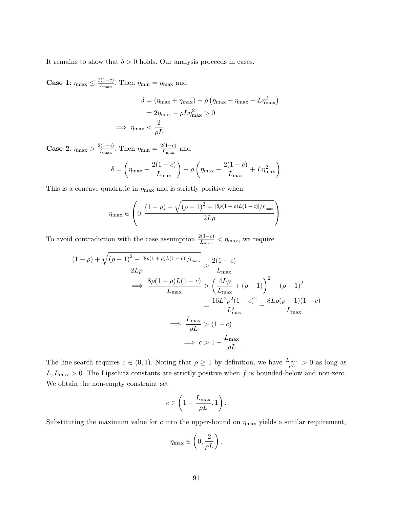It remains to show that  $\delta > 0$  holds. Our analysis proceeds in cases.

**Case 1:**  $\eta_{\text{max}} \leq \frac{2(1-c)}{L_{\text{max}}}$  $\frac{\ell(1-c)}{L_{\max}}$ . Then  $\eta_{\min} = \eta_{\max}$  and

$$
\delta = (\eta_{\text{max}} + \eta_{\text{max}}) - \rho (\eta_{\text{max}} - \eta_{\text{max}} + L\eta_{\text{max}}^2)
$$

$$
= 2\eta_{\text{max}} - \rho L\eta_{\text{max}}^2 > 0
$$

$$
\implies \eta_{\text{max}} < \frac{2}{\rho L}.
$$

**Case 2:**  $\eta_{\text{max}} > \frac{2(1-c)}{L_{\text{max}}}$  $\frac{2(1-c)}{L_{\text{max}}}$ . Then  $\eta_{\text{min}} = \frac{2(1-c)}{L_{\text{max}}}$  $rac{L(1-C)}{L_{\text{max}}}$  and

$$
\delta = \left(\eta_{\max} + \frac{2(1-c)}{L_{\max}}\right) - \rho \left(\eta_{\max} - \frac{2(1-c)}{L_{\max}} + L\eta_{\max}^2\right).
$$

This is a concave quadratic in  $\eta_{\text{max}}$  and is strictly positive when

$$
\eta_{\max} \in \left(0, \frac{(1-\rho) + \sqrt{(\rho-1)^2 + [8\rho(1+\rho)L(1-c)]/L_{\max}}}{2L\rho}\right).
$$

To avoid contradiction with the case assumption  $\frac{2(1-c)}{L_{\text{max}}} < \eta_{\text{max}}$ , we require

$$
\frac{(1-\rho)+\sqrt{(\rho-1)^2+[8\rho(1+\rho)L(1-c)]/L_{\max}}}{2L\rho} > \frac{2(1-c)}{L_{\max}}
$$
  

$$
\implies \frac{8\rho(1+\rho)L(1-c)}{L_{\max}} > \left(\frac{4L\rho}{L_{\max}}+(\rho-1)\right)^2-(\rho-1)^2
$$
  

$$
= \frac{16L^2\rho^2(1-c)^2}{L_{\max}^2} + \frac{8L\rho(\rho-1)(1-c)}{L_{\max}}
$$
  

$$
\implies \frac{L_{\max}}{\rho L} > (1-c)
$$
  

$$
\implies c > 1 - \frac{L_{\max}}{\rho L}.
$$

The line-search requires  $c \in (0,1)$ . Noting that  $\rho \geq 1$  by definition, we have  $\frac{L_{\text{max}}}{\rho L} > 0$  as long as  $L, L_{\text{max}} > 0$ . The Lipschitz constants are strictly positive when f is bounded-below and non-zero. We obtain the non-empty constraint set

$$
c \in \left(1 - \frac{L_{\max}}{\rho L}, 1\right).
$$

Substituting the maximum value for c into the upper-bound on  $\eta_{\text{max}}$  yields a similar requirement,

$$
\eta_{\max} \in \left(0, \frac{2}{\rho L}\right).
$$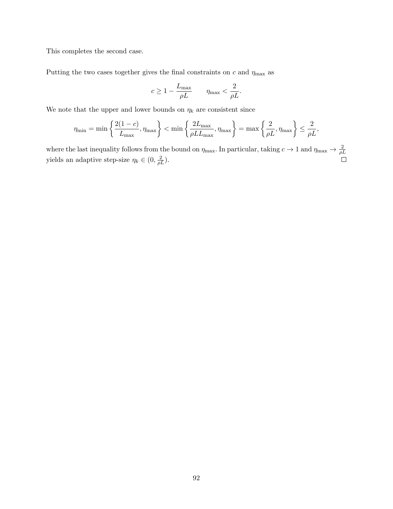This completes the second case.

Putting the two cases together gives the final constraints on  $c$  and  $\eta_{\text{max}}$  as

$$
c \ge 1 - \frac{L_{\max}}{\rho L} \qquad \eta_{\max} < \frac{2}{\rho L}.
$$

We note that the upper and lower bounds on  $\eta_k$  are consistent since

$$
\eta_{\min} = \min \left\{ \frac{2(1-c)}{L_{\max}}, \eta_{\max} \right\} < \min \left\{ \frac{2L_{\max}}{\rho L L_{\max}}, \eta_{\max} \right\} = \max \left\{ \frac{2}{\rho L}, \eta_{\max} \right\} \le \frac{2}{\rho L},
$$

where the last inequality follows from the bound on  $\eta_{\text{max}}$ . In particular, taking  $c \to 1$  and  $\eta_{\text{max}} \to \frac{2}{\rho L}$ yields an adaptive step-size  $\eta_k \in (0, \frac{2}{\rho L}).$  $\Box$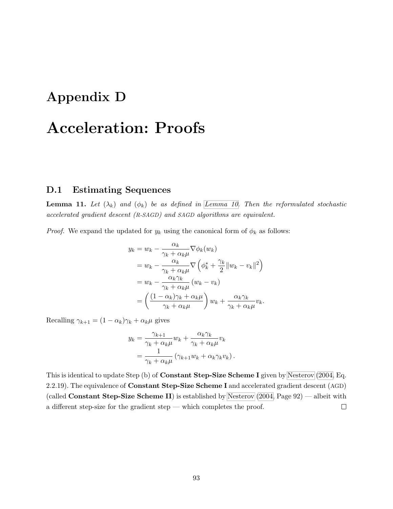## Appendix D

## Acceleration: Proofs

#### D.1 Estimating Sequences

**Lemma 11.** Let  $(\lambda_k)$  and  $(\phi_k)$  be as defined in [Lemma 10.](#page-58-0) Then the reformulated stochastic accelerated gradient descent (R-SAGD) and SAGD algorithms are equivalent.

*Proof.* We expand the updated for  $y_k$  using the canonical form of  $\phi_k$  as follows:

$$
y_k = w_k - \frac{\alpha_k}{\gamma_k + \alpha_k \mu} \nabla \phi_k(w_k)
$$
  
=  $w_k - \frac{\alpha_k}{\gamma_k + \alpha_k \mu} \nabla \left( \phi_k^* + \frac{\gamma_k}{2} ||w_k - v_k||^2 \right)$   
=  $w_k - \frac{\alpha_k \gamma_k}{\gamma_k + \alpha_k \mu} (w_k - v_k)$   
=  $\left( \frac{(1 - \alpha_k)\gamma_k + \alpha_k \mu}{\gamma_k + \alpha_k \mu} \right) w_k + \frac{\alpha_k \gamma_k}{\gamma_k + \alpha_k \mu} v_k.$ 

Recalling  $\gamma_{k+1} = (1 - \alpha_k)\gamma_k + \alpha_k\mu$  gives

$$
y_k = \frac{\gamma_{k+1}}{\gamma_k + \alpha_k \mu} w_k + \frac{\alpha_k \gamma_k}{\gamma_k + \alpha_k \mu} v_k
$$
  
= 
$$
\frac{1}{\gamma_k + \alpha_k \mu} (\gamma_{k+1} w_k + \alpha_k \gamma_k v_k).
$$

This is identical to update Step (b) of Constant Step-Size Scheme I given by [Nesterov](#page-75-0) [\(2004,](#page-75-0) Eq. 2.2.19). The equivalence of **Constant Step-Size Scheme I** and accelerated gradient descent (AGD) (called **Constant Step-Size Scheme II**) is established by [Nesterov](#page-75-0)  $(2004, Page 92)$  $(2004, Page 92)$  — albeit with a different step-size for the gradient step — which completes the proof.  $\Box$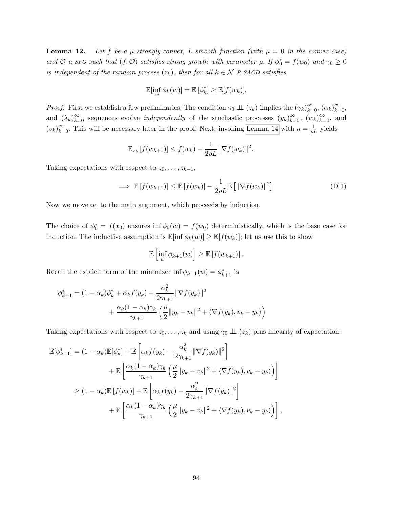**Lemma 12.** Let f be a  $\mu$ -strongly-convex, L-smooth function (with  $\mu = 0$  in the convex case) and  $\mathcal O$  a SFO such that  $(f, \mathcal O)$  satisfies strong growth with parameter  $\rho$ . If  $\phi_0^* = f(w_0)$  and  $\gamma_0 \geq 0$ is independent of the random process  $(z_k)$ , then for all  $k \in \mathcal{N}$  R-SAGD satisfies

$$
\mathbb{E}[\inf_{w} \phi_k(w)] = \mathbb{E}[\phi_k^*] \geq \mathbb{E}[f(w_k)],
$$

*Proof.* First we establish a few preliminaries. The condition  $\gamma_0 \perp \!\!\!\perp (z_k)$  implies the  $(\gamma_k)_{k=0}^{\infty}$ ,  $(\alpha_k)_{k=0}^{\infty}$ , and  $(\lambda_k)_{k=0}^{\infty}$  sequences evolve *independently* of the stochastic processes  $(y_k)_{k=0}^{\infty}$ ,  $(w_k)_{k=0}^{\infty}$ , and  $(v_k)_{k=0}^{\infty}$ . This will be necessary later in the proof. Next, invoking [Lemma 14](#page-86-0) with  $\eta = \frac{1}{\rho L}$  yields

$$
\mathbb{E}_{z_k}[f(w_{k+1})] \le f(w_k) - \frac{1}{2\rho L} \|\nabla f(w_k)\|^2.
$$

Taking expectations with respect to  $z_0, \ldots, z_{k-1}$ ,

$$
\implies \mathbb{E}\left[f(w_{k+1})\right] \leq \mathbb{E}\left[f(w_k)\right] - \frac{1}{2\rho L} \mathbb{E}\left[\|\nabla f(w_k)\|^2\right].
$$
 (D.1)

Now we move on to the main argument, which proceeds by induction.

The choice of  $\phi_0^* = f(x_0)$  ensures inf  $\phi_0(w) = f(w_0)$  deterministically, which is the base case for induction. The inductive assumption is  $\mathbb{E}[\inf \phi_k(w)] \geq \mathbb{E}[f(w_k)]$ ; let us use this to show

<span id="page-105-0"></span>
$$
\mathbb{E}\left[\inf_{w} \phi_{k+1}(w)\right] \geq \mathbb{E}\left[f(w_{k+1})\right].
$$

Recall the explicit form of the minimizer inf  $\phi_{k+1}(w) = \phi_{k+1}^*$  is

$$
\phi_{k+1}^* = (1 - \alpha_k)\phi_k^* + \alpha_k f(y_k) - \frac{\alpha_k^2}{2\gamma_{k+1}} \|\nabla f(y_k)\|^2 + \frac{\alpha_k (1 - \alpha_k)\gamma_k}{\gamma_{k+1}} \left(\frac{\mu}{2} \|y_k - v_k\|^2 + \langle \nabla f(y_k), v_k - y_k \rangle \right)
$$

Taking expectations with respect to  $z_0, \ldots, z_k$  and using  $\gamma_0 \perp (z_k)$  plus linearity of expectation:

$$
\mathbb{E}[\phi_{k+1}^*] = (1 - \alpha_k) \mathbb{E}[\phi_k^*] + \mathbb{E}\left[\alpha_k f(y_k) - \frac{\alpha_k^2}{2\gamma_{k+1}} \|\nabla f(y_k)\|^2\right] \n+ \mathbb{E}\left[\frac{\alpha_k (1 - \alpha_k)\gamma_k}{\gamma_{k+1}} \left(\frac{\mu}{2} \|y_k - v_k\|^2 + \langle \nabla f(y_k), v_k - y_k \rangle\right)\right] \n\geq (1 - \alpha_k) \mathbb{E}\left[f(w_k)\right] + \mathbb{E}\left[\alpha_k f(y_k) - \frac{\alpha_k^2}{2\gamma_{k+1}} \|\nabla f(y_k)\|^2\right] \n+ \mathbb{E}\left[\frac{\alpha_k (1 - \alpha_k)\gamma_k}{\gamma_{k+1}} \left(\frac{\mu}{2} \|y_k - v_k\|^2 + \langle \nabla f(y_k), v_k - y_k \rangle\right)\right],
$$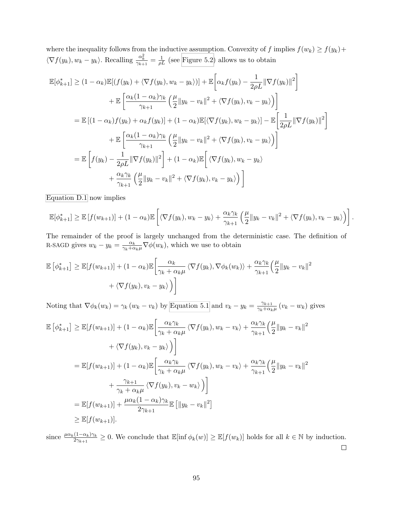where the inequality follows from the inductive assumption. Convexity of f implies  $f(w_k) \ge f(y_k) +$  $\langle \nabla f(y_k), w_k - y_k \rangle$ . Recalling  $\frac{\alpha_k^2}{\gamma_{k+1}} = \frac{1}{\rho L}$  (see [Figure 5.2\)](#page-59-0) allows us to obtain

$$
\mathbb{E}[\phi_{k+1}^*] \geq (1 - \alpha_k) \mathbb{E}[(f(y_k) + \langle \nabla f(y_k), w_k - y_k \rangle)] + \mathbb{E}\left[\alpha_k f(y_k) - \frac{1}{2\rho L} \|\nabla f(y_k)\|^2\right]
$$
  
+ 
$$
\mathbb{E}\left[\frac{\alpha_k (1 - \alpha_k)\gamma_k}{\gamma_{k+1}} \left(\frac{\mu}{2} \|y_k - v_k\|^2 + \langle \nabla f(y_k), v_k - y_k \rangle\right)\right]
$$
  
= 
$$
\mathbb{E}[(1 - \alpha_k)f(y_k) + \alpha_k f(y_k)] + (1 - \alpha_k)\mathbb{E}[\langle \nabla f(y_k), w_k - y_k \rangle] - \mathbb{E}\left[\frac{1}{2\rho L} \|\nabla f(y_k)\|^2\right]
$$
  
+ 
$$
\mathbb{E}\left[\frac{\alpha_k (1 - \alpha_k)\gamma_k}{\gamma_{k+1}} \left(\frac{\mu}{2} \|y_k - v_k\|^2 + \langle \nabla f(y_k), v_k - y_k \rangle\right)\right]
$$
  
= 
$$
\mathbb{E}\left[f(y_k) - \frac{1}{2\rho L} \|\nabla f(y_k)\|^2\right] + (1 - \alpha_k)\mathbb{E}\left[\langle \nabla f(y_k), w_k - y_k \rangle\right)
$$
  
+ 
$$
\frac{\alpha_k \gamma_k}{\gamma_{k+1}} \left(\frac{\mu}{2} \|y_k - v_k\|^2 + \langle \nabla f(y_k), v_k - y_k \rangle\right)\right]
$$

[Equation D.1](#page-105-0) now implies

$$
\mathbb{E}[\phi_{k+1}^*] \geq \mathbb{E}[f(w_{k+1})] + (1 - \alpha_k)\mathbb{E}\left[\langle \nabla f(y_k), w_k - y_k \rangle + \frac{\alpha_k \gamma_k}{\gamma_{k+1}} \left(\frac{\mu}{2} \|y_k - v_k\|^2 + \langle \nabla f(y_k), v_k - y_k \rangle \right) \right].
$$

The remainder of the proof is largely unchanged from the deterministic case. The definition of R-SAGD gives  $w_k - y_k = \frac{\alpha_k}{\gamma_k + \alpha_k \mu} \nabla \phi(w_k)$ , which we use to obtain

$$
\mathbb{E}\left[\phi_{k+1}^*\right] \geq \mathbb{E}[f(w_{k+1})] + (1 - \alpha_k)\mathbb{E}\left[\frac{\alpha_k}{\gamma_k + \alpha_k\mu} \langle \nabla f(y_k), \nabla \phi_k(w_k) \rangle + \frac{\alpha_k \gamma_k}{\gamma_{k+1}} \left(\frac{\mu}{2} \|y_k - v_k\|^2 + \langle \nabla f(y_k), v_k - y_k \rangle \right) \right]
$$

Noting that  $\nabla \phi_k(w_k) = \gamma_k (w_k - v_k)$  by [Equation 5.1](#page-58-1) and  $v_k - y_k = \frac{\gamma_{k+1}}{\gamma_k + \alpha_k}$  $\frac{\gamma_{k+1}}{\gamma_k + \alpha_k \mu} (v_k - w_k)$  gives

$$
\mathbb{E}\left[\phi_{k+1}^{*}\right] \geq \mathbb{E}[f(w_{k+1})] + (1 - \alpha_{k})\mathbb{E}\left[\frac{\alpha_{k}\gamma_{k}}{\gamma_{k} + \alpha_{k}\mu}\left\langle\nabla f(y_{k}), w_{k} - v_{k}\right\rangle + \frac{\alpha_{k}\gamma_{k}}{\gamma_{k+1}}\left(\frac{\mu}{2}\|y_{k} - v_{k}\|^2\right) + \left\langle\nabla f(y_{k}), v_{k} - y_{k}\right\rangle\right]
$$
\n
$$
= \mathbb{E}[f(w_{k+1})] + (1 - \alpha_{k})\mathbb{E}\left[\frac{\alpha_{k}\gamma_{k}}{\gamma_{k} + \alpha_{k}\mu}\left\langle\nabla f(y_{k}), w_{k} - v_{k}\right\rangle + \frac{\alpha_{k}\gamma_{k}}{\gamma_{k+1}}\left(\frac{\mu}{2}\|y_{k} - v_{k}\|^2\right) + \frac{\gamma_{k+1}}{\gamma_{k} + \alpha_{k}\mu}\left\langle\nabla f(y_{k}), v_{k} - w_{k}\right\rangle\right]
$$
\n
$$
= \mathbb{E}[f(w_{k+1})] + \frac{\mu\alpha_{k}(1 - \alpha_{k})\gamma_{k}}{2\gamma_{k+1}}\mathbb{E}\left[\|y_{k} - v_{k}\|^2\right]
$$
\n
$$
\geq \mathbb{E}[f(w_{k+1})].
$$

since  $\frac{\mu \alpha_k (1-\alpha_k)\gamma_k}{2\gamma_{k+1}} \geq 0$ . We conclude that  $\mathbb{E}[\inf \phi_k(w)] \geq \mathbb{E}[f(w_k)]$  holds for all  $k \in \mathbb{N}$  by induction.  $\Box$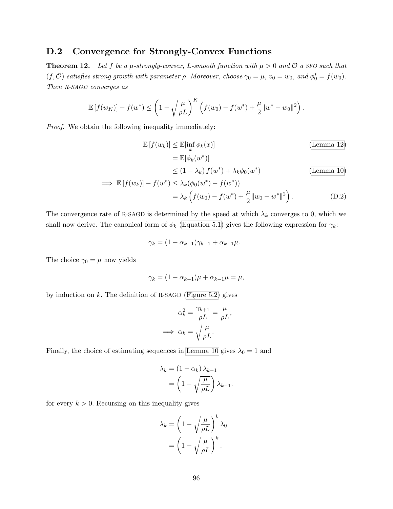#### D.2 Convergence for Strongly-Convex Functions

**Theorem 12.** Let f be a  $\mu$ -strongly-convex, L-smooth function with  $\mu > 0$  and  $\mathcal{O}$  a SFO such that  $(f, O)$  satisfies strong growth with parameter  $\rho$ . Moreover, choose  $\gamma_0 = \mu$ ,  $v_0 = w_0$ , and  $\phi_0^* = f(w_0)$ . Then R-SAGD converges as

$$
\mathbb{E}[f(w_K)] - f(w^*) \le \left(1 - \sqrt{\frac{\mu}{\rho L}}\right)^K \left(f(w_0) - f(w^*) + \frac{\mu}{2} ||w^* - w_0||^2\right).
$$

Proof. We obtain the following inequality immediately:

$$
\mathbb{E}\left[f(w_k)\right] \le \mathbb{E}[\inf_x \phi_k(x)]
$$
\n
$$
= \mathbb{E}[\phi_k(w^*)]
$$
\n
$$
\le (1 - \lambda_k) f(w^*) + \lambda_k \phi_0(w^*)
$$
\n(Lemma 10)

$$
\implies \mathbb{E}\left[f(w_k)\right] - f(w^*) \le \lambda_k(\phi_0(w^*) - f(w^*))
$$
  
=  $\lambda_k \left(f(w_0) - f(w^*) + \frac{\mu}{2} ||w_0 - w^*||^2\right).$  (D.2)

The convergence rate of R-SAGD is determined by the speed at which  $\lambda_k$  converges to 0, which we shall now derive. The canonical form of  $\phi_k$  [\(Equation 5.1\)](#page-58-1) gives the following expression for  $\gamma_k$ :

$$
\gamma_k = (1 - \alpha_{k-1})\gamma_{k-1} + \alpha_{k-1}\mu.
$$

The choice  $\gamma_0 = \mu$  now yields

$$
\gamma_k = (1 - \alpha_{k-1})\mu + \alpha_{k-1}\mu = \mu,
$$

by induction on  $k$ . The definition of R-SAGD [\(Figure 5.2\)](#page-59-0) gives

$$
\alpha_k^2 = \frac{\gamma_{k+1}}{\rho L} = \frac{\mu}{\rho L},
$$

$$
\implies \alpha_k = \sqrt{\frac{\mu}{\rho L}}.
$$

Finally, the choice of estimating sequences in [Lemma 10](#page-58-0) gives  $\lambda_0 = 1$  and

$$
\lambda_k = (1 - \alpha_k) \lambda_{k-1}
$$

$$
= \left(1 - \sqrt{\frac{\mu}{\rho L}}\right) \lambda_{k-1}.
$$

for every  $k > 0$ . Recursing on this inequality gives

$$
\lambda_k = \left(1 - \sqrt{\frac{\mu}{\rho L}}\right)^k \lambda_0
$$

$$
= \left(1 - \sqrt{\frac{\mu}{\rho L}}\right)^k.
$$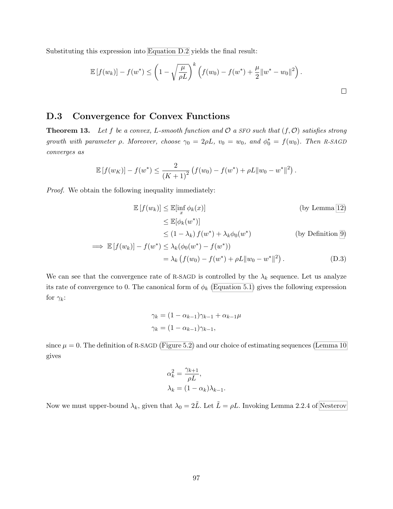Substituting this expression into [Equation D.2](#page-107-0) yields the final result:

$$
\mathbb{E}[f(w_k)] - f(w^*) \le \left(1 - \sqrt{\frac{\mu}{\rho L}}\right)^k \left(f(w_0) - f(w^*) + \frac{\mu}{2} ||w^* - w_0||^2\right).
$$

#### D.3 Convergence for Convex Functions

**Theorem 13.** Let f be a convex, L-smooth function and  $\mathcal{O}$  a SFO such that  $(f, \mathcal{O})$  satisfies strong growth with parameter  $\rho$ . Moreover, choose  $\gamma_0 = 2\rho L$ ,  $v_0 = w_0$ , and  $\phi_0^* = f(w_0)$ . Then R-SAGD converges as

$$
\mathbb{E}[f(w_K)] - f(w^*) \leq \frac{2}{(K+1)^2} \left( f(w_0) - f(w^*) + \rho L \|w_0 - w^*\|^2 \right).
$$

Proof. We obtain the following inequality immediately:

$$
\mathbb{E}\left[f(w_k)\right] \leq \mathbb{E}[\inf_x \phi_k(x)]
$$
 (by Lemma 12)  

$$
\leq \mathbb{E}[\phi_k(w^*)]
$$
  

$$
\leq (1 - \lambda_k) f(w^*) + \lambda_k \phi_0(w^*)
$$
 (by Definition 9)

$$
\implies \mathbb{E}[f(w_k)] - f(w^*) \le \lambda_k(\phi_0(w^*) - f(w^*))
$$
  
=  $\lambda_k (f(w_0) - f(w^*) + \rho L \|w_0 - w^*\|^2)$ . (D.3)

We can see that the convergence rate of R-SAGD is controlled by the  $\lambda_k$  sequence. Let us analyze its rate of convergence to 0. The canonical form of  $\phi_k$  [\(Equation 5.1\)](#page-58-0) gives the following expression for  $\gamma_k$ :

<span id="page-108-0"></span>
$$
\gamma_k = (1 - \alpha_{k-1})\gamma_{k-1} + \alpha_{k-1}\mu
$$

$$
\gamma_k = (1 - \alpha_{k-1})\gamma_{k-1},
$$

since  $\mu = 0$ . The definition of R-SAGD [\(Figure 5.2\)](#page-59-0) and our choice of estimating sequences [\(Lemma 10](#page-58-1)) gives

$$
\alpha_k^2 = \frac{\gamma_{k+1}}{\rho L},
$$
  

$$
\lambda_k = (1 - \alpha_k)\lambda_{k-1}.
$$

Now we must upper-bound  $\lambda_k$ , given that  $\lambda_0 = 2\tilde{L}$ . Let  $\tilde{L} = \rho L$ . Invoking Lemma 2.2.4 of [Nesterov](#page-75-0)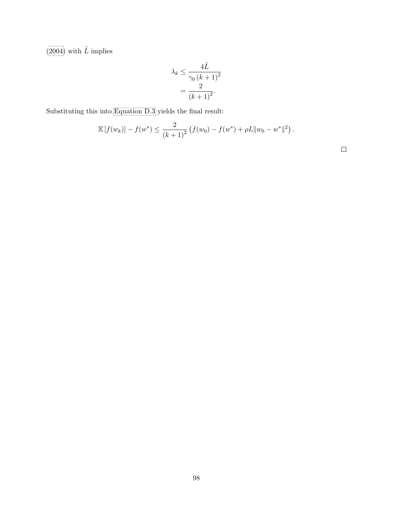[\(2004\)](#page-75-0) with  $\tilde{L}$  implies

$$
\lambda_k \le \frac{4\tilde{L}}{\gamma_0 \left(k+1\right)^2} = \frac{2}{\left(k+1\right)^2}.
$$

Substituting this into [Equation D.3](#page-108-0) yields the final result:

$$
\mathbb{E}[f(w_k)] - f(w^*) \le \frac{2}{(k+1)^2} \left( f(w_0) - f(w^*) + \rho L \|w_0 - w^*\|^2 \right).
$$

 $\Box$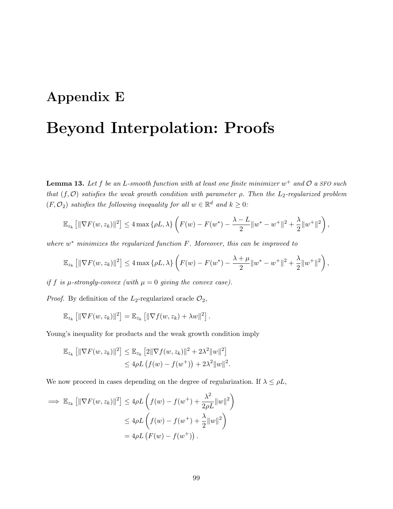### Appendix E

## Beyond Interpolation: Proofs

**Lemma 13.** Let f be an L-smooth function with at least one finite minimizer  $w^+$  and  $\mathcal{O}$  a SFO such that  $(f, \mathcal{O})$  satisfies the weak growth condition with parameter  $\rho$ . Then the L<sub>2</sub>-regularized problem  $(F, \mathcal{O}_2)$  satisfies the following inequality for all  $w \in \mathbb{R}^d$  and  $k \geq 0$ :

$$
\mathbb{E}_{z_k} \left[ \|\nabla F(w, z_k)\|^2 \right] \le 4 \max \left\{ \rho L, \lambda \right\} \left( F(w) - F(w^*) - \frac{\lambda - L}{2} \|w^* - w^+\|^2 + \frac{\lambda}{2} \|w^+\|^2 \right),
$$

where  $w^*$  minimizes the regularized function  $F$ . Moreover, this can be improved to

$$
\mathbb{E}_{z_k} \left[ \|\nabla F(w, z_k)\|^2 \right] \le 4 \max \left\{ \rho L, \lambda \right\} \left( F(w) - F(w^*) - \frac{\lambda + \mu}{2} \|w^* - w^+\|^2 + \frac{\lambda}{2} \|w^+\|^2 \right),
$$

if f is  $\mu$ -strongly-convex (with  $\mu = 0$  giving the convex case).

*Proof.* By definition of the  $L_2$ -regularized oracle  $\mathcal{O}_2$ ,

$$
\mathbb{E}_{z_k}\left[\|\nabla F(w,z_k)\|^2\right] = \mathbb{E}_{z_k}\left[\|\nabla f(w,z_k)+\lambda w\|^2\right].
$$

Young's inequality for products and the weak growth condition imply

$$
\mathbb{E}_{z_k} [ \|\nabla F(w, z_k)\|^2 ] \leq \mathbb{E}_{z_k} [2\|\nabla f(w, z_k)\|^2 + 2\lambda^2 \|w\|^2 ]
$$
  

$$
\leq 4\rho L \left( f(w) - f(w^+) \right) + 2\lambda^2 \|w\|^2.
$$

We now proceed in cases depending on the degree of regularization. If  $\lambda \le \rho L$ ,

$$
\implies \mathbb{E}_{z_k} [\|\nabla F(w, z_k)\|^2] \le 4\rho L \left( f(w) - f(w^+) + \frac{\lambda^2}{2\rho L} \|w\|^2 \right)
$$
  

$$
\le 4\rho L \left( f(w) - f(w^+) + \frac{\lambda}{2} \|w\|^2 \right)
$$
  

$$
= 4\rho L \left( F(w) - f(w^+) \right).
$$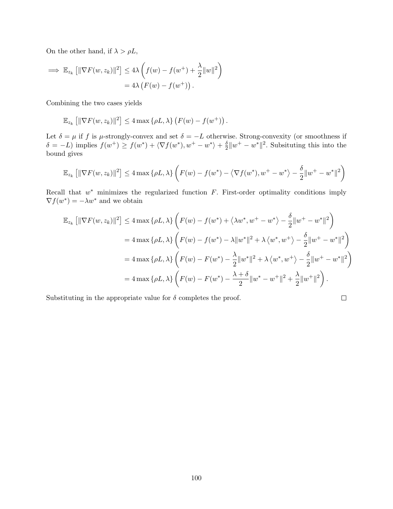On the other hand, if  $\lambda > \rho L$ ,

$$
\implies \mathbb{E}_{z_k} [ \|\nabla F(w, z_k)\|^2 ] \le 4\lambda \left( f(w) - f(w^+) + \frac{\lambda}{2} \|w\|^2 \right)
$$
  
= 4\lambda \left( F(w) - f(w^+) \right).

Combining the two cases yields

$$
\mathbb{E}_{z_k}\left[\|\nabla F(w,z_k)\|^2\right] \leq 4 \max\left\{\rho L, \lambda\right\} \left(F(w) - f(w^+)\right).
$$

Let  $\delta = \mu$  if f is  $\mu$ -strongly-convex and set  $\delta = -L$  otherwise. Strong-convexity (or smoothness if  $\delta = -L$ ) implies  $f(w^+) \geq f(w^*) + \langle \nabla f(w^*), w^+ - w^* \rangle + \frac{\delta}{2}$  $\frac{\delta}{2}||w^+ - w^*||^2$ . Subsituting this into the bound gives

$$
\mathbb{E}_{z_k} \left[ \|\nabla F(w, z_k)\|^2 \right] \le 4 \max \left\{ \rho L, \lambda \right\} \left( F(w) - f(w^*) - \left\langle \nabla f(w^*), w^+ - w^* \right\rangle - \frac{\delta}{2} \|w^+ - w^*\|^2 \right)
$$

Recall that  $w^*$  minimizes the regularized function  $F$ . First-order optimality conditions imply  $\nabla f(w^*) = -\lambda w^*$  and we obtain

$$
\mathbb{E}_{z_k} \left[ \|\nabla F(w, z_k)\|^2 \right] \le 4 \max \left\{ \rho L, \lambda \right\} \left( F(w) - f(w^*) + \left\langle \lambda w^*, w^+ - w^* \right\rangle - \frac{\delta}{2} \|w^+ - w^*\|^2 \right)
$$
  
\n
$$
= 4 \max \left\{ \rho L, \lambda \right\} \left( F(w) - f(w^*) - \lambda \|w^*\|^2 + \lambda \left\langle w^*, w^+ \right\rangle - \frac{\delta}{2} \|w^+ - w^*\|^2 \right)
$$
  
\n
$$
= 4 \max \left\{ \rho L, \lambda \right\} \left( F(w) - F(w^*) - \frac{\lambda}{2} \|w^*\|^2 + \lambda \left\langle w^*, w^+ \right\rangle - \frac{\delta}{2} \|w^+ - w^*\|^2 \right)
$$
  
\n
$$
= 4 \max \left\{ \rho L, \lambda \right\} \left( F(w) - F(w^*) - \frac{\lambda + \delta}{2} \|w^* - w^+\|^2 + \frac{\lambda}{2} \|w^+\|^2 \right).
$$

Substituting in the appropriate value for  $\delta$  completes the proof.

$$
\qquad \qquad \Box
$$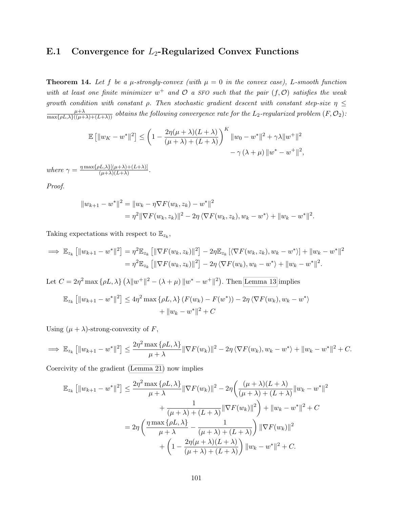### E.1 Convergence for  $L_2$ -Regularized Convex Functions

**Theorem 14.** Let f be a  $\mu$ -strongly-convex (with  $\mu = 0$  in the convex case), L-smooth function with at least one finite minimizer  $w^+$  and  $\mathcal O$  a SFO such that the pair  $(f, \mathcal O)$  satisfies the weak growth condition with constant  $\rho$ . Then stochastic gradient descent with constant step-size  $\eta \leq$  $\frac{\mu+\lambda}{\max\{\rho L, \lambda\}((\mu+\lambda)+(L+\lambda))}$  obtains the following convergence rate for the  $L_2$ -regularized problem  $(F, \mathcal{O}_2)$ :

$$
\mathbb{E} [||w_K - w^*||^2] \le \left(1 - \frac{2\eta(\mu + \lambda)(L + \lambda)}{(\mu + \lambda) + (L + \lambda)}\right)^K ||w_0 - w^*||^2 + \gamma \lambda ||w^+||^2
$$
  

$$
- \gamma (\lambda + \mu) ||w^* - w^+||^2,
$$

where  $\gamma = \frac{\eta \max\{\rho L, \lambda\}[(\mu + \lambda) + (L + \lambda)]}{(\mu + \lambda)(L + \lambda)}$  $\frac{(\mu+\lambda)+(\mu+\lambda)}{(\mu+\lambda)(L+\lambda)}$ .

Proof.

$$
||w_{k+1} - w^*||^2 = ||w_k - \eta \nabla F(w_k, z_k) - w^*||^2
$$
  
=  $\eta^2 ||\nabla F(w_k, z_k)||^2 - 2\eta \langle \nabla F(w_k, z_k), w_k - w^* \rangle + ||w_k - w^*||^2$ .

Taking expectations with respect to  $\mathbb{E}_{z_k}$ ,

$$
\implies \mathbb{E}_{z_k} [||w_{k+1} - w^*||^2] = \eta^2 \mathbb{E}_{z_k} [||\nabla F(w_k, z_k)||^2] - 2\eta \mathbb{E}_{z_k} [\langle \nabla F(w_k, z_k), w_k - w^* \rangle] + ||w_k - w^*||^2
$$
  
=  $\eta^2 \mathbb{E}_{z_k} [||\nabla F(w_k, z_k)||^2] - 2\eta \langle \nabla F(w_k), w_k - w^* \rangle + ||w_k - w^*||^2.$ 

Let  $C = 2\eta^2 \max \{\rho L, \lambda\} (\lambda \|w^+\|^2 - (\lambda + \mu) \|w^-\w^+\|^2)$ . Then [Lemma 13](#page-65-0) implies

$$
\mathbb{E}_{z_k} [||w_{k+1} - w^*||^2] \le 4\eta^2 \max \{\rho L, \lambda\} (F(w_k) - F(w^*)) - 2\eta \langle \nabla F(w_k), w_k - w^* \rangle
$$
  
+  $||w_k - w^*||^2 + C$ 

Using  $(\mu + \lambda)$ -strong-convexity of F,

$$
\implies \mathbb{E}_{z_k} [||w_{k+1} - w^*||^2] \le \frac{2\eta^2 \max\{\rho L, \lambda\}}{\mu + \lambda} ||\nabla F(w_k)||^2 - 2\eta \langle \nabla F(w_k), w_k - w^* \rangle + ||w_k - w^*||^2 + C.
$$

Coercivity of the gradient [\(Lemma 21\)](#page-115-0) now implies

$$
\mathbb{E}_{z_k} [\|w_{k+1} - w^*\|^2] \le \frac{2\eta^2 \max\{\rho L, \lambda\}}{\mu + \lambda} \|\nabla F(w_k)\|^2 - 2\eta \left(\frac{(\mu + \lambda)(L + \lambda)}{(\mu + \lambda) + (L + \lambda)} \|w_k - w^*\|^2 + \frac{1}{(\mu + \lambda) + (L + \lambda)} \|\nabla F(w_k)\|^2\right) + \|w_k - w^*\|^2 + C
$$
  
=  $2\eta \left(\frac{\eta \max\{\rho L, \lambda\}}{\mu + \lambda} - \frac{1}{(\mu + \lambda) + (L + \lambda)}\right) \|\nabla F(w_k)\|^2 + \left(1 - \frac{2\eta(\mu + \lambda)(L + \lambda)}{(\mu + \lambda) + (L + \lambda)}\right) \|w_k - w^*\|^2 + C.$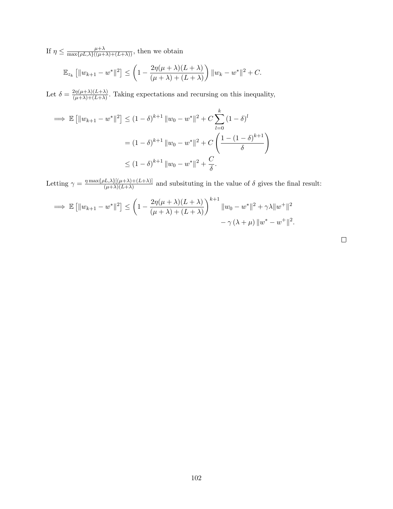If  $\eta \leq \frac{\mu + \lambda}{\max\{\rho L, \lambda\}((\mu + \lambda) + (L + \lambda))}$ , then we obtain

$$
\mathbb{E}_{z_k} [||w_{k+1} - w^*||^2] \le \left(1 - \frac{2\eta(\mu + \lambda)(L + \lambda)}{(\mu + \lambda) + (L + \lambda)}\right) ||w_k - w^*||^2 + C.
$$

Let  $\delta = \frac{2\eta(\mu+\lambda)(L+\lambda)}{(\mu+\lambda)+(L+\lambda)}$  $\frac{2\eta(\mu+\lambda)(L+\lambda)}{(\mu+\lambda)+(L+\lambda)}$ . Taking expectations and recursing on this inequality,

$$
\implies \mathbb{E} \left[ \|w_{k+1} - w^*\|^2 \right] \le (1 - \delta)^{k+1} \|w_0 - w^*\|^2 + C \sum_{l=0}^k (1 - \delta)^l
$$

$$
= (1 - \delta)^{k+1} \|w_0 - w^*\|^2 + C \left( \frac{1 - (1 - \delta)^{k+1}}{\delta} \right)
$$

$$
\le (1 - \delta)^{k+1} \|w_0 - w^*\|^2 + \frac{C}{\delta}.
$$

Letting  $\gamma = \frac{\eta \max\{\rho L, \lambda\}[(\mu + \lambda) + (L + \lambda)]}{(\mu + \lambda)(L + \lambda)}$  $(\mu+\lambda)[(\mu+\lambda)+(\lambda+\lambda)]$  and subsituting in the value of  $\delta$  gives the final result:

$$
\implies \mathbb{E} [||w_{k+1} - w^*||^2] \le \left(1 - \frac{2\eta(\mu + \lambda)(L + \lambda)}{(\mu + \lambda) + (L + \lambda)}\right)^{k+1} ||w_0 - w^*||^2 + \gamma \lambda ||w^+||^2
$$
  

$$
- \gamma (\lambda + \mu) ||w^* - w^+||^2.
$$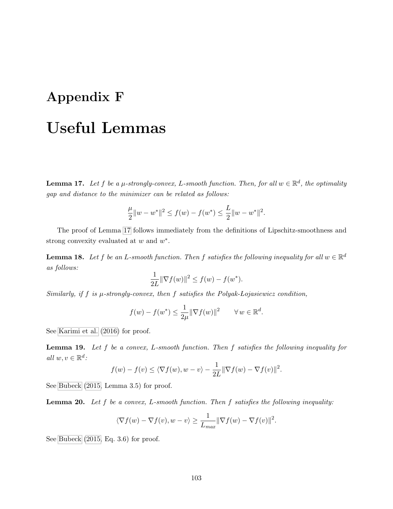# Appendix F Useful Lemmas

<span id="page-114-0"></span>**Lemma 17.** Let f be a  $\mu$ -strongly-convex, L-smooth function. Then, for all  $w \in \mathbb{R}^d$ , the optimality gap and distance to the minimizer can be related as follows:

$$
\frac{\mu}{2}||w - w^*||^2 \le f(w) - f(w^*) \le \frac{L}{2}||w - w^*||^2.
$$

The proof of Lemma [17](#page-114-0) follows immediately from the definitions of Lipschitz-smoothness and strong convexity evaluated at  $w$  and  $w^*$ .

**Lemma 18.** Let f be an L-smooth function. Then f satisfies the following inequality for all  $w \in \mathbb{R}^d$ as follows:

$$
\frac{1}{2L} \|\nabla f(w)\|^2 \le f(w) - f(w^*).
$$

Similarly, if f is  $\mu$ -strongly-convex, then f satisfies the Polyak-Lojasiewicz condition,

$$
f(w) - f(w^*) \le \frac{1}{2\mu} \|\nabla f(w)\|^2 \qquad \forall w \in \mathbb{R}^d.
$$

See [Karimi et al.](#page-74-0) [\(2016\)](#page-74-0) for proof.

**Lemma 19.** Let f be a convex, L-smooth function. Then f satisfies the following inequality for all  $w, v \in \mathbb{R}^d$ :

$$
f(w) - f(v) \le \langle \nabla f(w), w - v \rangle - \frac{1}{2L} \|\nabla f(w) - \nabla f(v)\|^2.
$$

See [Bubeck](#page-72-0) [\(2015,](#page-72-0) Lemma 3.5) for proof.

**Lemma 20.** Let  $f$  be a convex, L-smooth function. Then  $f$  satisfies the following inequality:

$$
\langle \nabla f(w) - \nabla f(v), w - v \rangle \ge \frac{1}{L_{max}} || \nabla f(w) - \nabla f(v) ||^2.
$$

See [Bubeck](#page-72-0) [\(2015,](#page-72-0) Eq. 3.6) for proof.